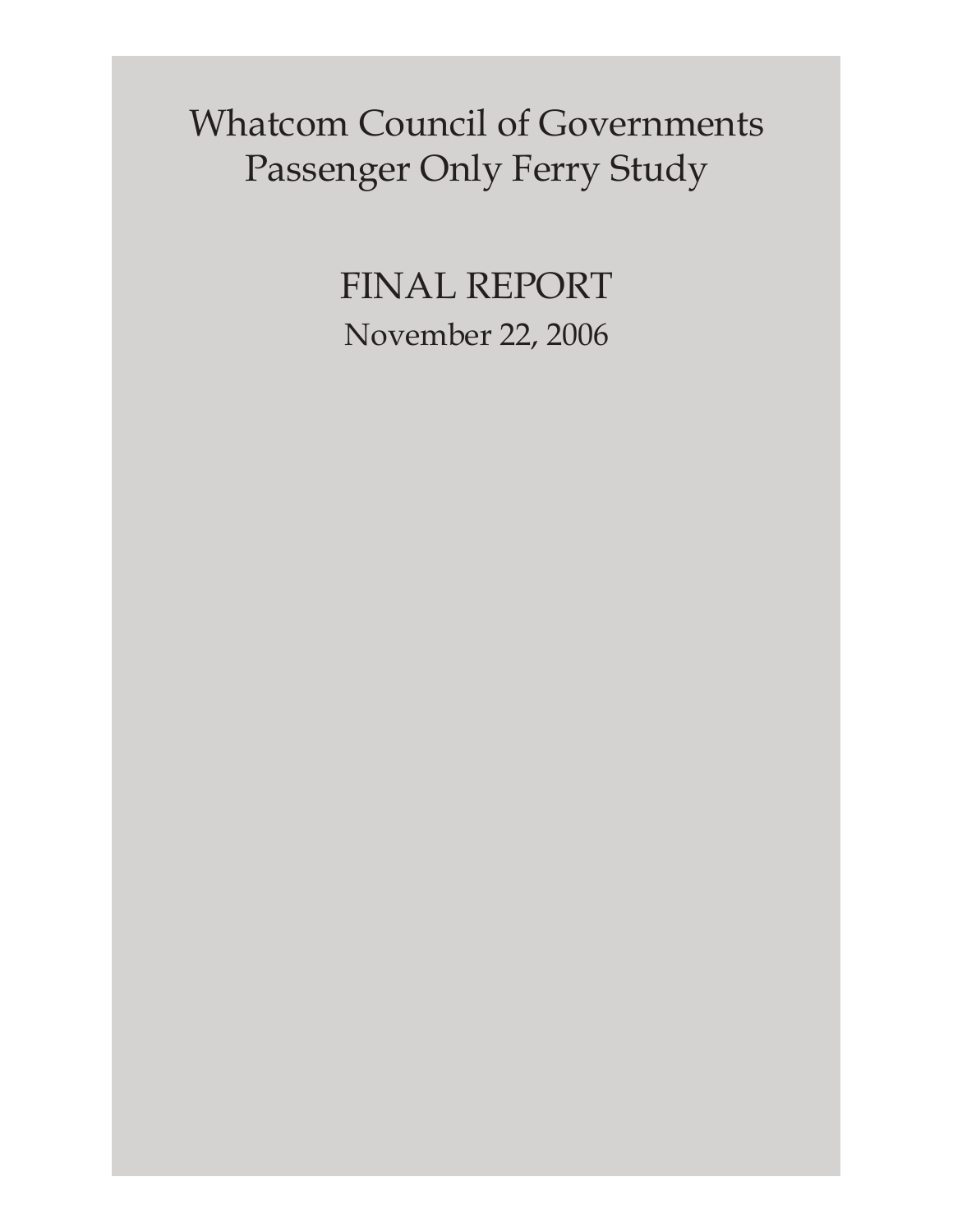Whatcom Council of Governments Passenger Only Ferry Study

> FINAL REPORT November 22, 2006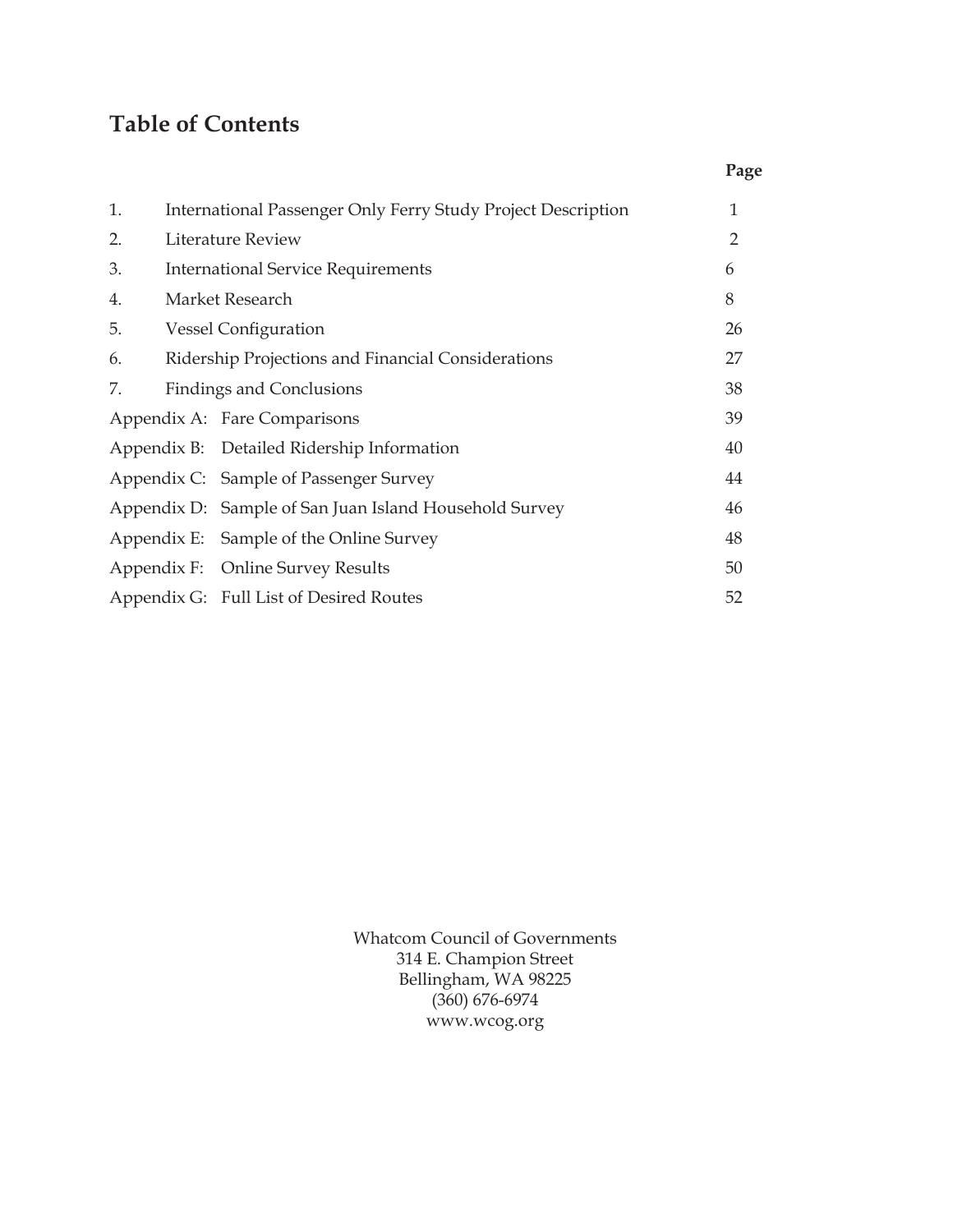# **Table of Contents**

|    |                                                              | Page |  |  |  |
|----|--------------------------------------------------------------|------|--|--|--|
| 1. | International Passenger Only Ferry Study Project Description | 1    |  |  |  |
| 2. | <b>Literature Review</b>                                     | 2    |  |  |  |
| 3. | <b>International Service Requirements</b>                    |      |  |  |  |
| 4. | Market Research                                              |      |  |  |  |
| 5. | <b>Vessel Configuration</b>                                  | 26   |  |  |  |
| 6. | Ridership Projections and Financial Considerations           | 27   |  |  |  |
| 7. | <b>Findings and Conclusions</b>                              | 38   |  |  |  |
|    | Appendix A: Fare Comparisons                                 | 39   |  |  |  |
|    | Appendix B: Detailed Ridership Information                   | 40   |  |  |  |
|    | Appendix C: Sample of Passenger Survey                       | 44   |  |  |  |
|    | Appendix D: Sample of San Juan Island Household Survey       | 46   |  |  |  |
|    | Appendix E: Sample of the Online Survey                      | 48   |  |  |  |
|    | Appendix F: Online Survey Results                            | 50   |  |  |  |
|    | Appendix G: Full List of Desired Routes                      | 52   |  |  |  |
|    |                                                              |      |  |  |  |

Whatcom Council of Governments 314 E. Champion Street Bellingham, WA 98225 (360) 676-6974 www.wcog.org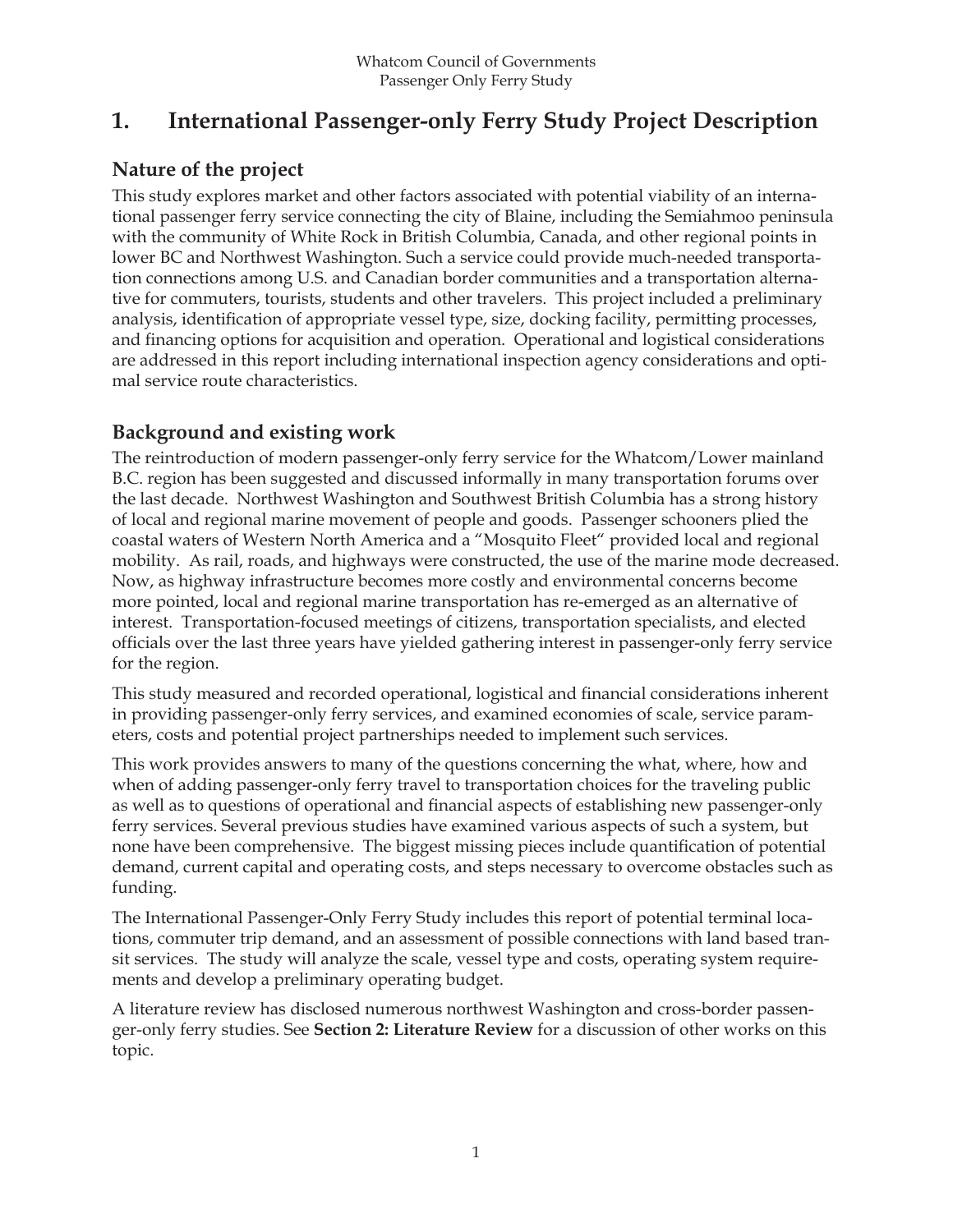## **1. International Passenger-only Ferry Study Project Description**

## **Nature of the project**

This study explores market and other factors associated with potential viability of an international passenger ferry service connecting the city of Blaine, including the Semiahmoo peninsula with the community of White Rock in British Columbia, Canada, and other regional points in lower BC and Northwest Washington. Such a service could provide much-needed transportation connections among U.S. and Canadian border communities and a transportation alternative for commuters, tourists, students and other travelers. This project included a preliminary analysis, identification of appropriate vessel type, size, docking facility, permitting processes, and financing options for acquisition and operation. Operational and logistical considerations are addressed in this report including international inspection agency considerations and optimal service route characteristics.

## **Background and existing work**

The reintroduction of modern passenger-only ferry service for the Whatcom/Lower mainland B.C. region has been suggested and discussed informally in many transportation forums over the last decade. Northwest Washington and Southwest British Columbia has a strong history of local and regional marine movement of people and goods. Passenger schooners plied the coastal waters of Western North America and a "Mosquito Fleet" provided local and regional mobility. As rail, roads, and highways were constructed, the use of the marine mode decreased. Now, as highway infrastructure becomes more costly and environmental concerns become more pointed, local and regional marine transportation has re-emerged as an alternative of interest. Transportation-focused meetings of citizens, transportation specialists, and elected officials over the last three years have yielded gathering interest in passenger-only ferry service for the region.

This study measured and recorded operational, logistical and financial considerations inherent in providing passenger-only ferry services, and examined economies of scale, service parameters, costs and potential project partnerships needed to implement such services.

This work provides answers to many of the questions concerning the what, where, how and when of adding passenger-only ferry travel to transportation choices for the traveling public as well as to questions of operational and financial aspects of establishing new passenger-only ferry services. Several previous studies have examined various aspects of such a system, but none have been comprehensive. The biggest missing pieces include quantification of potential demand, current capital and operating costs, and steps necessary to overcome obstacles such as funding.

The International Passenger-Only Ferry Study includes this report of potential terminal locations, commuter trip demand, and an assessment of possible connections with land based transit services. The study will analyze the scale, vessel type and costs, operating system requirements and develop a preliminary operating budget.

A literature review has disclosed numerous northwest Washington and cross-border passenger-only ferry studies. See **Section 2: Literature Review** for a discussion of other works on this topic.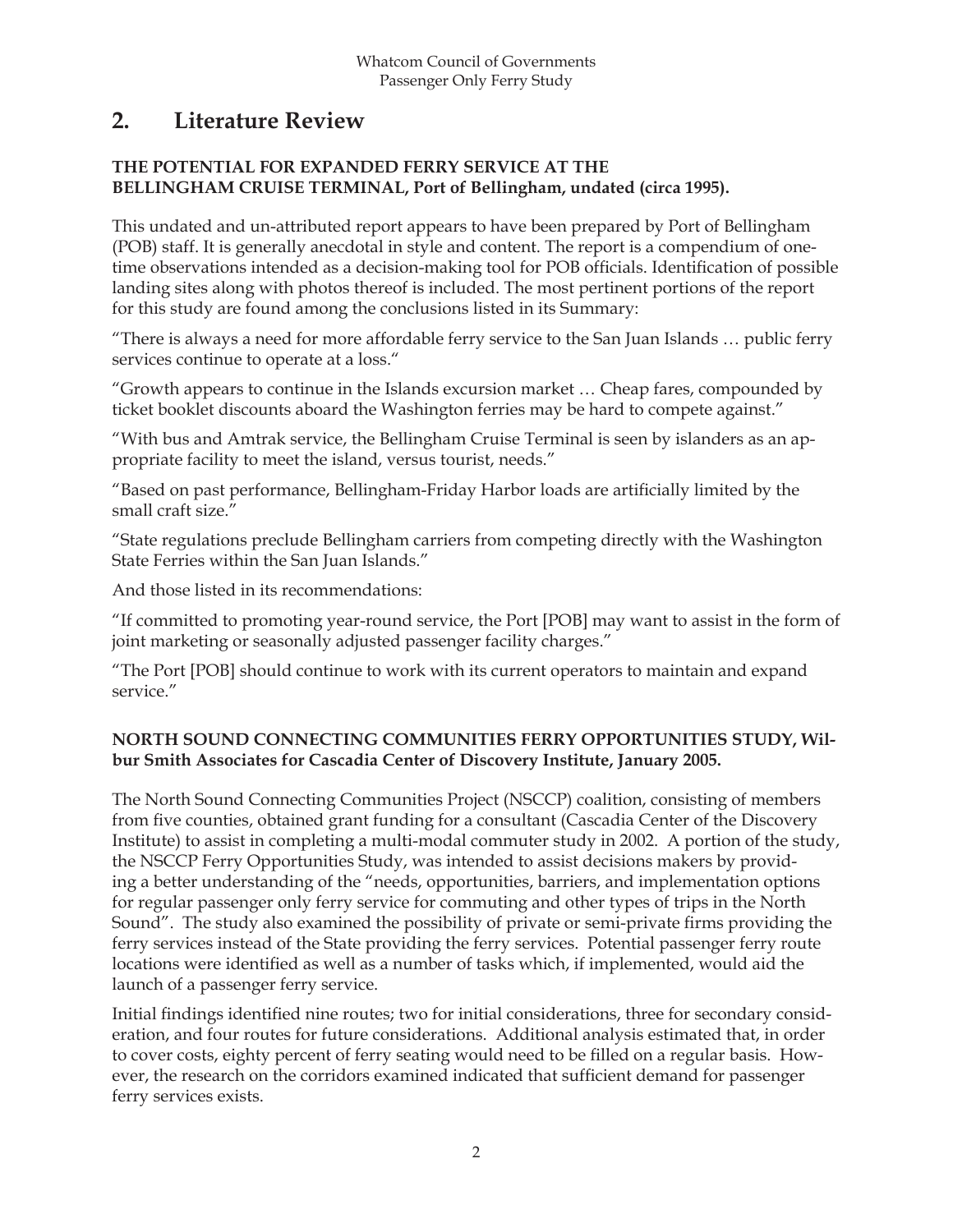## **2. Literature Review**

#### **THE POTENTIAL FOR EXPANDED FERRY SERVICE AT THE BELLINGHAM CRUISE TERMINAL, Port of Bellingham, undated (circa 1995).**

This undated and un-attributed report appears to have been prepared by Port of Bellingham (POB) staff. It is generally anecdotal in style and content. The report is a compendium of onetime observations intended as a decision-making tool for POB officials. Identification of possible landing sites along with photos thereof is included. The most pertinent portions of the report for this study are found among the conclusions listed in its Summary:

"There is always a need for more affordable ferry service to the San Juan Islands … public ferry services continue to operate at a loss."

"Growth appears to continue in the Islands excursion market … Cheap fares, compounded by ticket booklet discounts aboard the Washington ferries may be hard to compete against."

"With bus and Amtrak service, the Bellingham Cruise Terminal is seen by islanders as an appropriate facility to meet the island, versus tourist, needs."

"Based on past performance, Bellingham-Friday Harbor loads are artificially limited by the small craft size."

"State regulations preclude Bellingham carriers from competing directly with the Washington State Ferries within the San Juan Islands."

And those listed in its recommendations:

"If committed to promoting year-round service, the Port [POB] may want to assist in the form of joint marketing or seasonally adjusted passenger facility charges."

"The Port [POB] should continue to work with its current operators to maintain and expand service."

#### **NORTH SOUND CONNECTING COMMUNITIES FERRY OPPORTUNITIES STUDY, Wilbur Smith Associates for Cascadia Center of Discovery Institute, January 2005.**

The North Sound Connecting Communities Project (NSCCP) coalition, consisting of members from five counties, obtained grant funding for a consultant (Cascadia Center of the Discovery Institute) to assist in completing a multi-modal commuter study in 2002. A portion of the study, the NSCCP Ferry Opportunities Study, was intended to assist decisions makers by providing a better understanding of the "needs, opportunities, barriers, and implementation options for regular passenger only ferry service for commuting and other types of trips in the North Sound". The study also examined the possibility of private or semi-private firms providing the ferry services instead of the State providing the ferry services. Potential passenger ferry route locations were identified as well as a number of tasks which, if implemented, would aid the launch of a passenger ferry service.

Initial findings identified nine routes; two for initial considerations, three for secondary consideration, and four routes for future considerations. Additional analysis estimated that, in order to cover costs, eighty percent of ferry seating would need to be filled on a regular basis. However, the research on the corridors examined indicated that sufficient demand for passenger ferry services exists.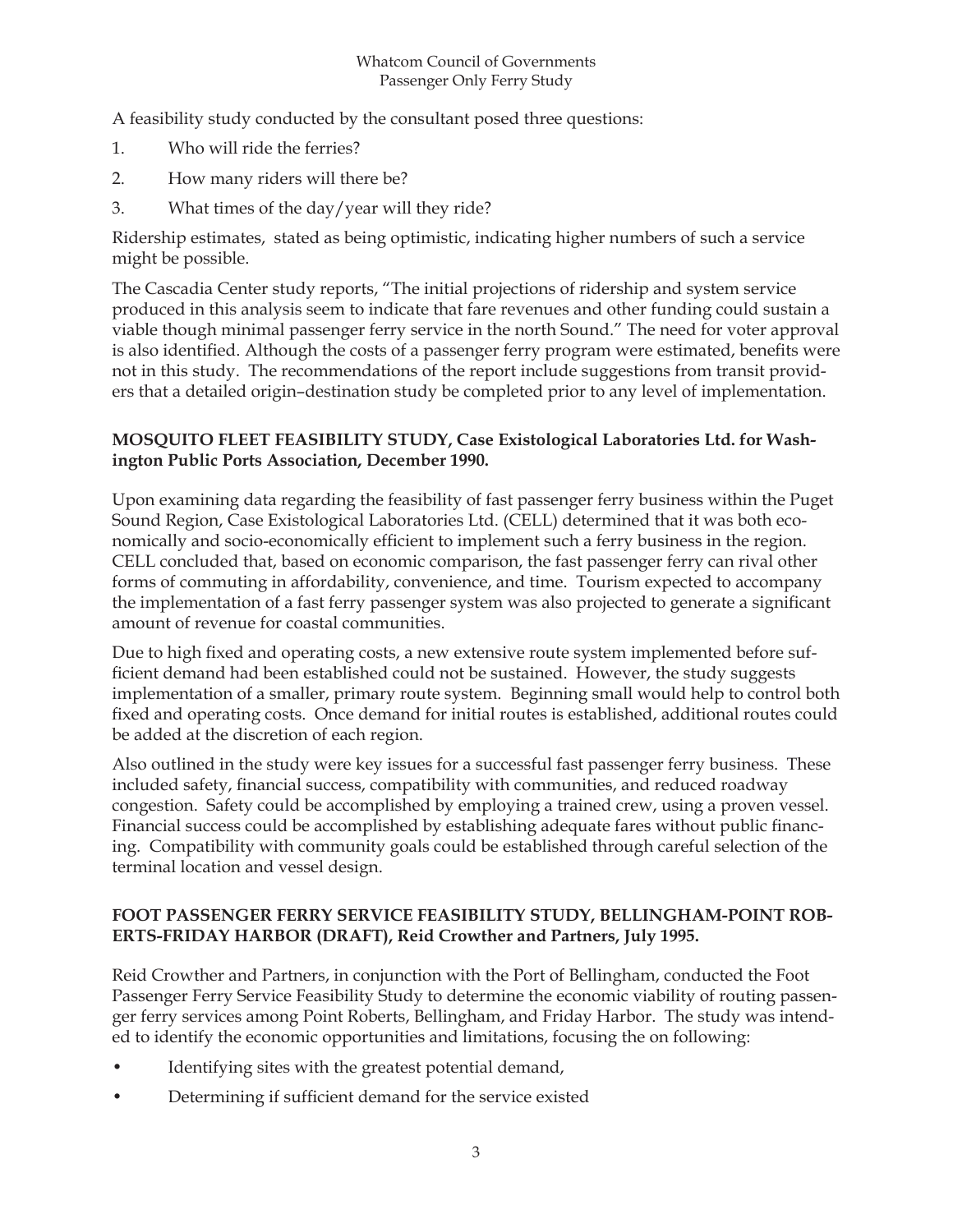A feasibility study conducted by the consultant posed three questions:

- 1. Who will ride the ferries?
- 2. How many riders will there be?
- 3. What times of the day/year will they ride?

Ridership estimates, stated as being optimistic, indicating higher numbers of such a service might be possible.

The Cascadia Center study reports, "The initial projections of ridership and system service produced in this analysis seem to indicate that fare revenues and other funding could sustain a viable though minimal passenger ferry service in the north Sound." The need for voter approval is also identified. Although the costs of a passenger ferry program were estimated, benefits were not in this study. The recommendations of the report include suggestions from transit providers that a detailed origin–destination study be completed prior to any level of implementation.

#### **MOSQUITO FLEET FEASIBILITY STUDY, Case Existological Laboratories Ltd. for Washington Public Ports Association, December 1990.**

Upon examining data regarding the feasibility of fast passenger ferry business within the Puget Sound Region, Case Existological Laboratories Ltd. (CELL) determined that it was both economically and socio-economically efficient to implement such a ferry business in the region. CELL concluded that, based on economic comparison, the fast passenger ferry can rival other forms of commuting in affordability, convenience, and time. Tourism expected to accompany the implementation of a fast ferry passenger system was also projected to generate a significant amount of revenue for coastal communities.

Due to high fixed and operating costs, a new extensive route system implemented before sufficient demand had been established could not be sustained. However, the study suggests implementation of a smaller, primary route system. Beginning small would help to control both fixed and operating costs. Once demand for initial routes is established, additional routes could be added at the discretion of each region.

Also outlined in the study were key issues for a successful fast passenger ferry business. These included safety, financial success, compatibility with communities, and reduced roadway congestion. Safety could be accomplished by employing a trained crew, using a proven vessel. Financial success could be accomplished by establishing adequate fares without public financing. Compatibility with community goals could be established through careful selection of the terminal location and vessel design.

#### **FOOT PASSENGER FERRY SERVICE FEASIBILITY STUDY, BELLINGHAM-POINT ROB-ERTS-FRIDAY HARBOR (DRAFT), Reid Crowther and Partners, July 1995.**

Reid Crowther and Partners, in conjunction with the Port of Bellingham, conducted the Foot Passenger Ferry Service Feasibility Study to determine the economic viability of routing passenger ferry services among Point Roberts, Bellingham, and Friday Harbor. The study was intended to identify the economic opportunities and limitations, focusing the on following:

- Identifying sites with the greatest potential demand,
- Determining if sufficient demand for the service existed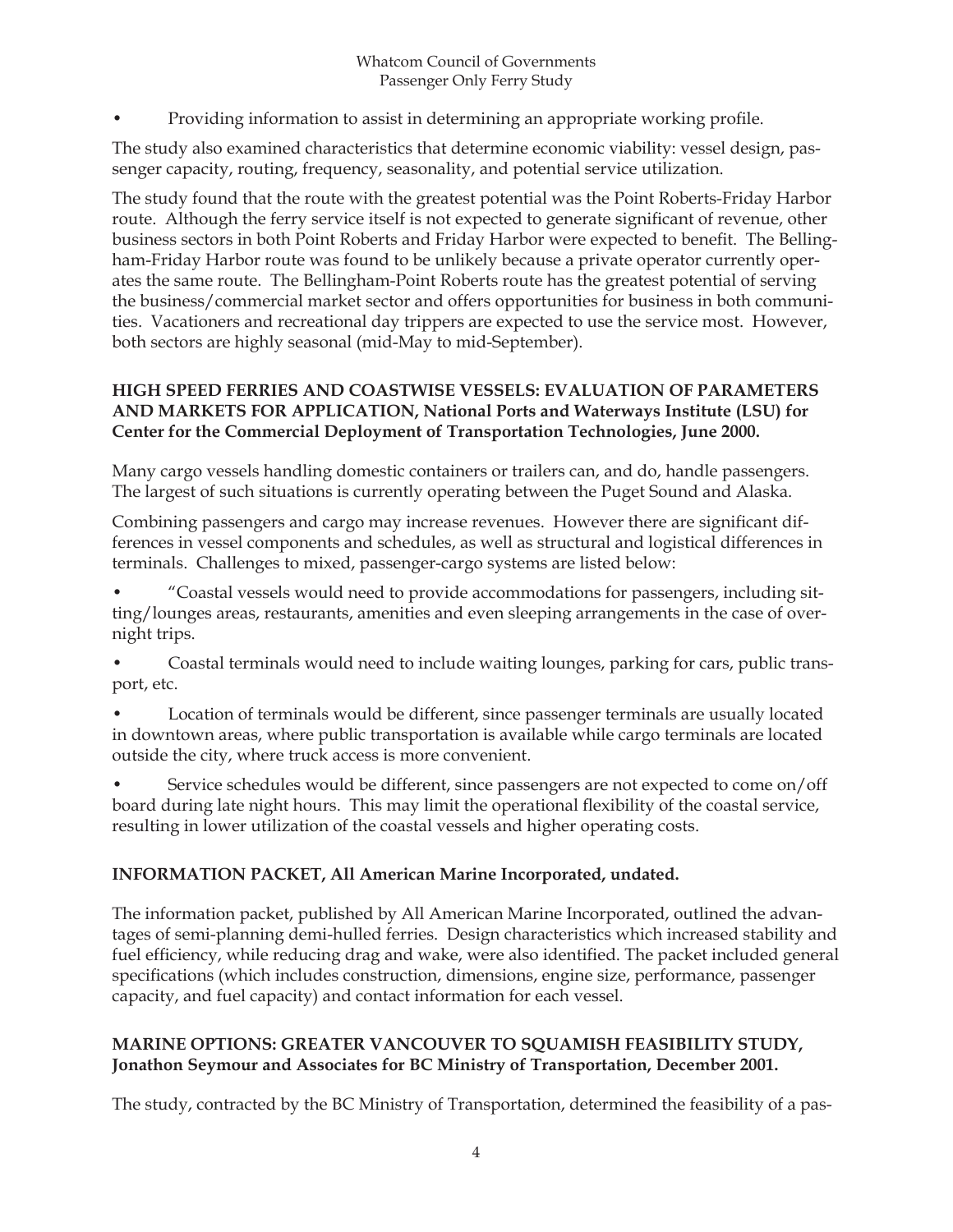Providing information to assist in determining an appropriate working profile.

The study also examined characteristics that determine economic viability: vessel design, passenger capacity, routing, frequency, seasonality, and potential service utilization.

The study found that the route with the greatest potential was the Point Roberts-Friday Harbor route. Although the ferry service itself is not expected to generate significant of revenue, other business sectors in both Point Roberts and Friday Harbor were expected to benefit. The Bellingham-Friday Harbor route was found to be unlikely because a private operator currently operates the same route. The Bellingham-Point Roberts route has the greatest potential of serving the business/commercial market sector and offers opportunities for business in both communities. Vacationers and recreational day trippers are expected to use the service most. However, both sectors are highly seasonal (mid-May to mid-September).

#### **HIGH SPEED FERRIES AND COASTWISE VESSELS: EVALUATION OF PARAMETERS AND MARKETS FOR APPLICATION, National Ports and Waterways Institute (LSU) for Center for the Commercial Deployment of Transportation Technologies, June 2000.**

Many cargo vessels handling domestic containers or trailers can, and do, handle passengers. The largest of such situations is currently operating between the Puget Sound and Alaska.

Combining passengers and cargo may increase revenues. However there are significant differences in vessel components and schedules, as well as structural and logistical differences in terminals. Challenges to mixed, passenger-cargo systems are listed below:

• "Coastal vessels would need to provide accommodations for passengers, including sitting/lounges areas, restaurants, amenities and even sleeping arrangements in the case of overnight trips.

• Coastal terminals would need to include waiting lounges, parking for cars, public transport, etc.

• Location of terminals would be different, since passenger terminals are usually located in downtown areas, where public transportation is available while cargo terminals are located outside the city, where truck access is more convenient.

• Service schedules would be different, since passengers are not expected to come on/off board during late night hours. This may limit the operational flexibility of the coastal service, resulting in lower utilization of the coastal vessels and higher operating costs.

#### **INFORMATION PACKET, All American Marine Incorporated, undated.**

The information packet, published by All American Marine Incorporated, outlined the advantages of semi-planning demi-hulled ferries. Design characteristics which increased stability and fuel efficiency, while reducing drag and wake, were also identified. The packet included general specifications (which includes construction, dimensions, engine size, performance, passenger capacity, and fuel capacity) and contact information for each vessel.

#### **MARINE OPTIONS: GREATER VANCOUVER TO SQUAMISH FEASIBILITY STUDY, Jonathon Seymour and Associates for BC Ministry of Transportation, December 2001.**

The study, contracted by the BC Ministry of Transportation, determined the feasibility of a pas-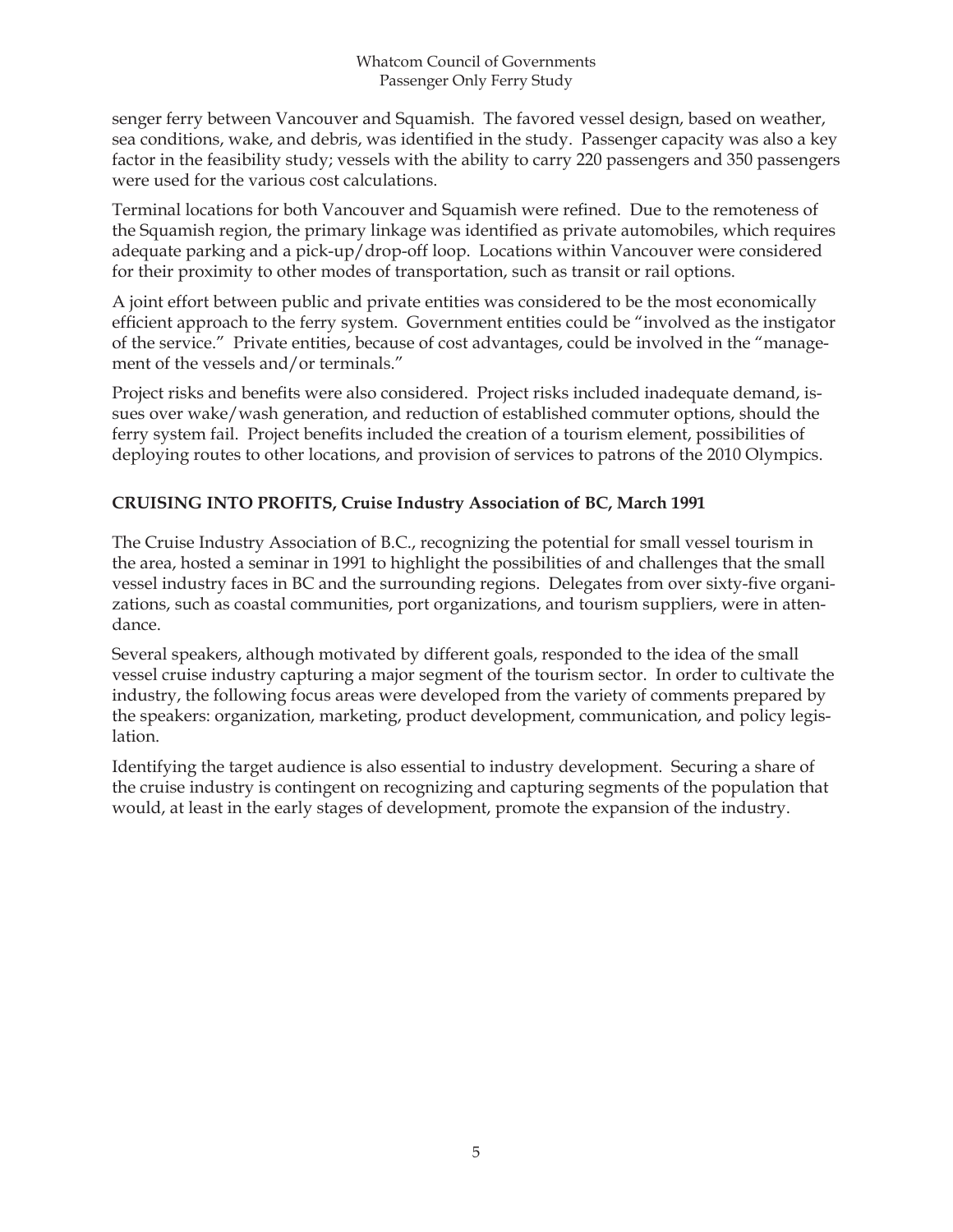senger ferry between Vancouver and Squamish. The favored vessel design, based on weather, sea conditions, wake, and debris, was identified in the study. Passenger capacity was also a key factor in the feasibility study; vessels with the ability to carry 220 passengers and 350 passengers were used for the various cost calculations.

Terminal locations for both Vancouver and Squamish were refined. Due to the remoteness of the Squamish region, the primary linkage was identified as private automobiles, which requires adequate parking and a pick-up/drop-off loop. Locations within Vancouver were considered for their proximity to other modes of transportation, such as transit or rail options.

A joint effort between public and private entities was considered to be the most economically efficient approach to the ferry system. Government entities could be "involved as the instigator" of the service." Private entities, because of cost advantages, could be involved in the "management of the vessels and/or terminals."

Project risks and benefits were also considered. Project risks included inadequate demand, issues over wake/wash generation, and reduction of established commuter options, should the ferry system fail. Project benefits included the creation of a tourism element, possibilities of deploying routes to other locations, and provision of services to patrons of the 2010 Olympics.

#### **CRUISING INTO PROFITS, Cruise Industry Association of BC, March 1991**

The Cruise Industry Association of B.C., recognizing the potential for small vessel tourism in the area, hosted a seminar in 1991 to highlight the possibilities of and challenges that the small vessel industry faces in BC and the surrounding regions. Delegates from over sixty-five organizations, such as coastal communities, port organizations, and tourism suppliers, were in attendance.

Several speakers, although motivated by different goals, responded to the idea of the small vessel cruise industry capturing a major segment of the tourism sector. In order to cultivate the industry, the following focus areas were developed from the variety of comments prepared by the speakers: organization, marketing, product development, communication, and policy legislation.

Identifying the target audience is also essential to industry development. Securing a share of the cruise industry is contingent on recognizing and capturing segments of the population that would, at least in the early stages of development, promote the expansion of the industry.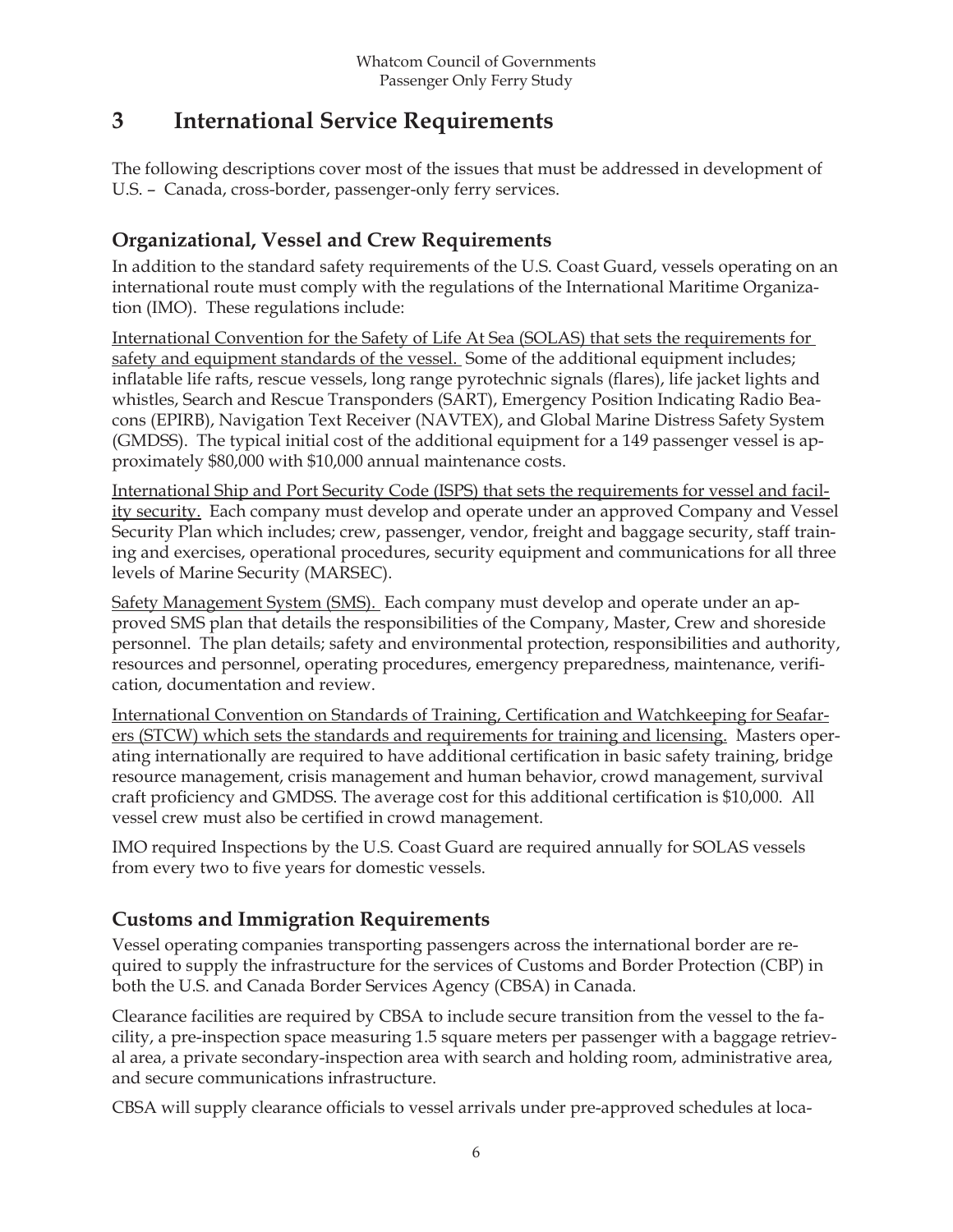## **3 International Service Requirements**

The following descriptions cover most of the issues that must be addressed in development of U.S. – Canada, cross-border, passenger-only ferry services.

## **Organizational, Vessel and Crew Requirements**

In addition to the standard safety requirements of the U.S. Coast Guard, vessels operating on an international route must comply with the regulations of the International Maritime Organization (IMO). These regulations include:

International Convention for the Safety of Life At Sea (SOLAS) that sets the requirements for safety and equipment standards of the vessel. Some of the additional equipment includes; inflatable life rafts, rescue vessels, long range pyrotechnic signals (flares), life jacket lights and whistles, Search and Rescue Transponders (SART), Emergency Position Indicating Radio Beacons (EPIRB), Navigation Text Receiver (NAVTEX), and Global Marine Distress Safety System (GMDSS). The typical initial cost of the additional equipment for a 149 passenger vessel is approximately \$80,000 with \$10,000 annual maintenance costs.

International Ship and Port Security Code (ISPS) that sets the requirements for vessel and facility security. Each company must develop and operate under an approved Company and Vessel Security Plan which includes; crew, passenger, vendor, freight and baggage security, staff training and exercises, operational procedures, security equipment and communications for all three levels of Marine Security (MARSEC).

Safety Management System (SMS). Each company must develop and operate under an approved SMS plan that details the responsibilities of the Company, Master, Crew and shoreside personnel. The plan details; safety and environmental protection, responsibilities and authority, resources and personnel, operating procedures, emergency preparedness, maintenance, verifi cation, documentation and review.

International Convention on Standards of Training, Certification and Watchkeeping for Seafarers (STCW) which sets the standards and requirements for training and licensing. Masters operating internationally are required to have additional certification in basic safety training, bridge resource management, crisis management and human behavior, crowd management, survival craft proficiency and GMDSS. The average cost for this additional certification is \$10,000. All vessel crew must also be certified in crowd management.

IMO required Inspections by the U.S. Coast Guard are required annually for SOLAS vessels from every two to five years for domestic vessels.

## **Customs and Immigration Requirements**

Vessel operating companies transporting passengers across the international border are required to supply the infrastructure for the services of Customs and Border Protection (CBP) in both the U.S. and Canada Border Services Agency (CBSA) in Canada.

Clearance facilities are required by CBSA to include secure transition from the vessel to the facility, a pre-inspection space measuring 1.5 square meters per passenger with a baggage retrieval area, a private secondary-inspection area with search and holding room, administrative area, and secure communications infrastructure.

CBSA will supply clearance officials to vessel arrivals under pre-approved schedules at loca-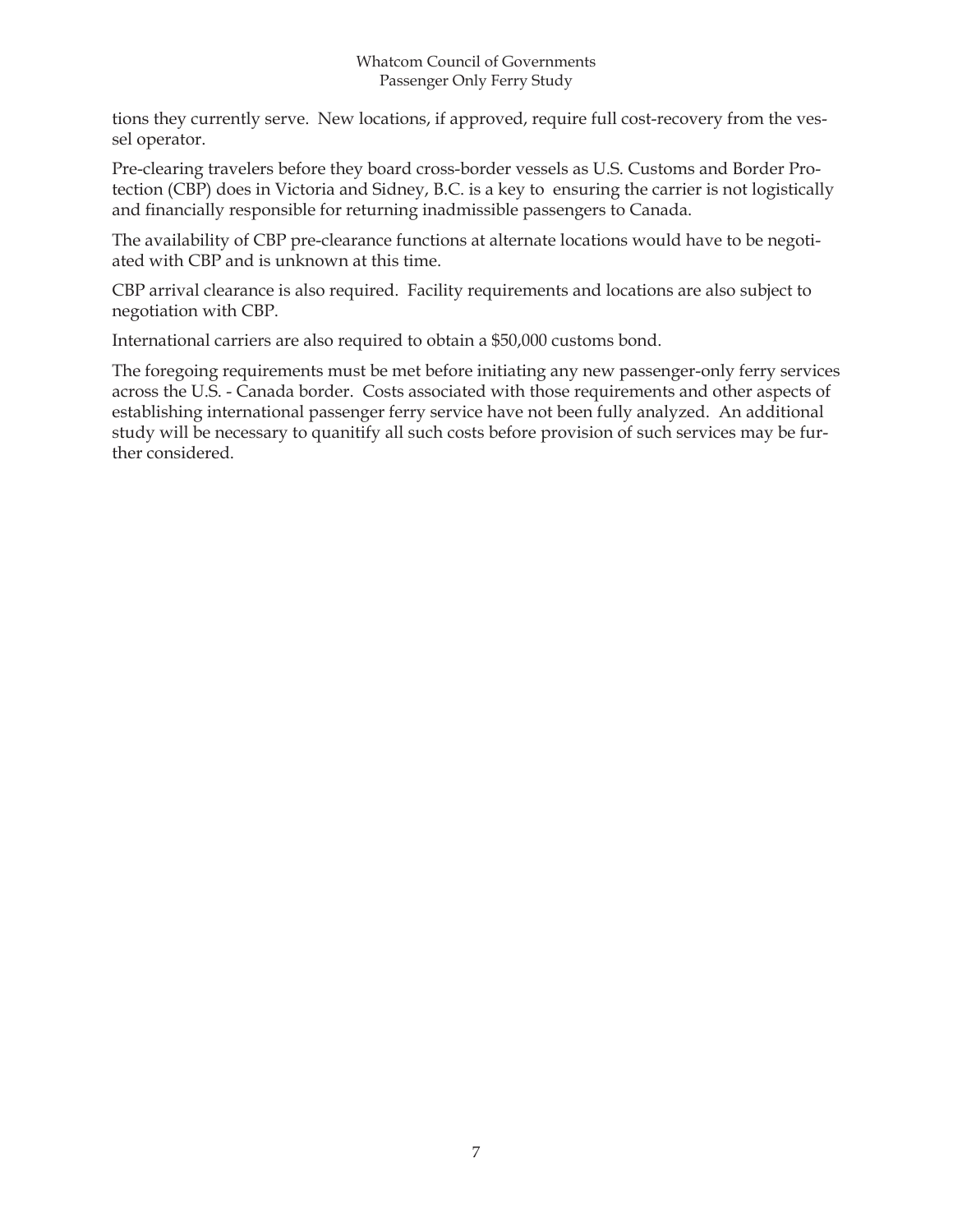#### Whatcom Council of Governments Passenger Only Ferry Study

tions they currently serve. New locations, if approved, require full cost-recovery from the vessel operator.

Pre-clearing travelers before they board cross-border vessels as U.S. Customs and Border Protection (CBP) does in Victoria and Sidney, B.C. is a key to ensuring the carrier is not logistically and financially responsible for returning inadmissible passengers to Canada.

The availability of CBP pre-clearance functions at alternate locations would have to be negotiated with CBP and is unknown at this time.

CBP arrival clearance is also required. Facility requirements and locations are also subject to negotiation with CBP.

International carriers are also required to obtain a \$50,000 customs bond.

The foregoing requirements must be met before initiating any new passenger-only ferry services across the U.S. - Canada border. Costs associated with those requirements and other aspects of establishing international passenger ferry service have not been fully analyzed. An additional study will be necessary to quanitify all such costs before provision of such services may be further considered.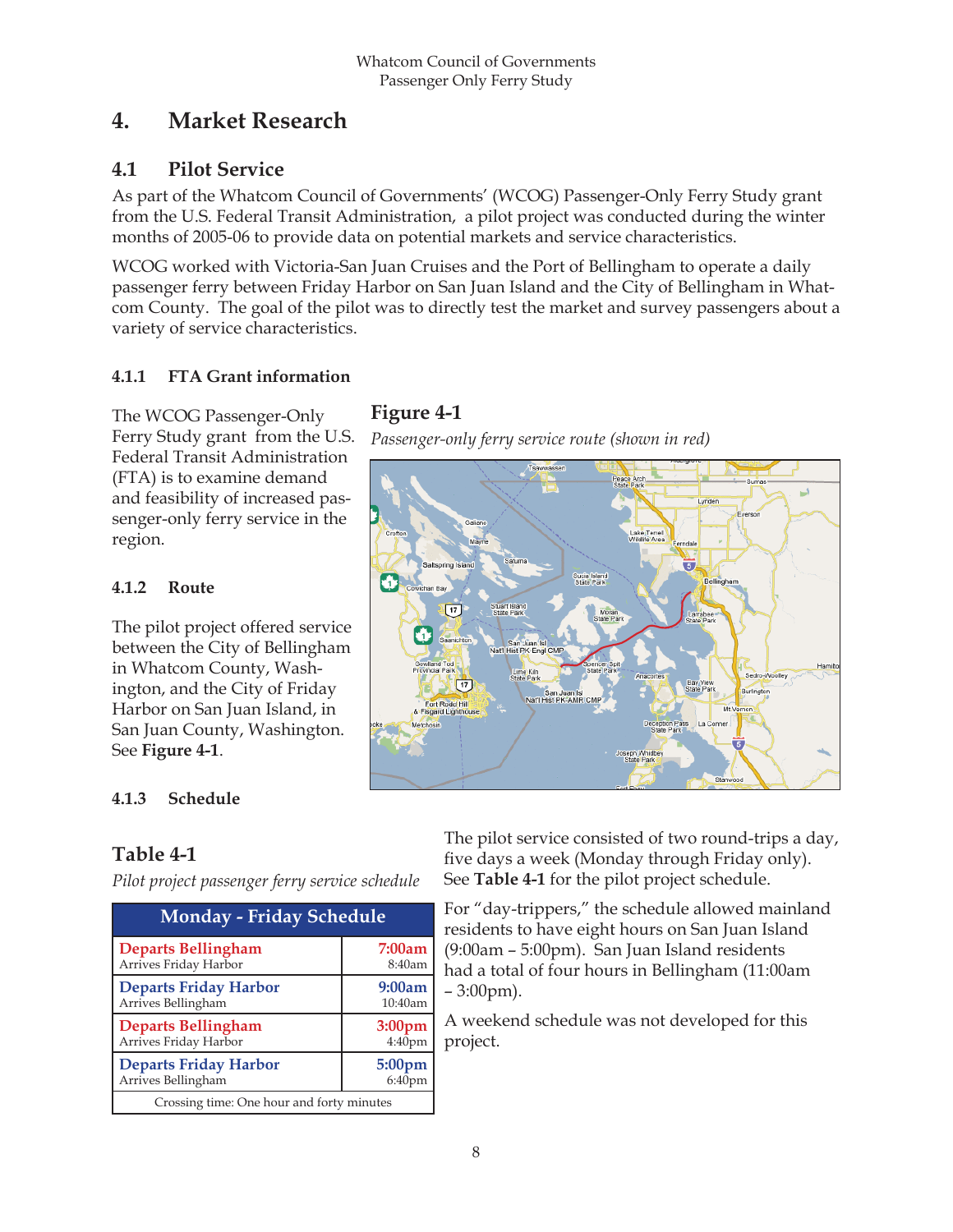## **4. Market Research**

## **4.1 Pilot Service**

As part of the Whatcom Council of Governments' (WCOG) Passenger-Only Ferry Study grant from the U.S. Federal Transit Administration, a pilot project was conducted during the winter months of 2005-06 to provide data on potential markets and service characteristics.

WCOG worked with Victoria-San Juan Cruises and the Port of Bellingham to operate a daily passenger ferry between Friday Harbor on San Juan Island and the City of Bellingham in Whatcom County. The goal of the pilot was to directly test the market and survey passengers about a variety of service characteristics.

#### **4.1.1 FTA Grant information**

The WCOG Passenger-Only Ferry Study grant from the U.S. Federal Transit Administration (FTA) is to examine demand and feasibility of increased passenger-only ferry service in the region.

#### **4.1.2 Route**

The pilot project offered service between the City of Bellingham in Whatcom County, Washington, and the City of Friday Harbor on San Juan Island, in San Juan County, Washington. See **Figure 4-1**.

## **Figure 4-1**

*Passenger-only ferry service route (shown in red)*



#### **4.1.3 Schedule**

## **Table 4-1**

*Pilot project passenger ferry service schedule*

| <b>Monday - Friday Schedule</b>           |                    |  |  |  |  |  |  |
|-------------------------------------------|--------------------|--|--|--|--|--|--|
| <b>Departs Bellingham</b>                 | 7:00am             |  |  |  |  |  |  |
| Arrives Friday Harbor                     | 8:40am             |  |  |  |  |  |  |
| <b>Departs Friday Harbor</b>              | 9:00am             |  |  |  |  |  |  |
| Arrives Bellingham                        | 10:40am            |  |  |  |  |  |  |
| <b>Departs Bellingham</b>                 | 3:00pm             |  |  |  |  |  |  |
| Arrives Friday Harbor                     | 4:40 <sub>pm</sub> |  |  |  |  |  |  |
| <b>Departs Friday Harbor</b>              | 5:00 <sub>pm</sub> |  |  |  |  |  |  |
| Arrives Bellingham                        | 6:40pm             |  |  |  |  |  |  |
| Crossing time: One hour and forty minutes |                    |  |  |  |  |  |  |

The pilot service consisted of two round-trips a day, five days a week (Monday through Friday only). See **Table 4-1** for the pilot project schedule.

For "day-trippers," the schedule allowed mainland residents to have eight hours on San Juan Island (9:00am – 5:00pm). San Juan Island residents had a total of four hours in Bellingham (11:00am – 3:00pm).

A weekend schedule was not developed for this project.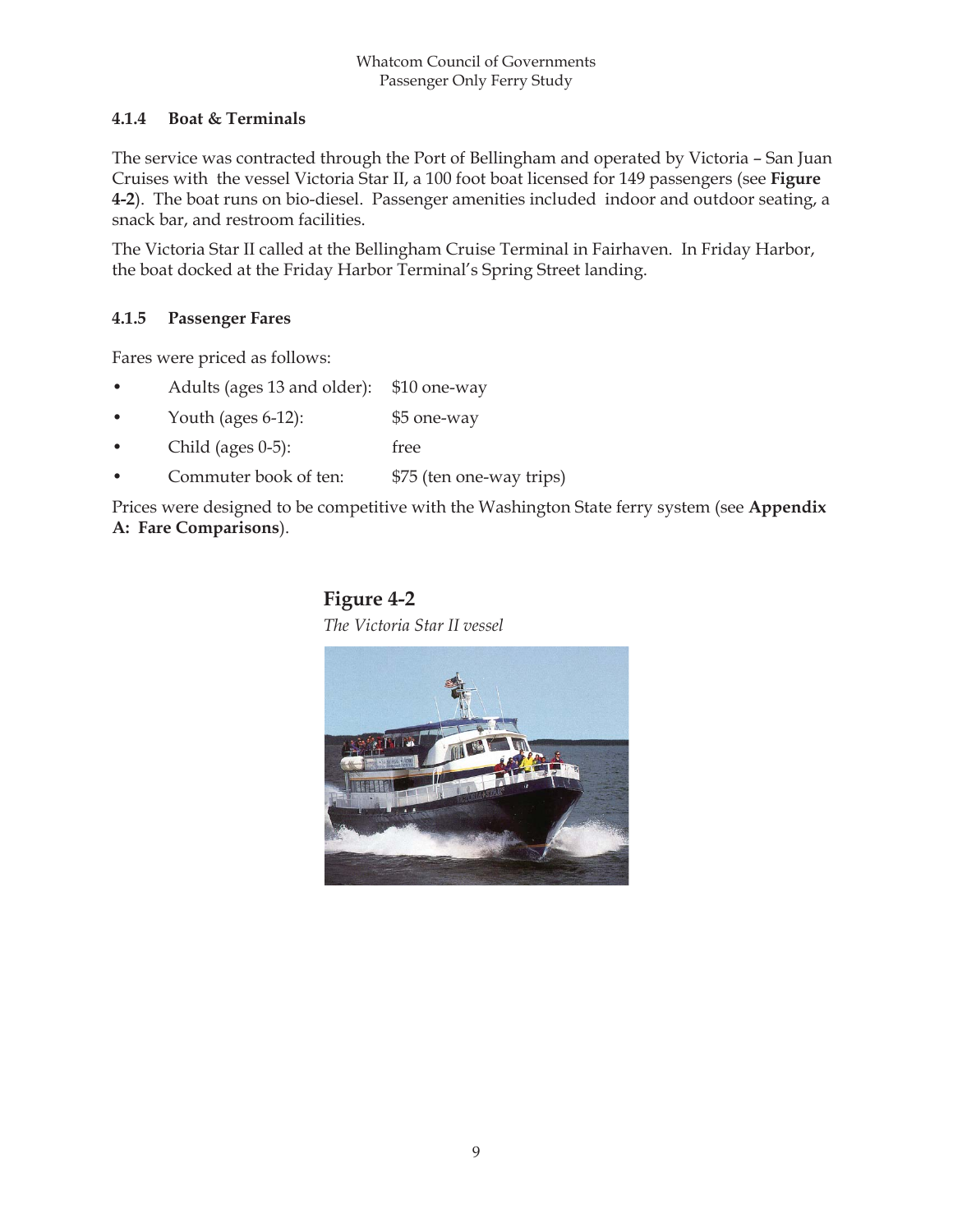#### **4.1.4 Boat & Terminals**

The service was contracted through the Port of Bellingham and operated by Victoria – San Juan Cruises with the vessel Victoria Star II, a 100 foot boat licensed for 149 passengers (see **Figure 4-2**). The boat runs on bio-diesel. Passenger amenities included indoor and outdoor seating, a snack bar, and restroom facilities.

The Victoria Star II called at the Bellingham Cruise Terminal in Fairhaven. In Friday Harbor, the boat docked at the Friday Harbor Terminal's Spring Street landing.

#### **4.1.5 Passenger Fares**

Fares were priced as follows:

- Adults (ages 13 and older): \$10 one-way
- Youth (ages 6-12): \$5 one-way
- Child (ages 0-5): free
- Commuter book of ten: \$75 (ten one-way trips)

Prices were designed to be competitive with the Washington State ferry system (see **Appendix A: Fare Comparisons**).

# **Figure 4-2**

*The Victoria Star II vessel*

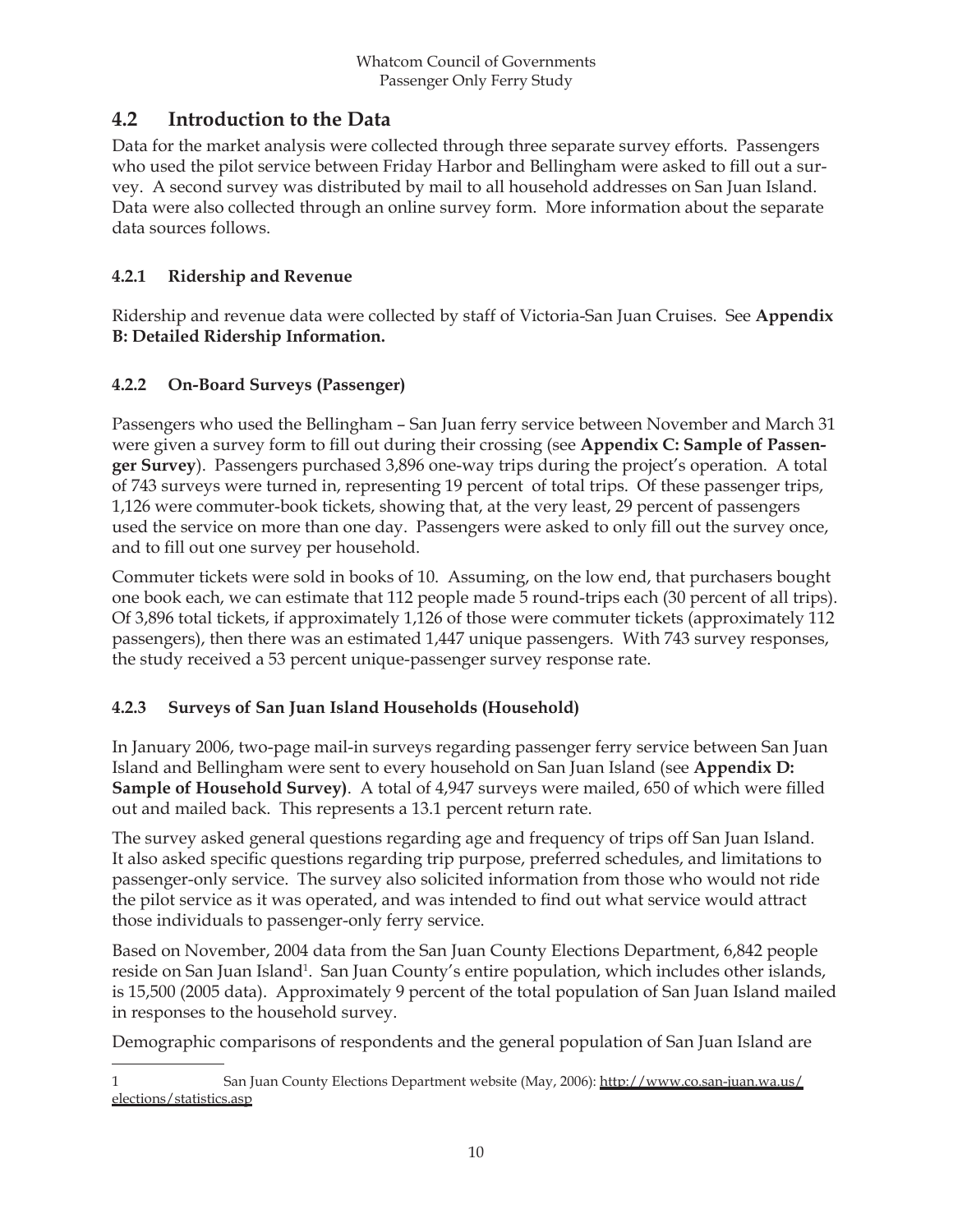## **4.2 Introduction to the Data**

Data for the market analysis were collected through three separate survey efforts. Passengers who used the pilot service between Friday Harbor and Bellingham were asked to fill out a survey. A second survey was distributed by mail to all household addresses on San Juan Island. Data were also collected through an online survey form. More information about the separate data sources follows.

#### **4.2.1 Ridership and Revenue**

Ridership and revenue data were collected by staff of Victoria-San Juan Cruises. See **Appendix B: Detailed Ridership Information.**

#### **4.2.2 On-Board Surveys (Passenger)**

Passengers who used the Bellingham – San Juan ferry service between November and March 31 were given a survey form to fill out during their crossing (see Appendix C: Sample of Passen**ger Survey**). Passengers purchased 3,896 one-way trips during the project's operation. A total of 743 surveys were turned in, representing 19 percent of total trips. Of these passenger trips, 1,126 were commuter-book tickets, showing that, at the very least, 29 percent of passengers used the service on more than one day. Passengers were asked to only fill out the survey once, and to fill out one survey per household.

Commuter tickets were sold in books of 10. Assuming, on the low end, that purchasers bought one book each, we can estimate that 112 people made 5 round-trips each (30 percent of all trips). Of 3,896 total tickets, if approximately 1,126 of those were commuter tickets (approximately 112 passengers), then there was an estimated 1,447 unique passengers. With 743 survey responses, the study received a 53 percent unique-passenger survey response rate.

#### **4.2.3 Surveys of San Juan Island Households (Household)**

In January 2006, two-page mail-in surveys regarding passenger ferry service between San Juan Island and Bellingham were sent to every household on San Juan Island (see **Appendix D: Sample of Household Survey)**. A total of 4,947 surveys were mailed, 650 of which were filled out and mailed back. This represents a 13.1 percent return rate.

The survey asked general questions regarding age and frequency of trips off San Juan Island. It also asked specific questions regarding trip purpose, preferred schedules, and limitations to passenger-only service. The survey also solicited information from those who would not ride the pilot service as it was operated, and was intended to find out what service would attract those individuals to passenger-only ferry service.

Based on November, 2004 data from the San Juan County Elections Department, 6,842 people reside on San Juan Island<sup>1</sup>. San Juan County's entire population, which includes other islands, is 15,500 (2005 data). Approximately 9 percent of the total population of San Juan Island mailed in responses to the household survey.

Demographic comparisons of respondents and the general population of San Juan Island are

<sup>1</sup> San Juan County Elections Department website (May, 2006): http://www.co.san-juan.wa.us/ elections/statistics.asp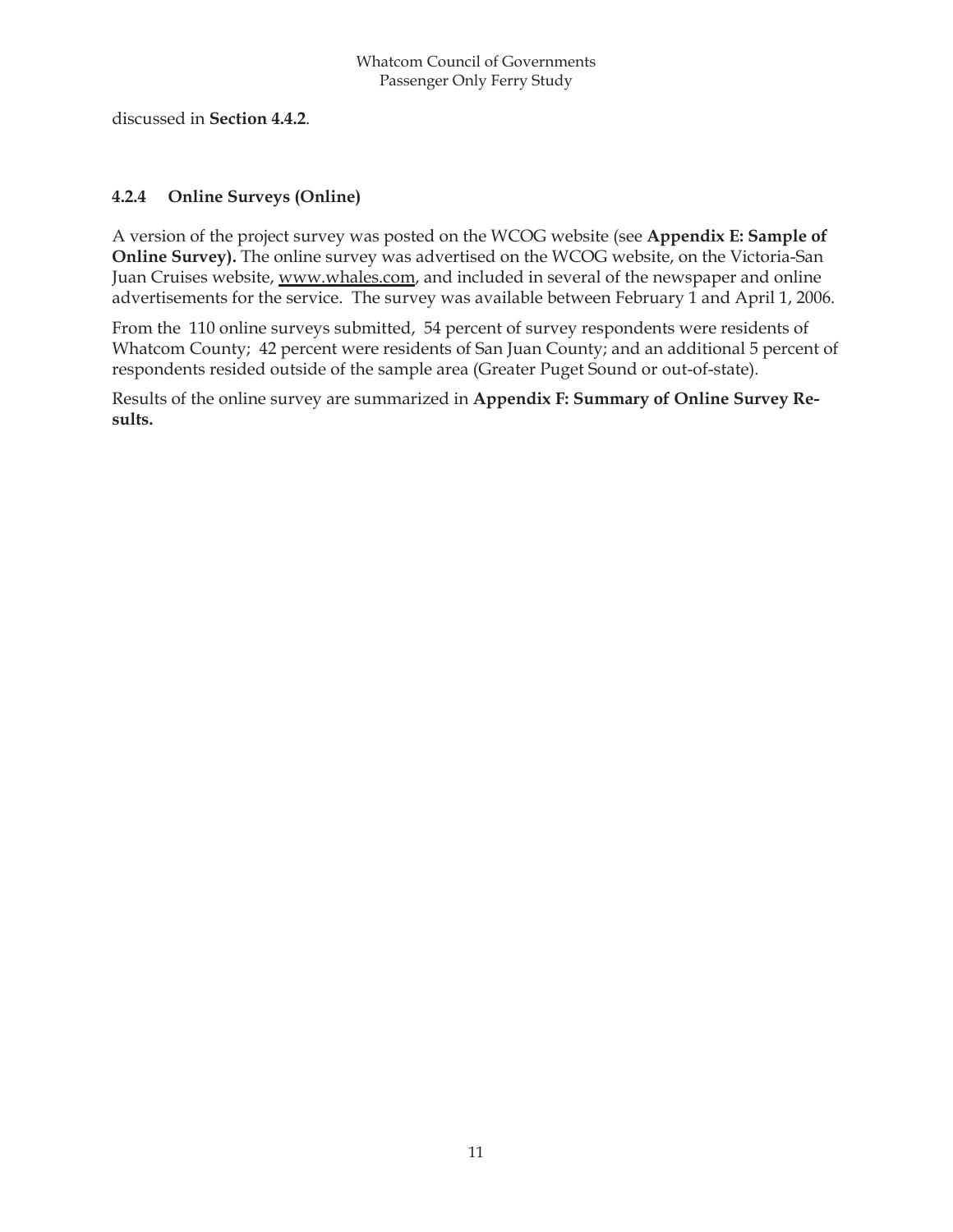discussed in **Section 4.4.2**.

#### **4.2.4 Online Surveys (Online)**

A version of the project survey was posted on the WCOG website (see **Appendix E: Sample of Online Survey).** The online survey was advertised on the WCOG website, on the Victoria-San Juan Cruises website, www.whales.com, and included in several of the newspaper and online advertisements for the service. The survey was available between February 1 and April 1, 2006.

From the 110 online surveys submitted, 54 percent of survey respondents were residents of Whatcom County; 42 percent were residents of San Juan County; and an additional 5 percent of respondents resided outside of the sample area (Greater Puget Sound or out-of-state).

Results of the online survey are summarized in **Appendix F: Summary of Online Survey Results.**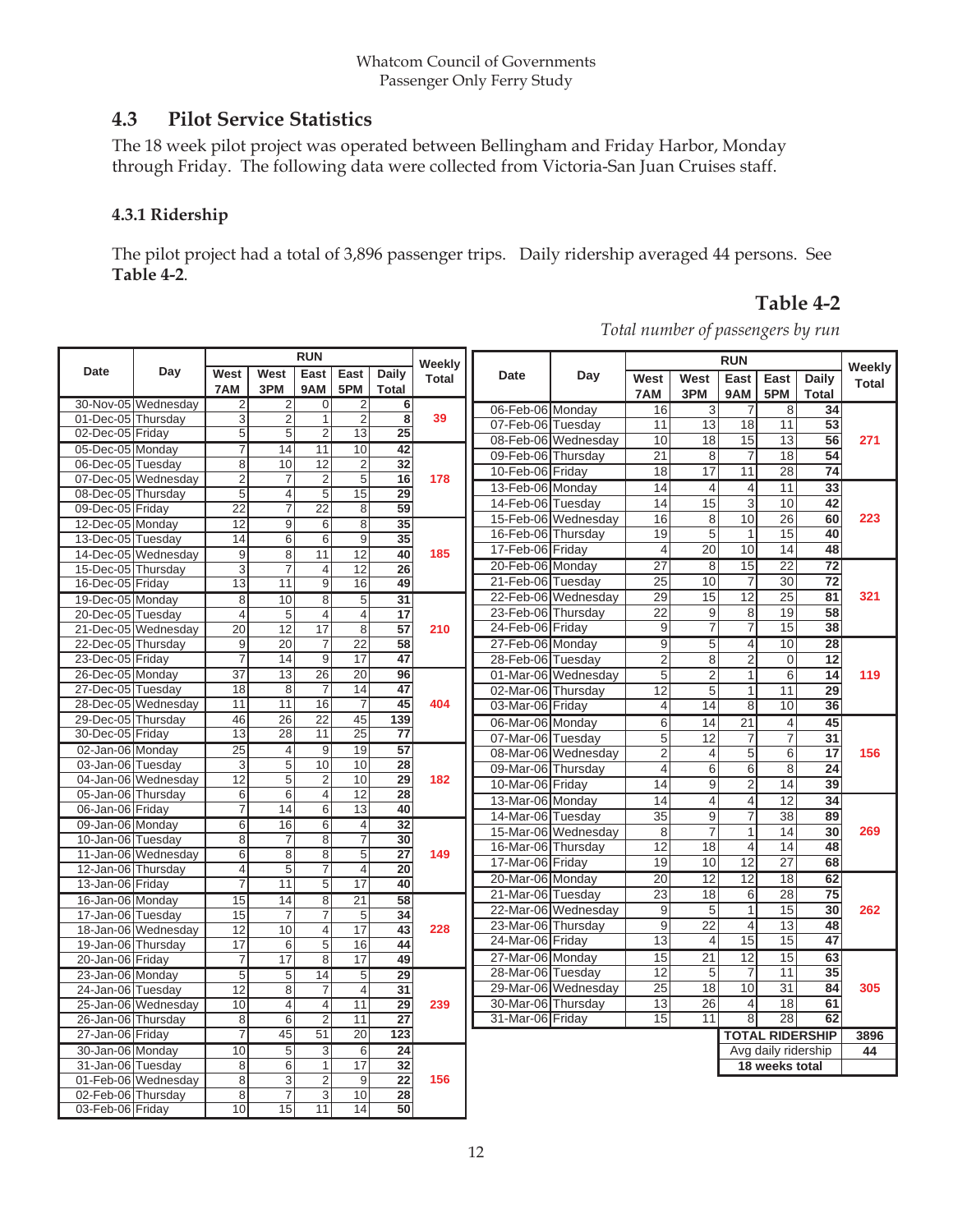## **4.3 Pilot Service Statistics**

The 18 week pilot project was operated between Bellingham and Friday Harbor, Monday through Friday. The following data were collected from Victoria-San Juan Cruises staff.

#### **4.3.1 Ridership**

The pilot project had a total of 3,896 passenger trips. Daily ridership averaged 44 persons. See **Table 4-2**.

#### **Table 4-2**

*Total number of passengers by run*

|                                        |                     | <b>RUN</b>                        |                     |                                  | Weekly                            |                                            |              | <b>RUN</b>                             |                     |                 |                                   | Weekly              |                       |                        |              |
|----------------------------------------|---------------------|-----------------------------------|---------------------|----------------------------------|-----------------------------------|--------------------------------------------|--------------|----------------------------------------|---------------------|-----------------|-----------------------------------|---------------------|-----------------------|------------------------|--------------|
| <b>Date</b>                            | Day                 | West                              | West                | East                             | East                              | Daily                                      | <b>Total</b> | <b>Date</b>                            | Day                 | West            | West                              | East                | East                  | Daily                  | <b>Total</b> |
|                                        |                     | 7AM                               | 3PM                 | 9AM                              | 5PM                               | <b>Total</b>                               |              |                                        |                     | 7AM             | 3PM                               | 9AM                 | 5PM                   | <b>Total</b>           |              |
|                                        | 30-Nov-05 Wednesday | $\overline{2}$                    | 2                   | $\mathbf 0$                      | $\overline{2}$                    | $\overline{6}$                             |              | 06-Feb-06 Monday                       |                     | 16              | 3                                 | 7                   | 8                     | 34                     |              |
| 01-Dec-05 Thursday                     |                     | 3                                 | $\overline{2}$      | $\mathbf{1}$                     | $\overline{2}$                    | $\overline{\mathbf{8}}$<br>$\overline{25}$ | 39           | 07-Feb-06 Tuesday                      |                     | 11              | $\overline{13}$                   | $\overline{18}$     | $\overline{11}$       | $\overline{53}$        |              |
| 02-Dec-05 Friday                       |                     | 5                                 | $\overline{5}$      | $\overline{2}$                   | 13                                |                                            |              |                                        | 08-Feb-06 Wednesday | 10              | 18                                | 15                  | $\overline{13}$       | $\overline{56}$        | 271          |
| 05-Dec-05 Monday                       |                     | $\overline{7}$                    | 14                  | 11                               | 10                                | $\overline{42}$                            |              | 09-Feb-06 Thursday                     |                     | 21              | 8                                 | $\overline{7}$      | $\overline{18}$       | $\overline{54}$        |              |
| 06-Dec-05 Tuesday                      |                     | 8                                 | 10                  | 12                               | $\overline{2}$                    | $\overline{32}$<br>$\overline{16}$         | 178          | 10-Feb-06 Friday                       |                     | 18              | 17                                | 11                  | 28                    | $\overline{74}$        |              |
|                                        | 07-Dec-05 Wednesday | $\overline{2}$<br>$\overline{5}$  | $\overline{7}$      | $\overline{2}$<br>$\overline{5}$ | $\overline{5}$<br>$\overline{15}$ | 29                                         |              | 13-Feb-06 Monday                       |                     | 14              | $\overline{4}$                    | $\overline{4}$      | 11                    | $\overline{33}$        |              |
| 08-Dec-05 Thursday<br>09-Dec-05 Friday |                     | $\overline{22}$                   | 4<br>$\overline{7}$ | $\overline{22}$                  | 8                                 | 59                                         |              | 14-Feb-06 Tuesday                      |                     | 14              | 15                                | $\overline{3}$      | 10                    | 42                     |              |
|                                        |                     | $\overline{12}$                   | $\overline{9}$      |                                  |                                   | $\overline{35}$                            |              |                                        | 15-Feb-06 Wednesday | 16              | 8                                 | 10                  | $\overline{26}$       | $\overline{60}$        | 223          |
| 12-Dec-05 Monday<br>13-Dec-05 Tuesday  |                     | 14                                | $\overline{6}$      | $6 \,$<br>6                      | 8<br>9                            | 35                                         |              | 16-Feb-06 Thursday                     |                     | 19              | 5                                 | $\mathbf{1}$        | 15                    | 40                     |              |
|                                        | 14-Dec-05 Wednesday | 9                                 | $\overline{8}$      | 11                               | 12                                | 40                                         | 185          | 17-Feb-06 Friday                       |                     | $\overline{4}$  | 20                                | 10                  | $\overline{14}$       | $\overline{48}$        |              |
| 15-Dec-05 Thursday                     |                     | $\overline{3}$                    | 7                   | $\overline{4}$                   | 12                                | $\overline{26}$                            |              | 20-Feb-06 Monday                       |                     | $\overline{27}$ | $\overline{8}$                    | $\overline{15}$     | $\overline{22}$       | $\overline{72}$        |              |
| 16-Dec-05 Friday                       |                     | $\overline{13}$                   | 11                  | $\overline{9}$                   | 16                                | 49                                         |              | 21-Feb-06 Tuesday                      |                     | $\overline{25}$ | $\overline{10}$                   | $\overline{7}$      | $\overline{30}$       | $\overline{72}$        |              |
| 19-Dec-05 Monday                       |                     | $\overline{8}$                    | 10                  | $\overline{8}$                   | $\overline{5}$                    | $\overline{31}$                            |              |                                        | 22-Feb-06 Wednesday | $\overline{29}$ | $\overline{15}$                   | $\overline{12}$     | $\overline{25}$       | $\overline{81}$        | 321          |
| 20-Dec-05 Tuesday                      |                     | $\overline{4}$                    | $\overline{5}$      | $\overline{4}$                   | $\overline{4}$                    | 17                                         |              | 23-Feb-06 Thursday                     |                     | 22              | 9                                 | 8                   | $\overline{19}$       | $\overline{58}$        |              |
|                                        | 21-Dec-05 Wednesday | $\overline{20}$                   | $\overline{12}$     | $\overline{17}$                  | $\overline{8}$                    | $\overline{57}$                            | 210          | 24-Feb-06 Friday                       |                     | $\overline{9}$  | $\overline{7}$                    | $\overline{7}$      | $\overline{15}$       | $\overline{38}$        |              |
| 22-Dec-05 Thursday                     |                     | 9                                 | 20                  | $\overline{7}$                   | 22                                | 58                                         |              | 27-Feb-06 Monday                       |                     | $\overline{9}$  | $\overline{5}$                    | 4                   | 10                    | 28                     |              |
| 23-Dec-05 Friday                       |                     | 7                                 | 14                  | $\overline{9}$                   | $\overline{17}$                   | $\overline{47}$                            |              | 28-Feb-06 Tuesdav                      |                     | $\overline{2}$  | $\overline{8}$                    | $\overline{2}$      | $\overline{0}$        | $\overline{12}$        |              |
| 26-Dec-05 Monday                       |                     | $\overline{37}$                   | 13                  | $\overline{26}$                  | $\overline{20}$                   | 96                                         |              |                                        | 01-Mar-06 Wednesday | 5               | $\overline{2}$                    | $\mathbf{1}$        | 6                     | $\overline{14}$        | 119          |
| 27-Dec-05 Tuesday                      |                     | 18                                | 8                   | $\overline{7}$                   | 14                                | 47                                         | 404          | 02-Mar-06 Thursday                     |                     | 12              | $\overline{5}$                    | $\mathbf{1}$        | $\overline{11}$       | 29                     |              |
|                                        | 28-Dec-05 Wednesday | 11                                | 11                  | 16                               | $\overline{7}$                    | $\overline{45}$                            |              | 03-Mar-06 Friday                       |                     | $\overline{4}$  | 14                                | 8                   | 10                    | $\overline{36}$        |              |
| 29-Dec-05 Thursday                     |                     | 46                                | 26                  | 22                               | 45                                | 139                                        |              | 06-Mar-06 Monday                       |                     | $\overline{6}$  | 14                                | $\overline{21}$     | $\overline{4}$        | $\overline{45}$        |              |
| 30-Dec-05 Friday                       |                     | $\overline{13}$                   | $\overline{28}$     | $\overline{11}$                  | $\overline{25}$                   | $\overline{77}$                            |              | 07-Mar-06 Tuesday                      |                     | 5               | 12                                | $\overline{7}$      | 7                     | 31                     |              |
| 02-Jan-06 Monday                       |                     | 25                                | $\overline{4}$      | $\overline{9}$                   | 19                                | $\overline{57}$                            |              |                                        | 08-Mar-06 Wednesday | $\overline{2}$  | $\overline{4}$                    | 5                   | 6                     | 17                     | 156          |
| 03-Jan-06 Tuesday                      |                     | 3                                 | $\overline{5}$      | 10                               | 10                                | 28                                         |              | 09-Mar-06 Thursday                     |                     | 4               | 6                                 | 6                   | 8                     | 24                     |              |
|                                        | 04-Jan-06 Wednesday | $\overline{12}$                   | $\overline{5}$      | $\overline{2}$                   | 10                                | $\overline{29}$                            | 182          | 10-Mar-06 Friday                       |                     | 14              | 9                                 | $\overline{2}$      | 14                    | $\overline{39}$        |              |
| 05-Jan-06 Thursday                     |                     | 6                                 | $\overline{6}$      | $\overline{4}$                   | $\overline{12}$                   | 28                                         |              | 13-Mar-06 Monday                       |                     | 14              | $\overline{4}$                    | $\overline{4}$      | $\overline{12}$       | $\overline{34}$        |              |
| 06-Jan-06 Friday                       |                     | $\overline{7}$                    | 14                  | $\overline{6}$                   | $\overline{13}$                   | 40                                         |              | 14-Mar-06 Tuesday                      |                     | $\overline{35}$ | $\overline{9}$                    | 7                   | $\overline{38}$       | $\overline{89}$        |              |
| 09-Jan-06 Monday                       |                     | 6                                 | 16                  | $6 \overline{}$                  | 4                                 | $\overline{32}$                            |              |                                        |                     |                 |                                   |                     |                       | $\overline{30}$        | 269          |
| 10-Jan-06 Tuesday                      |                     | 8                                 | $\overline{7}$      | $\overline{8}$                   | $\overline{7}$                    | $\overline{30}$                            |              |                                        | 15-Mar-06 Wednesday | 8<br>12         | $\overline{7}$<br>$\overline{18}$ | 1<br>$\overline{4}$ | 14<br>$\overline{14}$ | 48                     |              |
|                                        | 11-Jan-06 Wednesday | 6                                 | 8                   | 8                                | 5                                 | 27                                         | 149          | 16-Mar-06 Thursday<br>17-Mar-06 Friday |                     | 19              | 10                                | 12                  | $\overline{27}$       | $\overline{68}$        |              |
| 12-Jan-06 Thursday                     |                     | 4                                 | $\overline{5}$      | $\overline{7}$                   | $\overline{4}$                    | $\overline{20}$                            |              |                                        |                     |                 |                                   |                     |                       |                        |              |
| 13-Jan-06 Friday                       |                     | $\overline{7}$                    | 11                  | $\overline{5}$                   | $\overline{17}$                   | 40                                         |              | 20-Mar-06 Monday                       |                     | $\overline{20}$ | $\overline{12}$                   | $\overline{12}$     | $\overline{18}$       | 62                     |              |
| 16-Jan-06 Monday                       |                     | 15                                | 14                  | $\overline{8}$                   | $\overline{21}$                   | 58                                         |              | 21-Mar-06 Tuesday                      |                     | 23              | 18                                | 6                   | 28                    | 75                     |              |
| 17-Jan-06 Tuesday                      |                     | 15                                | $\overline{7}$      | $\overline{7}$                   | 5                                 | 34                                         |              |                                        | 22-Mar-06 Wednesday | $\overline{9}$  | $\overline{5}$                    | $\overline{1}$      | 15                    | $\overline{30}$        | 262          |
|                                        | 18-Jan-06 Wednesday | 12                                | 10                  | $\overline{4}$                   | 17                                | $\overline{43}$                            | 228          | 23-Mar-06 Thursday                     |                     | 9               | 22                                | 4                   | 13                    | 48<br>$\overline{47}$  |              |
| 19-Jan-06 Thursday                     |                     | 17                                | $6\overline{6}$     | $\overline{5}$                   | 16                                | $\overline{44}$                            |              | 24-Mar-06 Friday                       |                     | 13              | $\overline{4}$                    | $\overline{15}$     | $\overline{15}$       |                        |              |
| 20-Jan-06 Friday                       |                     | $\overline{7}$                    | $\overline{17}$     | $\overline{8}$                   | $\overline{17}$                   | 49                                         |              | 27-Mar-06 Monday                       |                     | $\overline{15}$ | $\overline{21}$                   | 12                  | $\overline{15}$       | $\overline{63}$        |              |
| 23-Jan-06 Monday                       |                     | $\overline{5}$                    | $\overline{5}$      | 14                               | $\overline{5}$                    | $\overline{29}$                            |              | 28-Mar-06 Tuesday                      |                     | $\overline{12}$ | 5                                 | $\overline{7}$      | $\overline{11}$       | $\overline{35}$        |              |
| 24-Jan-06 Tuesday                      |                     | 12                                | 8                   | $\overline{7}$                   | $\overline{4}$                    | 31                                         |              |                                        | 29-Mar-06 Wednesday | $\overline{25}$ | $\overline{18}$                   | 10                  | $\overline{31}$       | 84                     | 305          |
|                                        | 25-Jan-06 Wednesday | 10                                | 4                   | $\overline{4}$                   | 11                                | $\overline{29}$                            | 239          | 30-Mar-06 Thursday                     |                     | 13              | $\overline{26}$                   | $\overline{4}$      | $\overline{18}$       | 61                     |              |
| 26-Jan-06 Thursday                     |                     | 8                                 | $\overline{6}$      | $\overline{2}$                   | 11                                | $\overline{27}$                            |              | 31-Mar-06 Friday                       |                     | 15              | $\overline{11}$                   | $\overline{8}$      | 28                    | 62                     |              |
| 27-Jan-06 Friday                       |                     | 7                                 | $\overline{45}$     | $\overline{51}$                  | $\overline{20}$                   | $\overline{123}$                           |              |                                        |                     |                 |                                   |                     |                       | <b>TOTAL RIDERSHIP</b> | 3896         |
| 30-Jan-06 Monday                       |                     | $\overline{10}$                   | $\overline{5}$      | $\overline{3}$                   | 6                                 | $\overline{24}$                            |              |                                        |                     |                 |                                   |                     | Avg daily ridership   |                        | 44           |
| 31-Jan-06 Tuesday                      |                     | $\overline{8}$                    | $\overline{6}$      | $\overline{1}$                   | $\overline{17}$                   | $\overline{32}$                            |              |                                        |                     |                 |                                   |                     | 18 weeks total        |                        |              |
|                                        | 01-Feb-06 Wednesdav | 8                                 | 3<br>7              | $\overline{2}$                   | 9                                 | 22<br>$\overline{28}$                      | 156          |                                        |                     |                 |                                   |                     |                       |                        |              |
| 02-Feb-06 Thursday<br>03-Feb-06 Friday |                     | $\overline{8}$<br>$\overline{10}$ | $\overline{15}$     | $\overline{3}$<br>11             | 10<br>14                          | $\overline{50}$                            |              |                                        |                     |                 |                                   |                     |                       |                        |              |
|                                        |                     |                                   |                     |                                  |                                   |                                            |              |                                        |                     |                 |                                   |                     |                       |                        |              |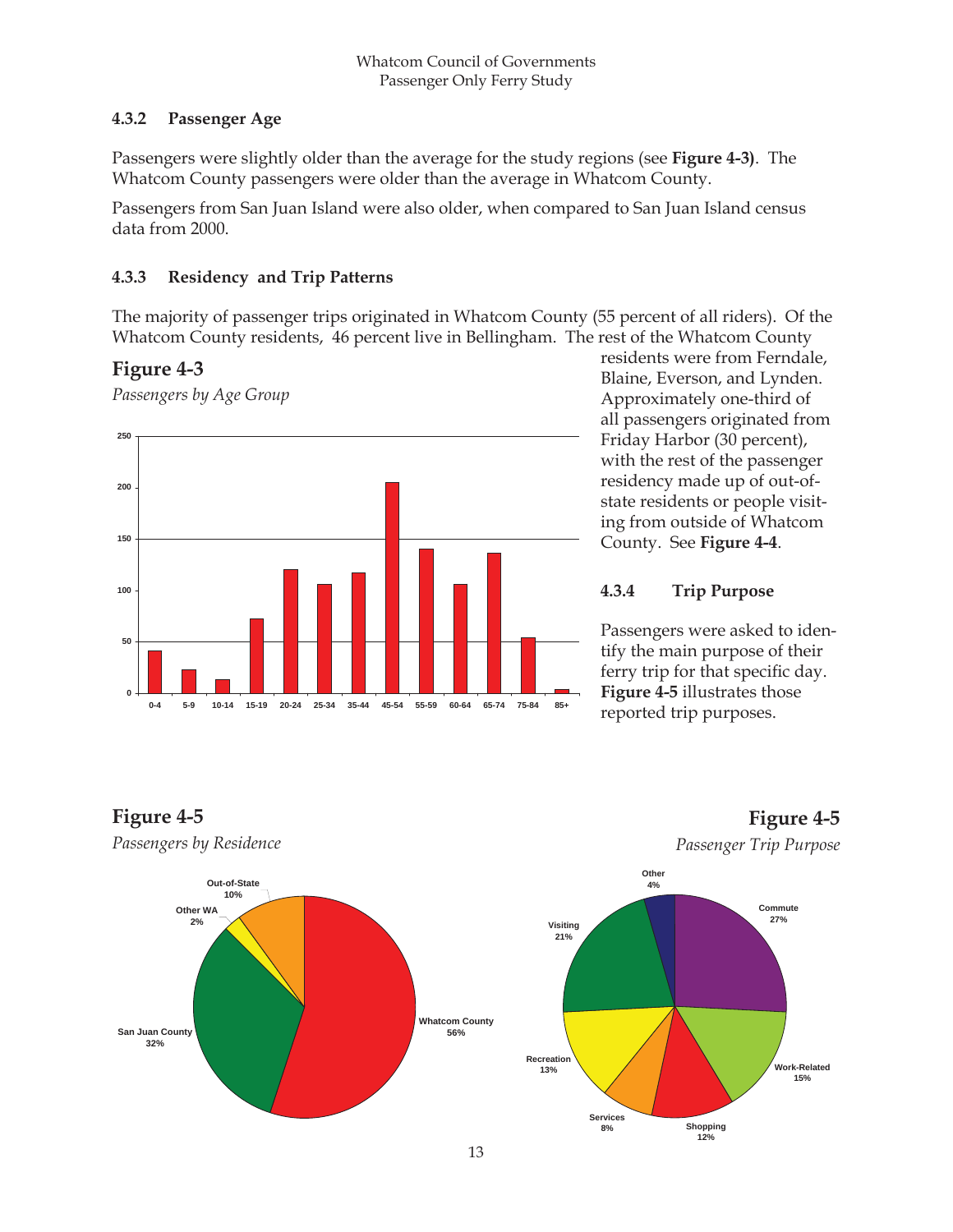#### **4.3.2 Passenger Age**

Passengers were slightly older than the average for the study regions (see **Figure 4-3)**. The Whatcom County passengers were older than the average in Whatcom County.

Passengers from San Juan Island were also older, when compared to San Juan Island census data from 2000.

#### **4.3.3 Residency and Trip Patterns**

The majority of passenger trips originated in Whatcom County (55 percent of all riders). Of the Whatcom County residents, 46 percent live in Bellingham. The rest of the Whatcom County

## **Figure 4-3**

**Figure 4-5**

*Passengers by Age Group*



residents were from Ferndale, Blaine, Everson, and Lynden. Approximately one-third of all passengers originated from Friday Harbor (30 percent), with the rest of the passenger residency made up of out-ofstate residents or people visiting from outside of Whatcom County. See **Figure 4-4**.

#### **4.3.4 Trip Purpose**

Passengers were asked to identify the main purpose of their ferry trip for that specific day. **Figure 4-5** illustrates those reported trip purposes.



**Figure 4-5**

**Work-Related 15%**



**Shopping 12%**

**Services 8%**

## *Passenger Trip Purpose*

13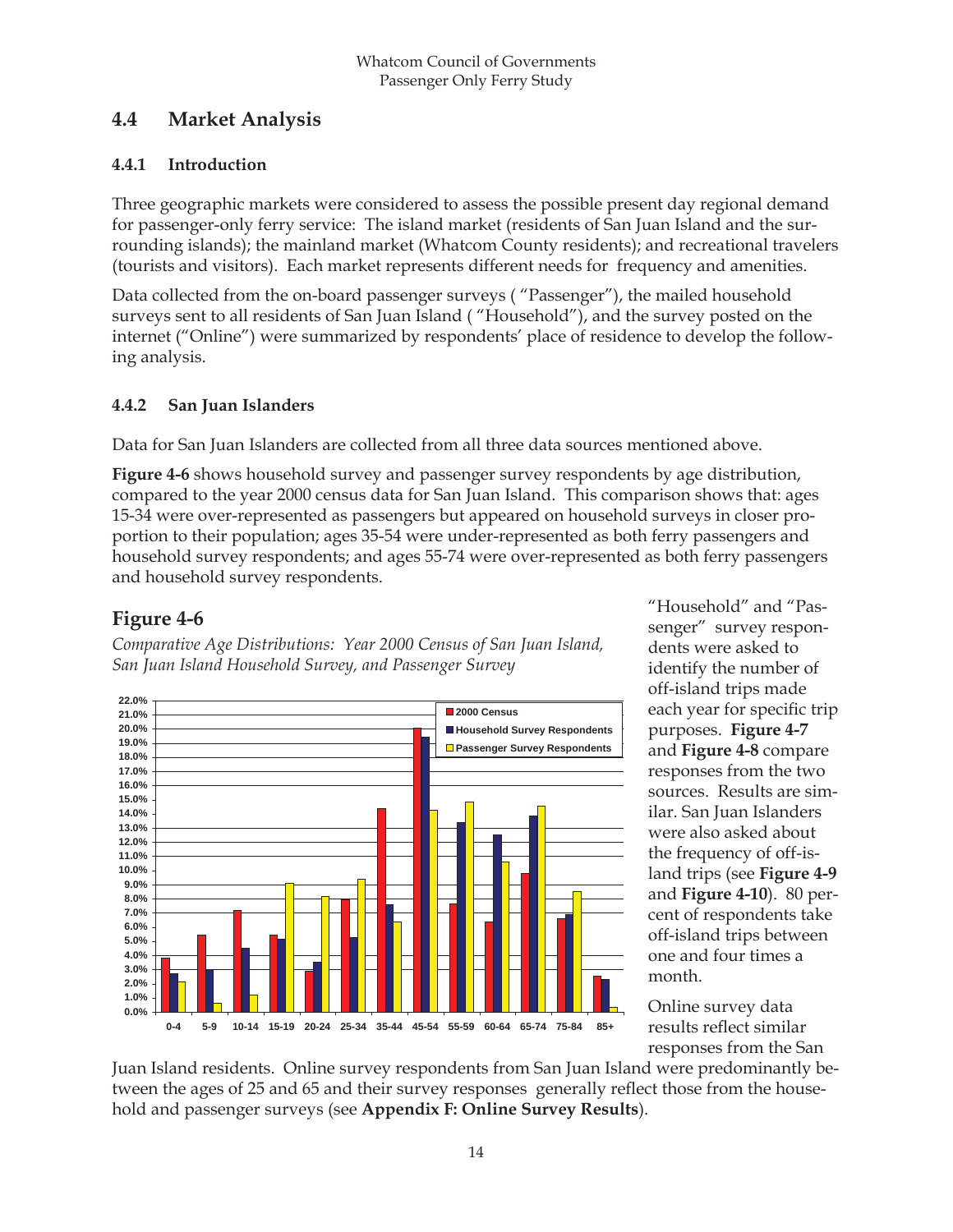## **4.4 Market Analysis**

#### **4.4.1 Introduction**

Three geographic markets were considered to assess the possible present day regional demand for passenger-only ferry service: The island market (residents of San Juan Island and the surrounding islands); the mainland market (Whatcom County residents); and recreational travelers (tourists and visitors). Each market represents different needs for frequency and amenities.

Data collected from the on-board passenger surveys ( "Passenger"), the mailed household surveys sent to all residents of San Juan Island ( "Household"), and the survey posted on the internet ("Online") were summarized by respondents' place of residence to develop the following analysis.

#### **4.4.2 San Juan Islanders**

Data for San Juan Islanders are collected from all three data sources mentioned above.

**Figure 4-6** shows household survey and passenger survey respondents by age distribution, compared to the year 2000 census data for San Juan Island. This comparison shows that: ages 15-34 were over-represented as passengers but appeared on household surveys in closer proportion to their population; ages 35-54 were under-represented as both ferry passengers and household survey respondents; and ages 55-74 were over-represented as both ferry passengers and household survey respondents.

## **Figure 4-6**

*Comparative Age Distributions: Year 2000 Census of San Juan Island, San Juan Island Household Survey, and Passenger Survey*



"Household" and "Passenger" survey respondents were asked to identify the number of off-island trips made each year for specific trip purposes. **Figure 4-7** and **Figure 4-8** compare responses from the two sources. Results are similar. San Juan Islanders were also asked about the frequency of off-island trips (see **Figure 4-9** and **Figure 4-10**). 80 percent of respondents take off-island trips between one and four times a month.

Online survey data results reflect similar responses from the San

Juan Island residents. Online survey respondents from San Juan Island were predominantly between the ages of 25 and 65 and their survey responses generally reflect those from the household and passenger surveys (see **Appendix F: Online Survey Results**).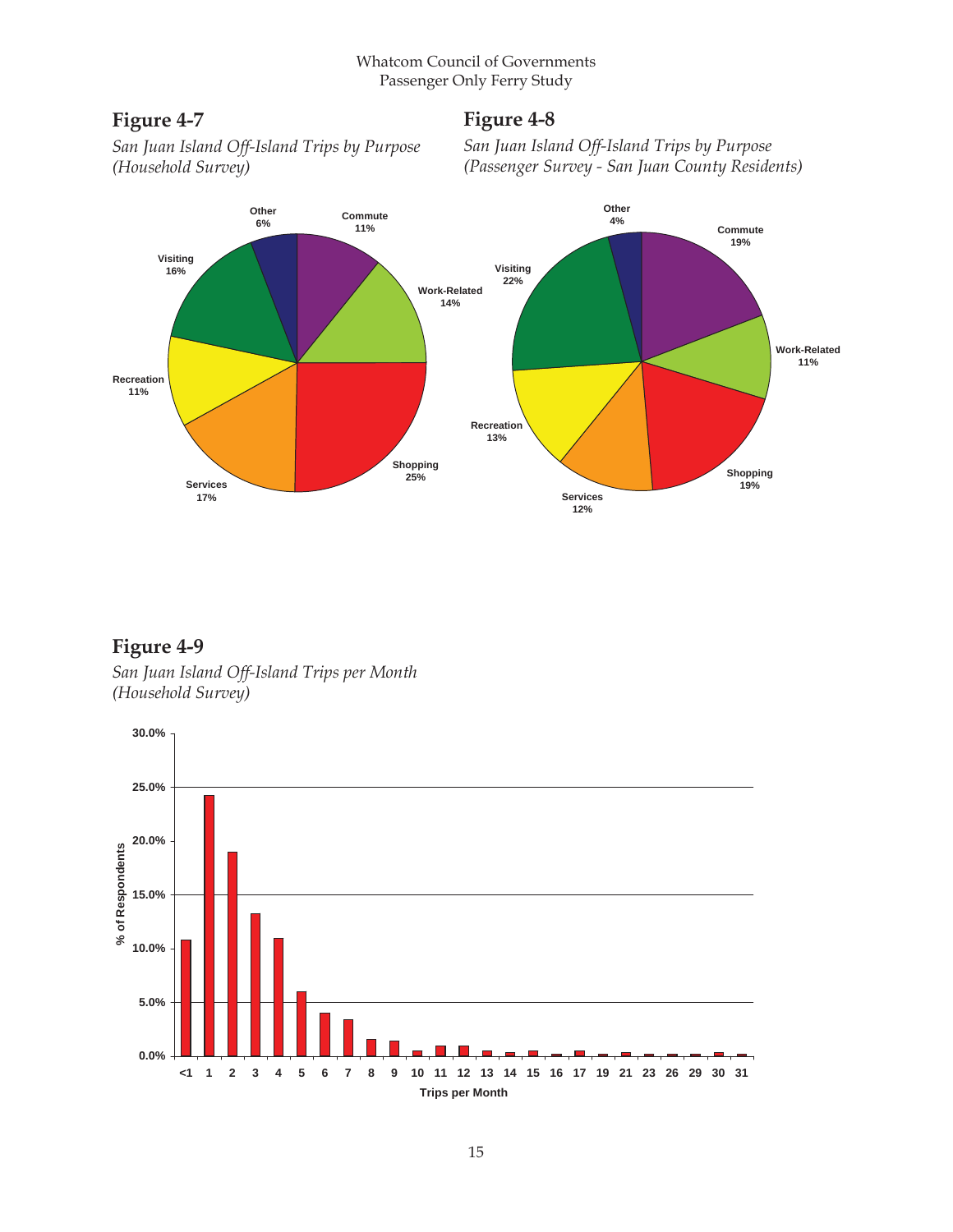## **Figure 4-7**

## **Figure 4-8**

*San Juan Island Off-Island Trips by Purpose (Household Survey)*

*San Juan Island Off-Island Trips by Purpose (Passenger Survey - San Juan County Residents)*



**Figure 4-9** *San Juan Island Off-Island Trips per Month (Household Survey)*

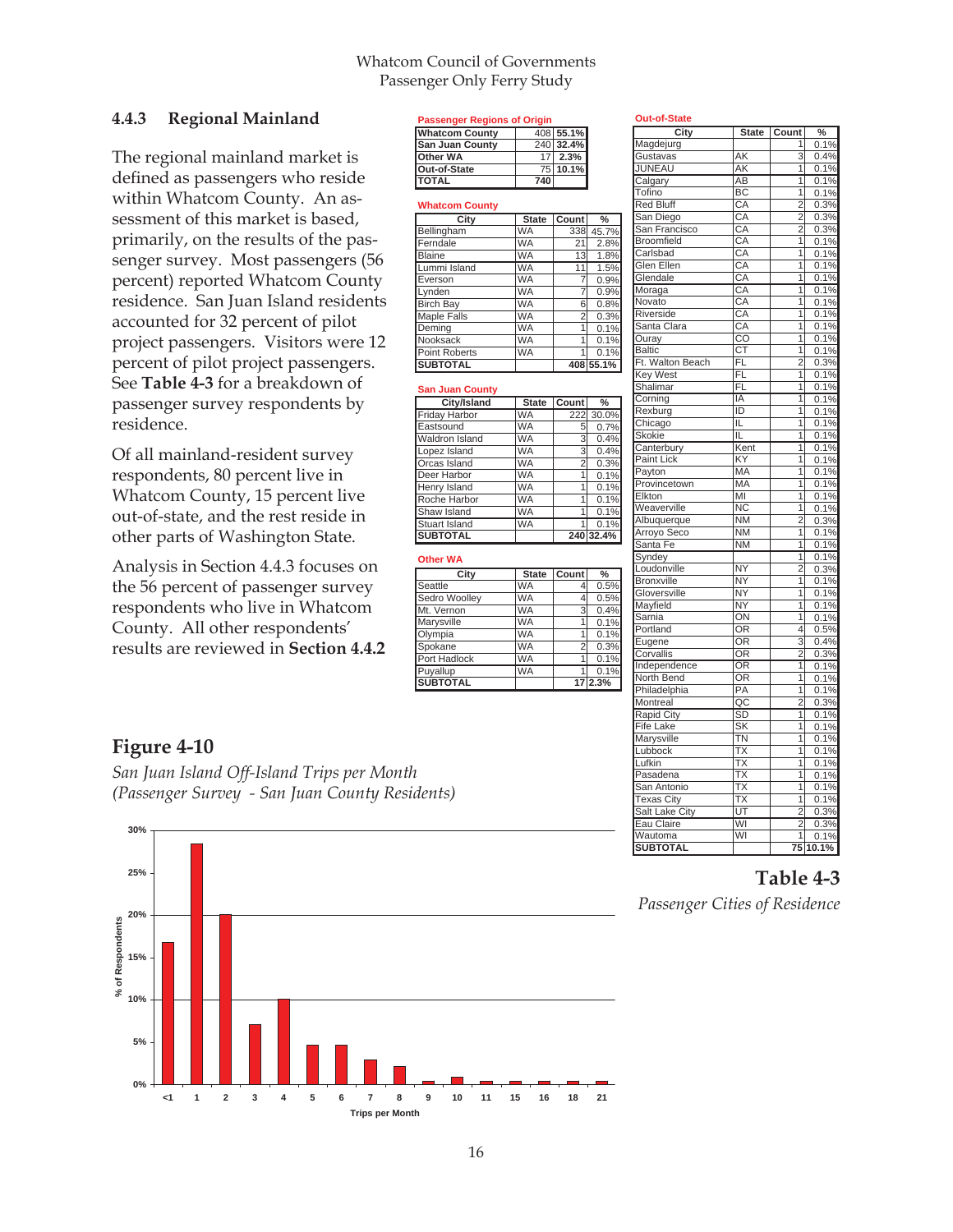#### Whatcom Council of Governments Passenger Only Ferry Study

**Passenger Regions of Origin** 

**San Juan County** 

**Whatcom County**

**TOTAL** 

Lynden

Maple Falls

Point Roberts WA

**San Juan County**

Orcas Island

Henry Island

**SUBTOTAL Other WA**

**SUBTOTAL** 

**Whatcom County** 408 55.1%<br> **San Juan County** 240 32.4%

**Other WA** 17 **2.3%**<br> **Out-of-State** 75 **10.1% Out-of-State** 75 **10.1%**

Bellingham WA 338 Ferndale WA 21 2.8% Blaine WA 13 1.8%<br>
Lummi Island WA 11 1.5% Lummi Island WA 11 1.5%<br>Everson WA 7 0.9% Everson WA 7 0.9%

Post Bay MA 6 0.8%<br>Maple Falls WA 2 0.3%

Deming WA 1 0.1%<br>Nooksack WA 1 0.1% Nooksack WA 1 0.1%<br>Point Roberts WA 1 0.1%

**SUBTOTAL 408 55.1%**

Deer Harbor WA 1 0.1%

Roche Harbor | WA | 1 0.1% Shaw Island WA 1 0.1% Stuart Island WA 1 0.1%<br>SUBTOTAL 240 32.4%

**City State Count %** Seattle WA 4 0.5% Sedro Woolley MA 4 0.5% Mt. Vernon WA 3 0.4%<br>Marysville WA 1 0.1% Marysville WA 1 0.1% Olympia WA 1 0.1% Spokane IWA 2 0.3% Port Hadlock WA 1 0.1% Puyallup WA 1 0.1%

**City/Island State Count %**<br>v Harbor WA 222 30.09 Friday Harbor WA 222 30.0% Eastsound WA 5 0.7%<br>Waldron Island WA 3 0.4% Waldron Island WA 3 0.4% Lopez Island WA 3 0.4%<br>Orcas Island WA 2 0.3%

**City** State Count %<br>am WA 338 45.7%

#### **4.4.3 Regional Mainland**

The regional mainland market is defined as passengers who reside within Whatcom County. An assessment of this market is based, primarily, on the results of the passenger survey. Most passengers (56 percent) reported Whatcom County residence. San Juan Island residents accounted for 32 percent of pilot project passengers. Visitors were 12 percent of pilot project passengers. See **Table 4-3** for a breakdown of passenger survey respondents by residence.

Of all mainland-resident survey respondents, 80 percent live in Whatcom County, 15 percent live out-of-state, and the rest reside in other parts of Washington State.

Analysis in Section 4.4.3 focuses on the 56 percent of passenger survey respondents who live in Whatcom County. All other respondents' results are reviewed in **Section 4.4.2**

#### **Figure 4-10**

*San Juan Island Off-Island Trips per Month (Passenger Survey - San Juan County Residents)*



| <b>City</b>                    |                          | State Count               | $\frac{9}{6}$ |
|--------------------------------|--------------------------|---------------------------|---------------|
| Magdejurg                      |                          | 1                         | 0.1%          |
| Gustavas                       | AK                       | $\overline{\overline{3}}$ | 0.4%          |
| <b>JUNEAU</b>                  | <b>AK</b>                | 1                         | 0.1%          |
| Calgary                        | $\overline{AB}$          | $\overline{1}$            | 0.1%          |
| Tofino                         | BC                       | $\overline{1}$            | 0.1%          |
| <b>Red Bluff</b>               | $\overline{CA}$          | $\overline{2}$            | 0.3%          |
| San Diego                      | CA                       | $\overline{2}$            | 0.3%          |
| San Francisco                  | CA                       | $\overline{2}$            | 0.3%          |
| <b>Broomfield</b>              | CA                       | 1                         | 0.1%          |
| Carlsbad                       | CA                       | $\overline{1}$            | 0.1%          |
| Glen Ellen                     | CA                       | 1                         | 0.1%          |
| Glendale                       | CA                       | $\overline{1}$            | 0.1%          |
| Moraga                         | CA                       | 1                         | 0.1%          |
| Novato                         | CA                       | 1                         | 0.1%          |
| Riverside                      | CA                       | 1                         | 0.1%          |
| Santa Clara                    | CA                       | $\overline{1}$            | 0.1%          |
| $\overline{\textsf{Ouray}}$ __ | $\overline{co}$          | $\overline{1}$            | 0.1%          |
| <b>Baltic</b>                  | <b>CT</b>                | $\overline{1}$            | 0.1%          |
| Ft. Walton Beach               | FL                       | $\overline{2}$            | 0.3%          |
| <b>Key West</b>                | FL                       | $\overline{1}$            | 0.1%          |
| <b>Shalimar</b>                | $\overline{FL}$          | ī                         | 0.1%          |
| Corning                        | IA                       | $\overline{1}$            | 0.1%          |
| Rexburg                        | ID                       | $\overline{1}$            | 0.1%          |
| Chicago                        | IL                       | 1                         | 0.1%          |
| <b>Skokie</b>                  | ΪL                       | $\overline{1}$            | 0.1%          |
| Canterbury                     | Kent                     | 1                         | 0.1%          |
| <b>Paint Lick</b>              | KY                       | $\overline{1}$            | 0.1%          |
| Payton                         | <b>MA</b>                | 1                         | 0.1%          |
| Provincetown                   | MA                       | 1                         | 0.1%          |
| Elkton                         | ΜĪ                       | 1                         | 0.1%          |
| Weaverville                    | <b>NC</b>                | $\overline{1}$            | 0.1%          |
| Albuquerque                    | <b>NM</b>                | $\overline{2}$            | 0.3%          |
| Arroyo Seco                    | <b>NM</b>                | 1                         | 0.1%          |
| Santa Fe                       | $\overline{\text{NM}}$   | 1                         | 0.1%          |
| Syndey                         |                          | 1                         | 0.1%          |
| Loudonville                    | <b>NY</b>                | $\overline{2}$            | 0.3%          |
| <b>Bronxville</b>              | <b>NY</b>                | $\overline{1}$            | 0.1%          |
| Gloversville                   | <b>NY</b>                | $\overline{1}$            | 0.1%          |
| Mayfield                       | <b>NY</b>                | 1                         | 0.1%          |
| <b>Sarnia</b>                  | ON                       | 1                         |               |
| Portland                       | $\overline{OR}$          | $\overline{4}$            | 0.1%          |
|                                |                          |                           | 0.5%<br>0.4%  |
| Eugene                         | OR                       | $\overline{3}$            |               |
| Corvallis                      | OR                       | $\overline{2}$<br>7       | 0.3%          |
| Independence                   | OR                       |                           | 0.1%          |
| North Bend                     | OR                       | 1                         | 0.1%          |
| Philadelphia                   | $\overline{PA}$          | $\overline{1}$            | 0.1%          |
| Montreal                       | $\overline{AC}$          | $\overline{2}$            | 0.3%          |
| <b>Rapid City</b>              | SD                       | $\overline{1}$            | 0.1%          |
| Fife Lake                      | $\overline{\mathsf{SK}}$ | 1                         | 0.1%          |
| Marysville                     | ΤN                       | 1                         | 0.1%          |
| Lubbock                        | $\overline{TX}$          | 1                         | 0.1%          |
| Lufkin                         | $\overline{TX}$          | $\overline{1}$            | 0.1%          |
| Pasadena                       | $\overline{\text{TX}}$   | 7                         | 0.1%          |
| San Antonio                    | $\overline{\text{TX}}$   | 1                         | 0.1%          |
| <b>Texas City</b>              | $\overline{\text{TX}}$   | $\overline{\mathbf{1}}$   | 0.1%          |
| Salt Lake City                 | UT                       | $\overline{2}$            | 0.3%          |
| Eau Claire                     | WI                       | $\overline{2}$            | 0.3%          |
| Wautoma                        | WI                       | 1                         | 0.1%          |
| <b>SUBTOTAL</b>                |                          |                           | 75 10.1%      |

#### **Table 4-3**

*Passenger Cities of Residence*

16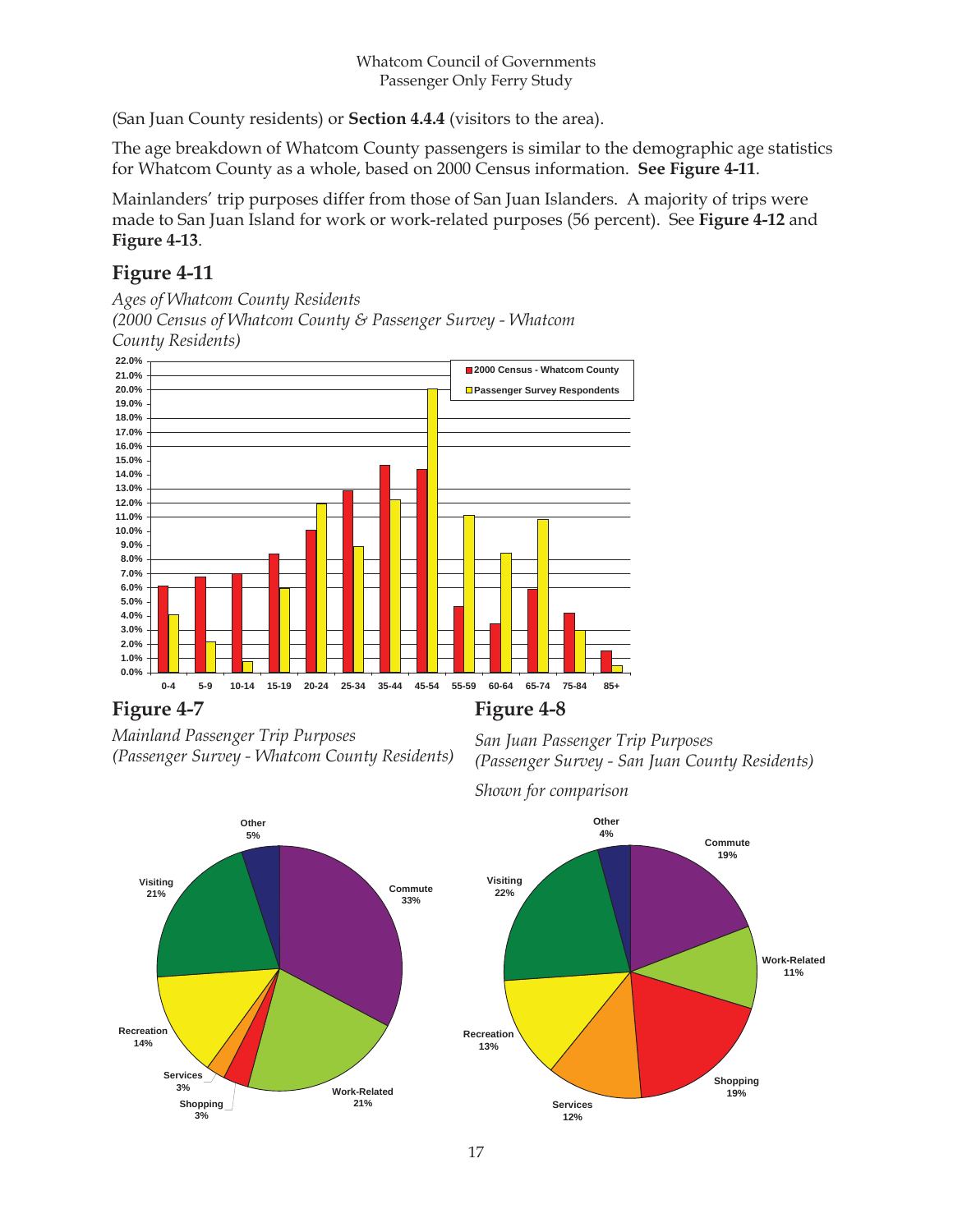(San Juan County residents) or **Section 4.4.4** (visitors to the area).

The age breakdown of Whatcom County passengers is similar to the demographic age statistics for Whatcom County as a whole, based on 2000 Census information. **See Figure 4-11**.

Mainlanders' trip purposes differ from those of San Juan Islanders. A majority of trips were made to San Juan Island for work or work-related purposes (56 percent). See **Figure 4-12** and **Figure 4-13**.

## **Figure 4-11**

*Ages of Whatcom County Residents (2000 Census of Whatcom County & Passenger Survey - Whatcom County Residents)*



## **Figure 4-7**

*Mainland Passenger Trip Purposes (Passenger Survey - Whatcom County Residents)*

*San Juan Passenger Trip Purposes (Passenger Survey - San Juan County Residents)*



*Shown for comparison* 

**Figure 4-8** 

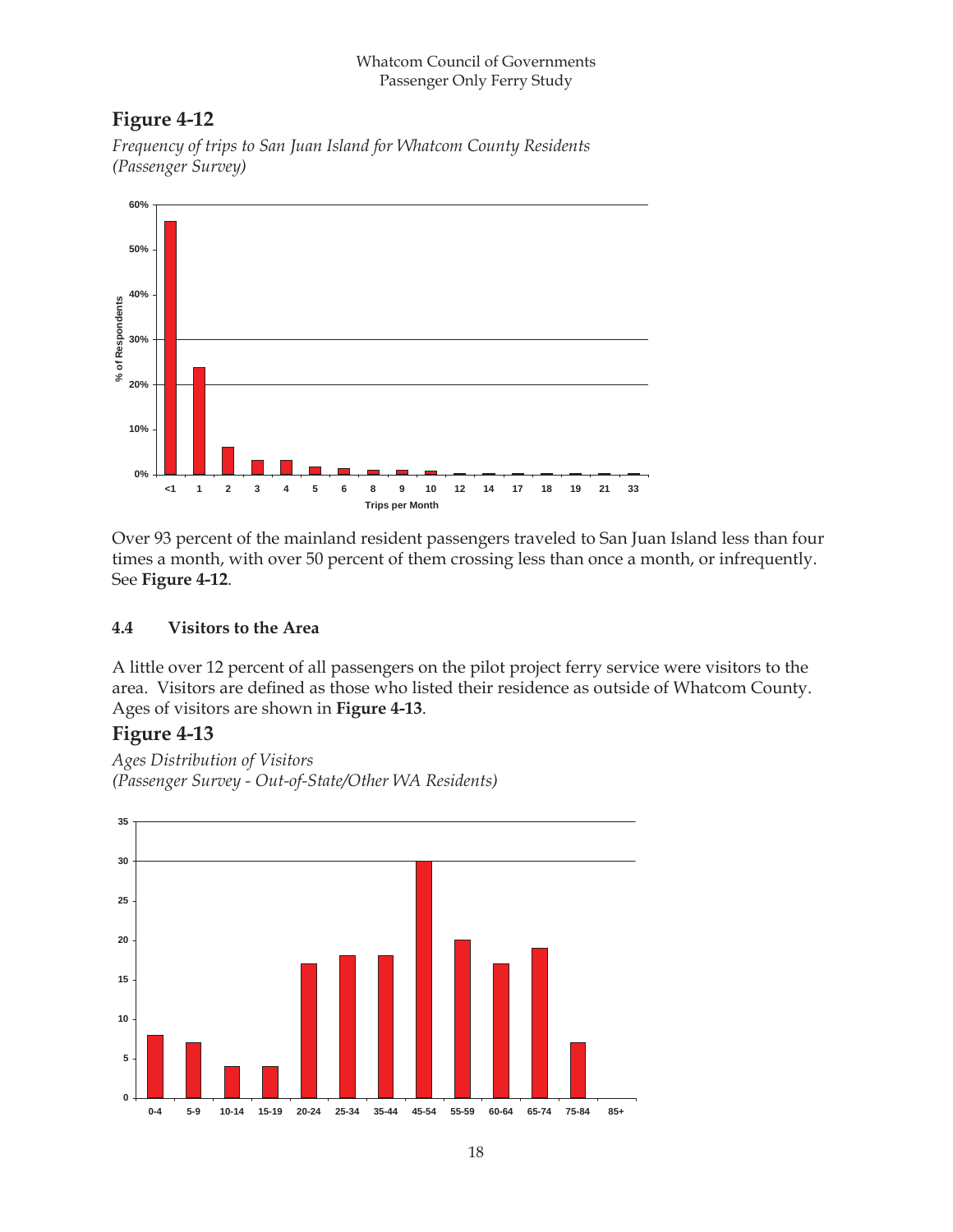#### Whatcom Council of Governments Passenger Only Ferry Study

## **Figure 4-12**

*Frequency of trips to San Juan Island for Whatcom County Residents (Passenger Survey)* 



Over 93 percent of the mainland resident passengers traveled to San Juan Island less than four times a month, with over 50 percent of them crossing less than once a month, or infrequently. See **Figure 4-12**.

#### **4.4 Visitors to the Area**

A little over 12 percent of all passengers on the pilot project ferry service were visitors to the area. Visitors are defined as those who listed their residence as outside of Whatcom County. Ages of visitors are shown in **Figure 4-13**.

## **Figure 4-13**

*Ages Distribution of Visitors (Passenger Survey - Out-of-State/Other WA Residents)*

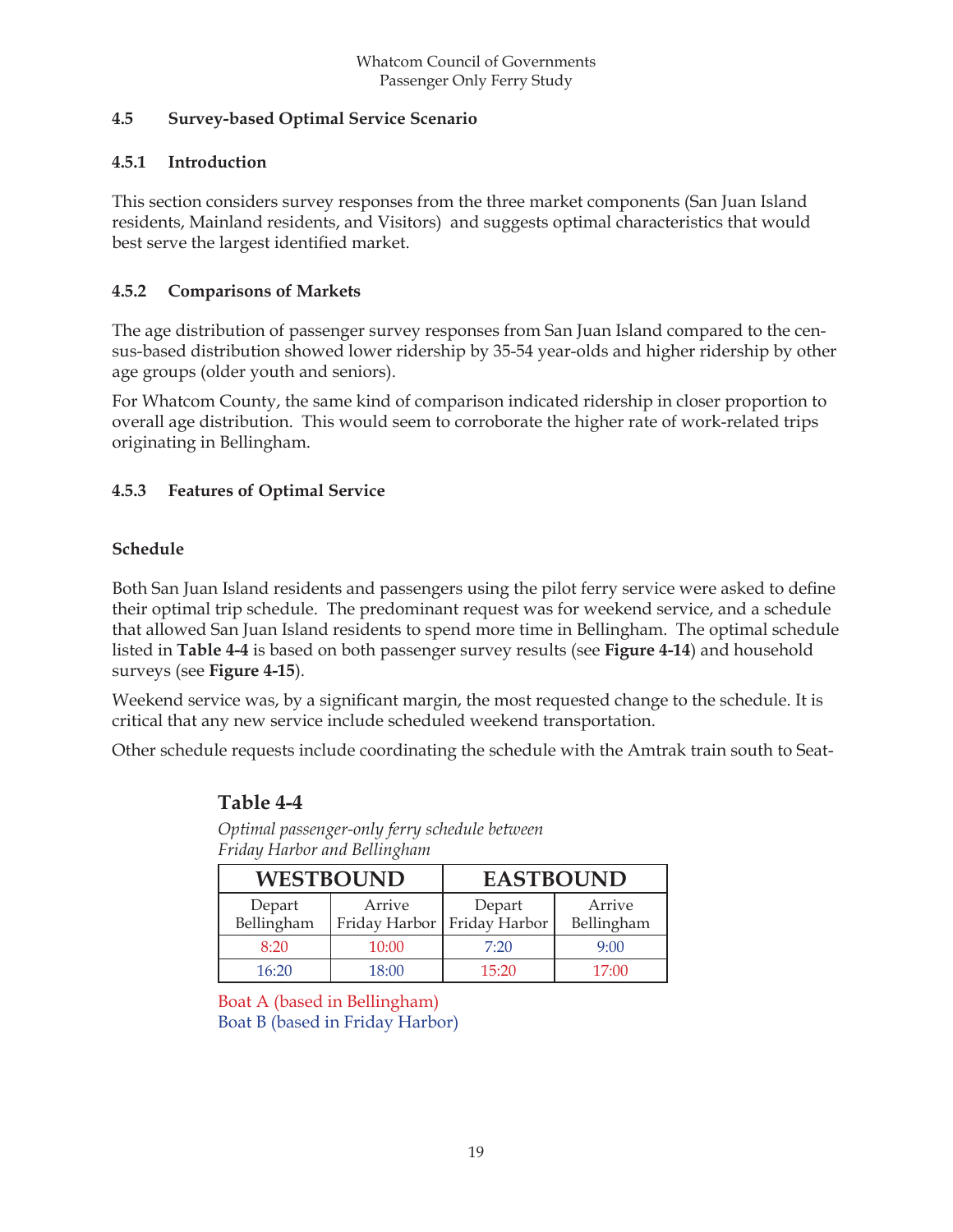#### **4.5 Survey-based Optimal Service Scenario**

#### **4.5.1 Introduction**

This section considers survey responses from the three market components (San Juan Island residents, Mainland residents, and Visitors) and suggests optimal characteristics that would best serve the largest identified market.

#### **4.5.2 Comparisons of Markets**

The age distribution of passenger survey responses from San Juan Island compared to the census-based distribution showed lower ridership by 35-54 year-olds and higher ridership by other age groups (older youth and seniors).

For Whatcom County, the same kind of comparison indicated ridership in closer proportion to overall age distribution. This would seem to corroborate the higher rate of work-related trips originating in Bellingham.

#### **4.5.3 Features of Optimal Service**

#### **Schedule**

Both San Juan Island residents and passengers using the pilot ferry service were asked to define their optimal trip schedule. The predominant request was for weekend service, and a schedule that allowed San Juan Island residents to spend more time in Bellingham. The optimal schedule listed in **Table 4-4** is based on both passenger survey results (see **Figure 4-14**) and household surveys (see **Figure 4-15**).

Weekend service was, by a significant margin, the most requested change to the schedule. It is critical that any new service include scheduled weekend transportation.

Other schedule requests include coordinating the schedule with the Amtrak train south to Seat-

| .                    |                  |                                         |                      |  |  |  |  |  |  |
|----------------------|------------------|-----------------------------------------|----------------------|--|--|--|--|--|--|
|                      | <b>WESTBOUND</b> | <b>EASTBOUND</b>                        |                      |  |  |  |  |  |  |
| Depart<br>Bellingham | Arrive           | Depart<br>Friday Harbor   Friday Harbor | Arrive<br>Bellingham |  |  |  |  |  |  |
| 8:20                 | 10:00            | 7:20                                    | 9:00                 |  |  |  |  |  |  |
| 16:20                | 18:00            | 15:20                                   | 17:00                |  |  |  |  |  |  |

#### **Table 4-4**

*Optimal passenger-only ferry schedule between Friday Harbor and Bellingham*

Boat A (based in Bellingham) Boat B (based in Friday Harbor)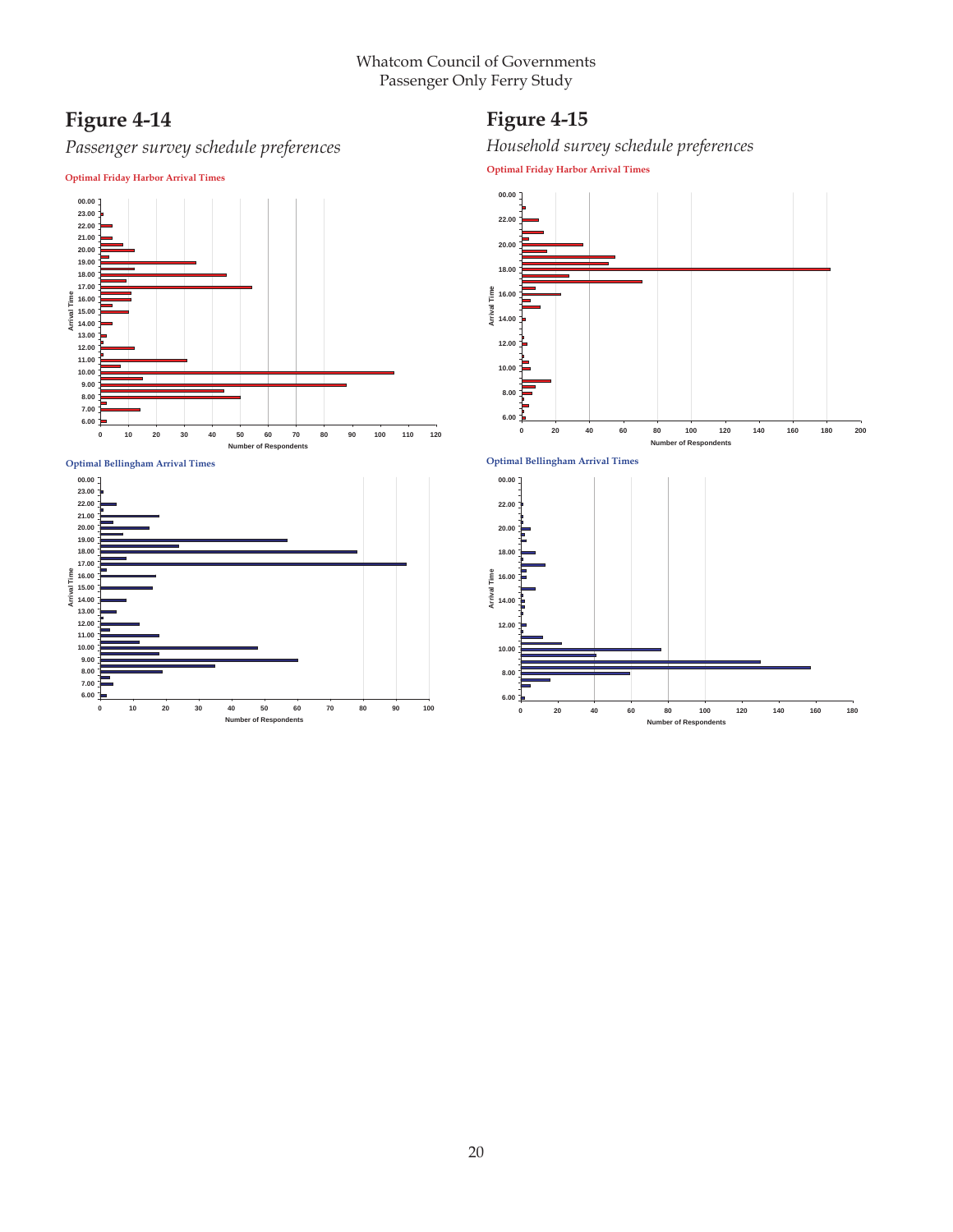## **Figure 4-14**

## *Passenger survey schedule preferences*

**Optimal Friday Harbor Arrival Times**

## **Figure 4-15**

*Household survey schedule preferences*

**Optimal Friday Harbor Arrival Times**



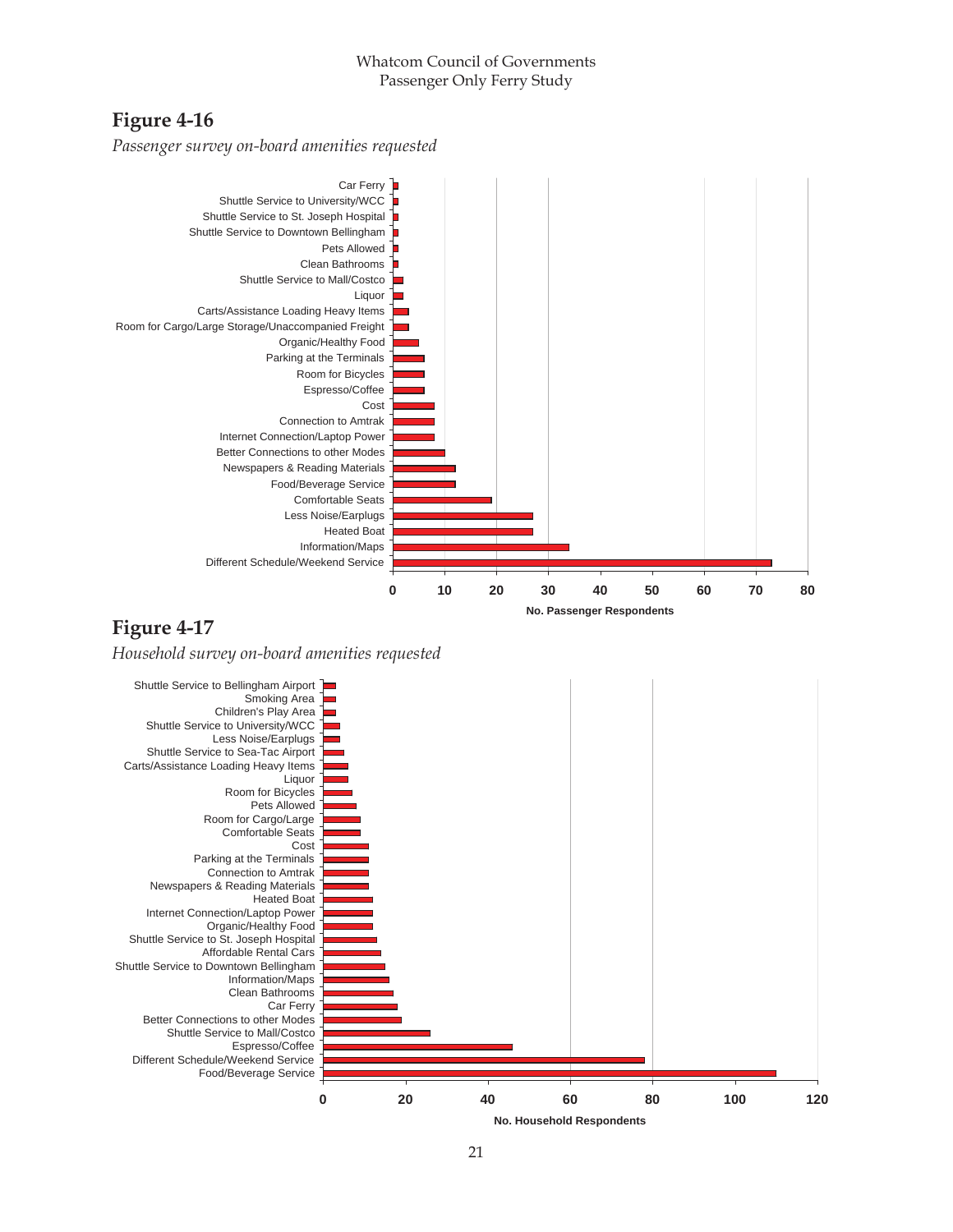## **Figure 4-16**

*Passenger survey on-board amenities requested*



## **Figure 4-17**

*Household survey on-board amenities requested*

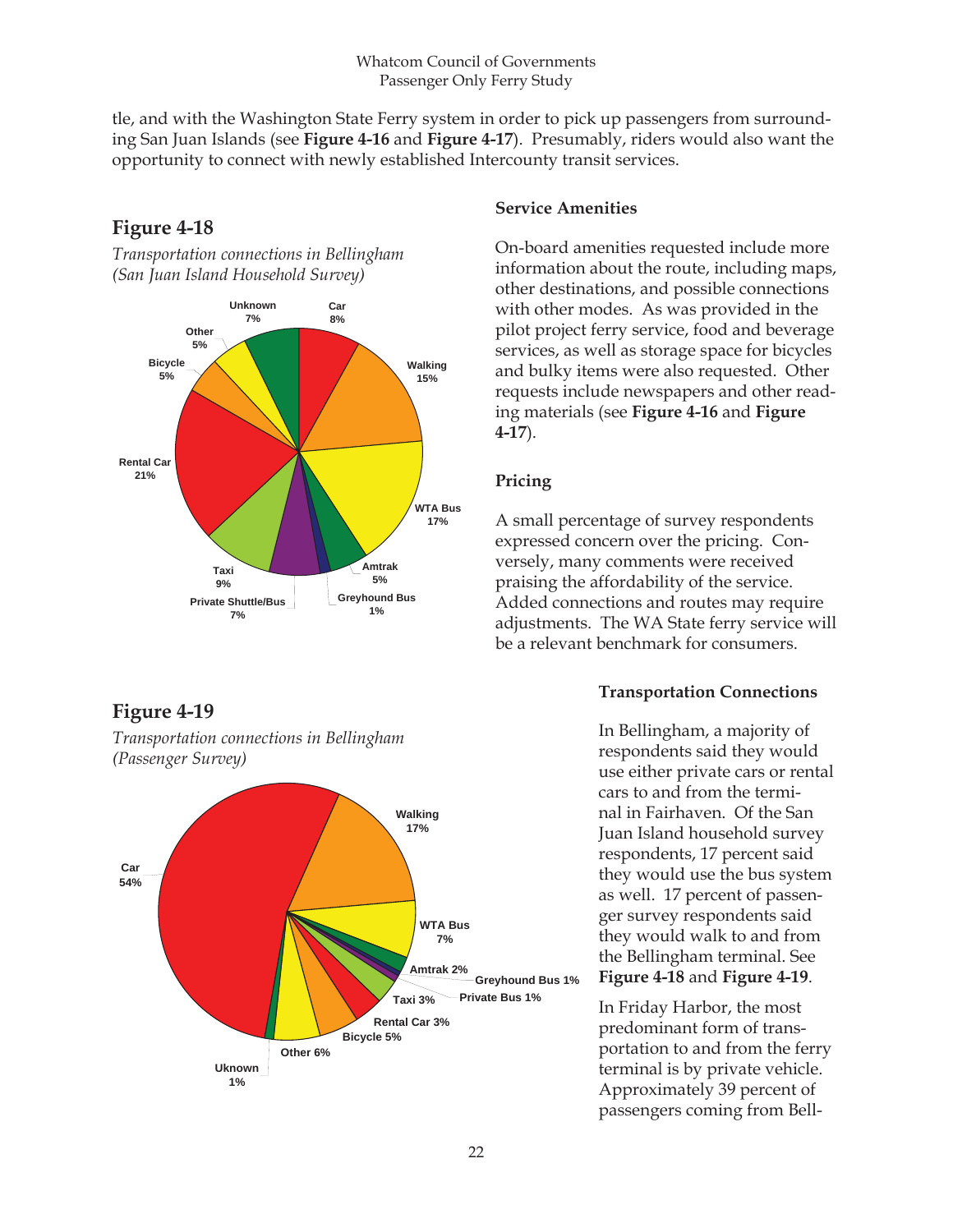tle, and with the Washington State Ferry system in order to pick up passengers from surrounding San Juan Islands (see **Figure 4-16** and **Figure 4-17**). Presumably, riders would also want the opportunity to connect with newly established Intercounty transit services.



## **Figure 4-18**

*Transportation connections in Bellingham (San Juan Island Household Survey)*

## **Figure 4-19**



*Transportation connections in Bellingham (Passenger Survey)*

#### **Service Amenities**

On-board amenities requested include more information about the route, including maps, other destinations, and possible connections with other modes. As was provided in the pilot project ferry service, food and beverage services, as well as storage space for bicycles and bulky items were also requested. Other requests include newspapers and other reading materials (see **Figure 4-16** and **Figure 4-17**).

#### **Pricing**

A small percentage of survey respondents expressed concern over the pricing. Conversely, many comments were received praising the affordability of the service. Added connections and routes may require adjustments. The WA State ferry service will be a relevant benchmark for consumers.

#### **Transportation Connections**

In Bellingham, a majority of respondents said they would use either private cars or rental cars to and from the terminal in Fairhaven. Of the San Juan Island household survey respondents, 17 percent said they would use the bus system as well. 17 percent of passenger survey respondents said they would walk to and from the Bellingham terminal. See **Figure 4-18** and **Figure 4-19**.

In Friday Harbor, the most predominant form of transportation to and from the ferry terminal is by private vehicle. Approximately 39 percent of passengers coming from Bell-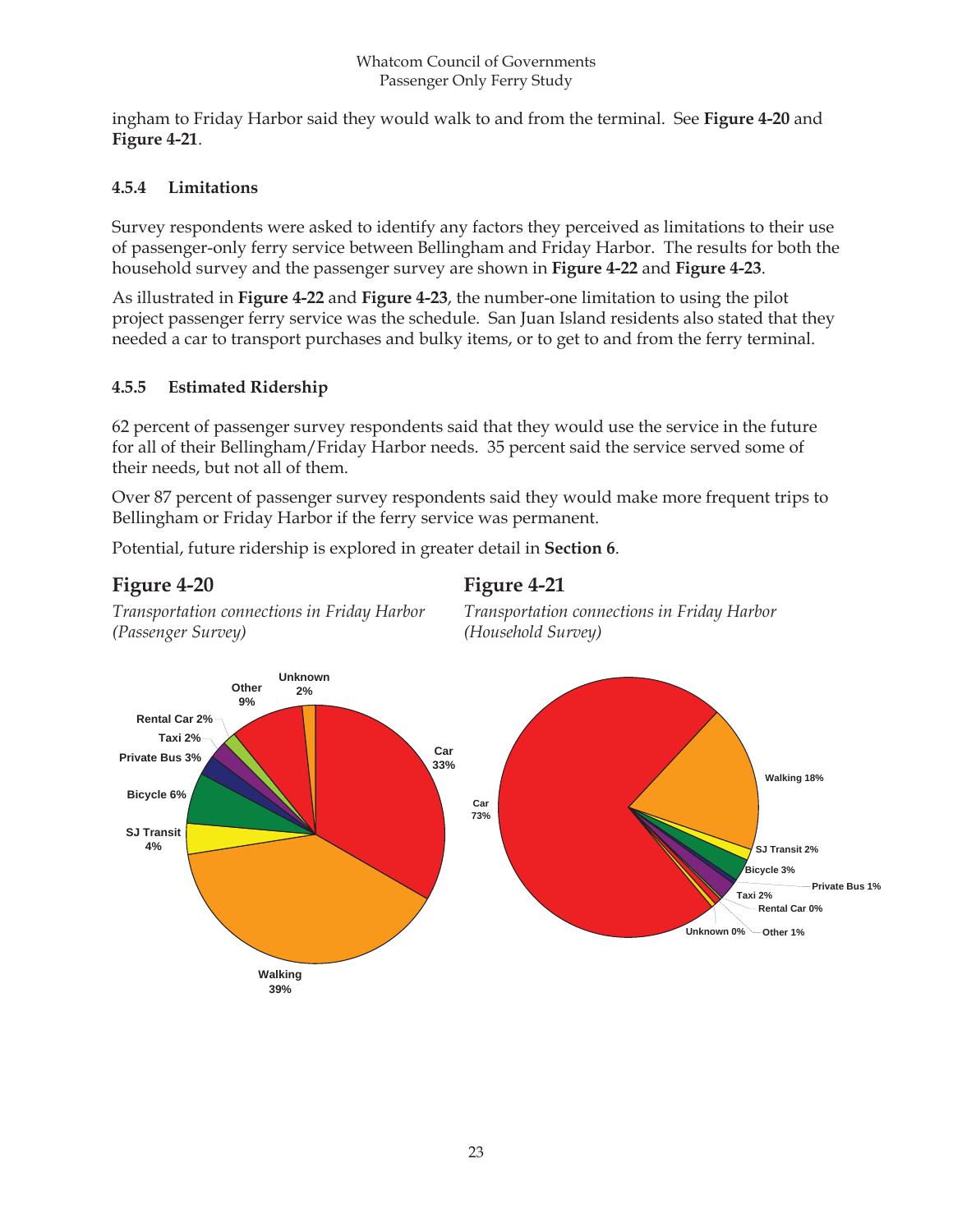#### Whatcom Council of Governments Passenger Only Ferry Study

ingham to Friday Harbor said they would walk to and from the terminal. See **Figure 4-20** and **Figure 4-21**.

#### **4.5.4 Limitations**

Survey respondents were asked to identify any factors they perceived as limitations to their use of passenger-only ferry service between Bellingham and Friday Harbor. The results for both the household survey and the passenger survey are shown in **Figure 4-22** and **Figure 4-23**.

As illustrated in **Figure 4-22** and **Figure 4-23**, the number-one limitation to using the pilot project passenger ferry service was the schedule. San Juan Island residents also stated that they needed a car to transport purchases and bulky items, or to get to and from the ferry terminal.

#### **4.5.5 Estimated Ridership**

*Transportation connections in Friday Harbor*

62 percent of passenger survey respondents said that they would use the service in the future for all of their Bellingham/Friday Harbor needs. 35 percent said the service served some of their needs, but not all of them.

Over 87 percent of passenger survey respondents said they would make more frequent trips to Bellingham or Friday Harbor if the ferry service was permanent.

Potential, future ridership is explored in greater detail in **Section 6**.

## **Figure 4-20**

*(Passenger Survey)*

## **Figure 4-21**



*Transportation connections in Friday Harbor (Household Survey)*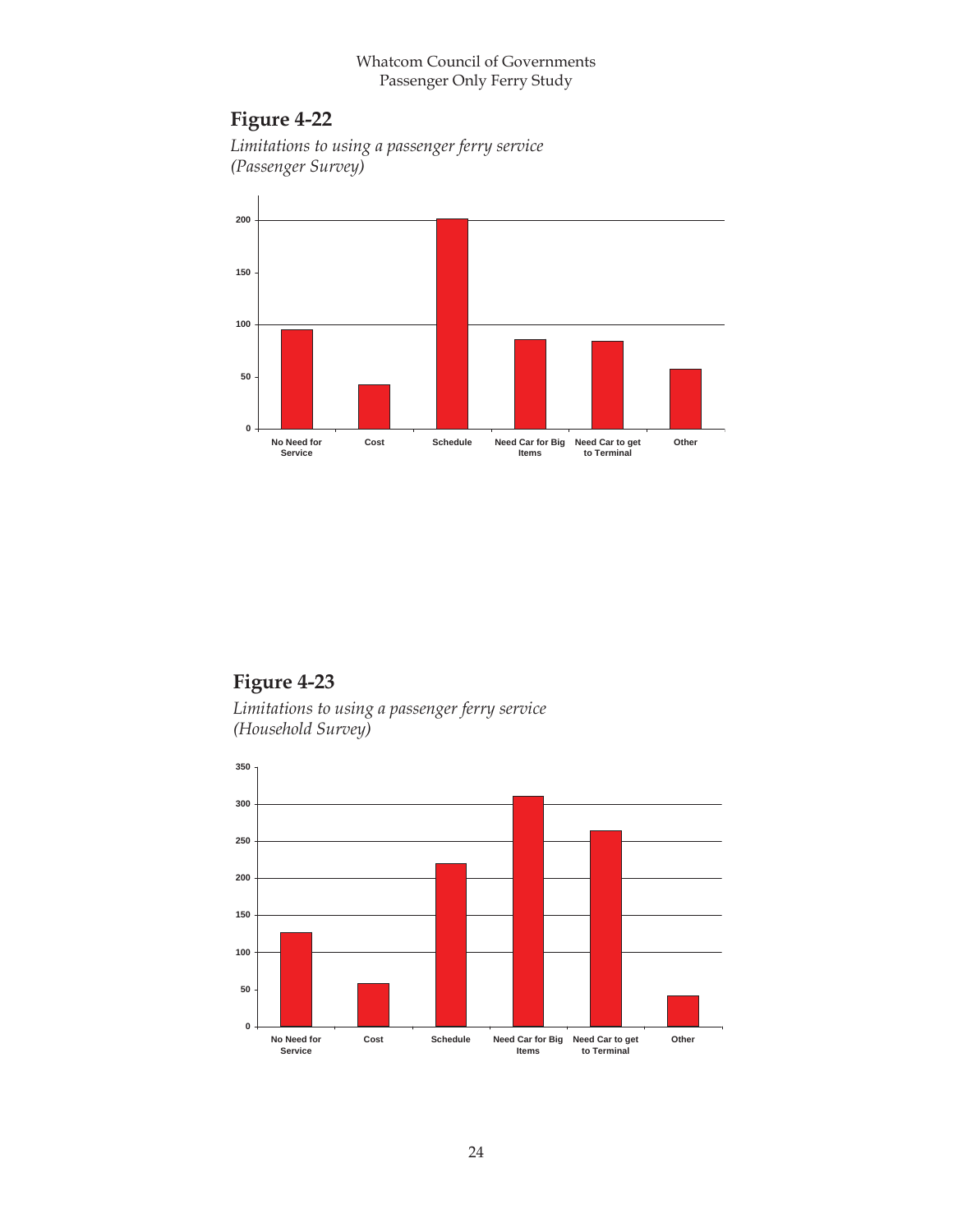#### Whatcom Council of Governments Passenger Only Ferry Study

## **Figure 4-22**

*Limitations to using a passenger ferry service (Passenger Survey)*



## **Figure 4-23**

*Limitations to using a passenger ferry service (Household Survey)*

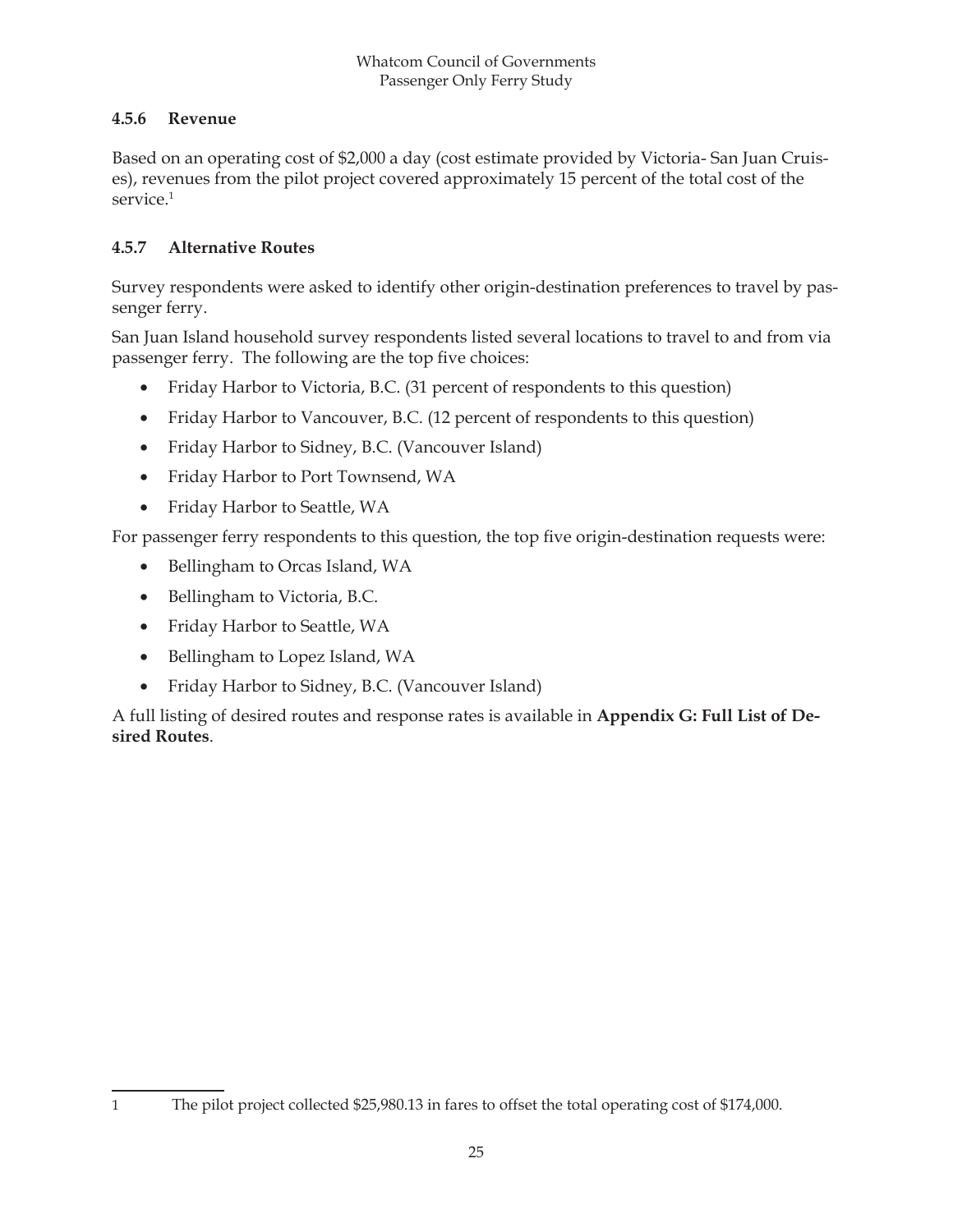#### **4.5.6 Revenue**

Based on an operating cost of \$2,000 a day (cost estimate provided by Victoria- San Juan Cruises), revenues from the pilot project covered approximately 15 percent of the total cost of the service.<sup>1</sup>

## **4.5.7 Alternative Routes**

Survey respondents were asked to identify other origin-destination preferences to travel by passenger ferry.

San Juan Island household survey respondents listed several locations to travel to and from via passenger ferry. The following are the top five choices:

- Friday Harbor to Victoria, B.C. (31 percent of respondents to this question)
- Friday Harbor to Vancouver, B.C. (12 percent of respondents to this question)
- Friday Harbor to Sidney, B.C. (Vancouver Island)
- Friday Harbor to Port Townsend, WA
- Friday Harbor to Seattle, WA

For passenger ferry respondents to this question, the top five origin-destination requests were:

- Bellingham to Orcas Island, WA
- Bellingham to Victoria, B.C.
- Friday Harbor to Seattle, WA
- Bellingham to Lopez Island, WA
- Friday Harbor to Sidney, B.C. (Vancouver Island)

A full listing of desired routes and response rates is available in **Appendix G: Full List of Desired Routes**.

<sup>1</sup> The pilot project collected \$25,980.13 in fares to offset the total operating cost of \$174,000.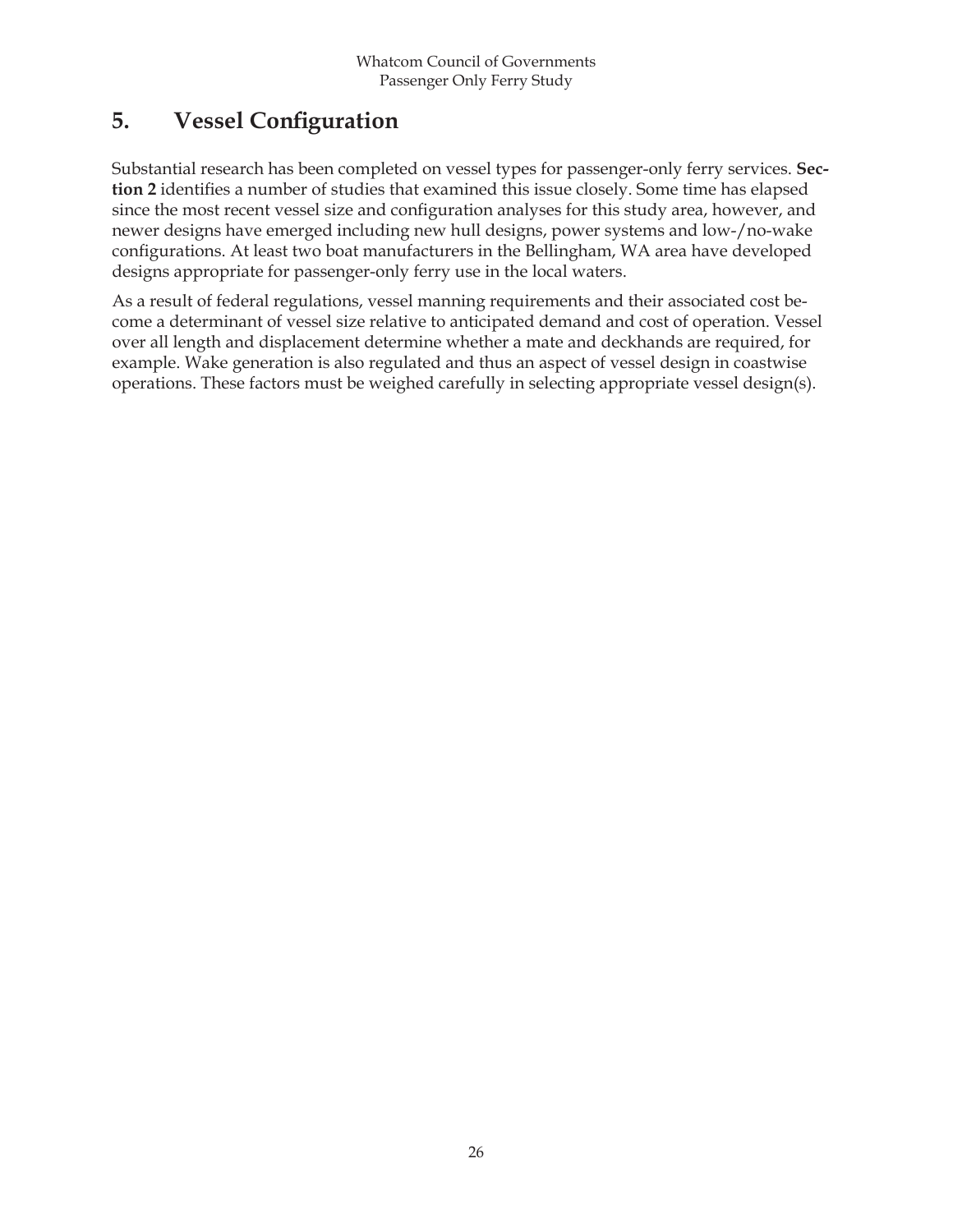## **5.** Vessel Configuration

Substantial research has been completed on vessel types for passenger-only ferry services. **Sec**tion 2 identifies a number of studies that examined this issue closely. Some time has elapsed since the most recent vessel size and configuration analyses for this study area, however, and newer designs have emerged including new hull designs, power systems and low-/no-wake configurations. At least two boat manufacturers in the Bellingham, WA area have developed designs appropriate for passenger-only ferry use in the local waters.

As a result of federal regulations, vessel manning requirements and their associated cost become a determinant of vessel size relative to anticipated demand and cost of operation. Vessel over all length and displacement determine whether a mate and deckhands are required, for example. Wake generation is also regulated and thus an aspect of vessel design in coastwise operations. These factors must be weighed carefully in selecting appropriate vessel design(s).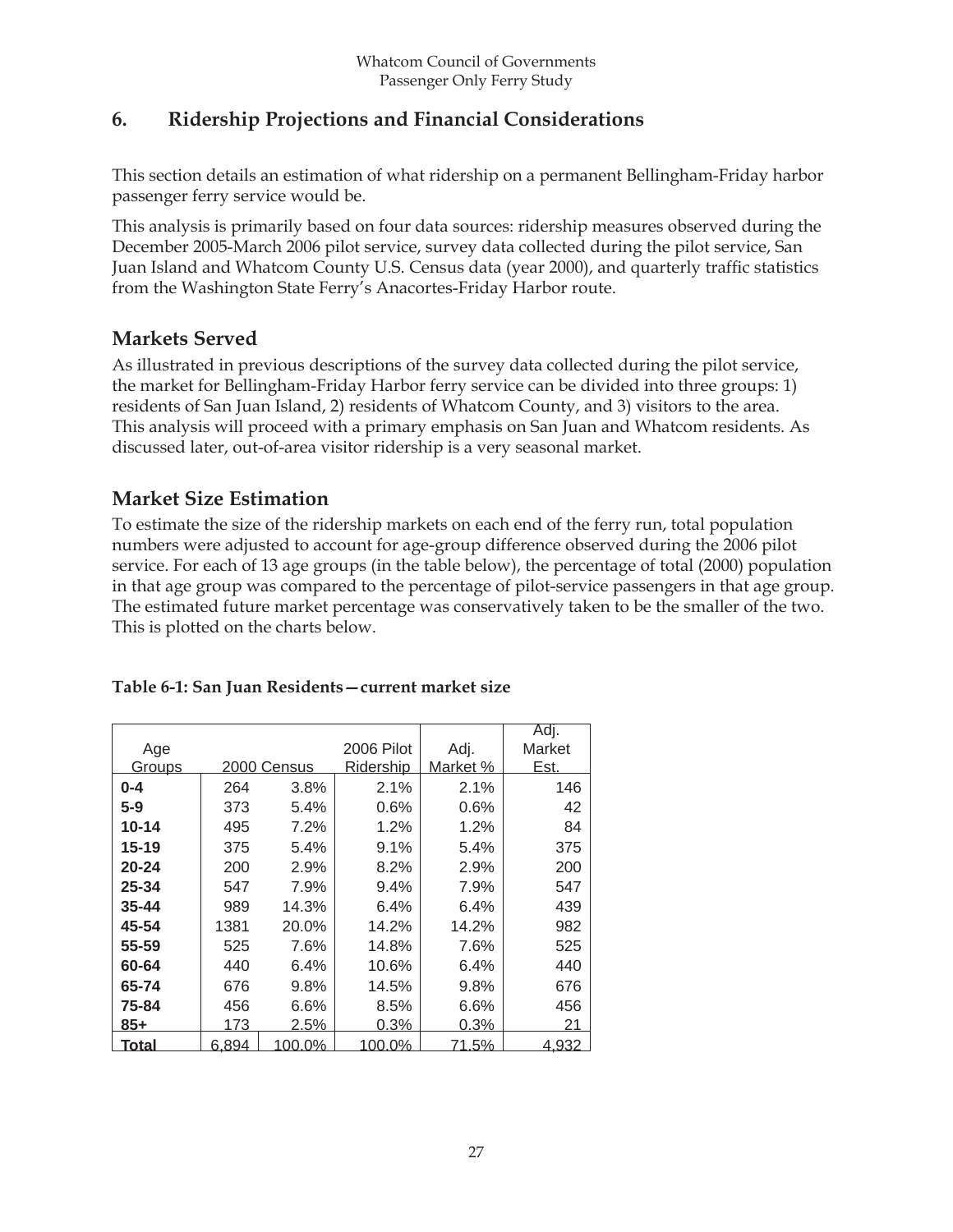## **6. Ridership Projections and Financial Considerations**

This section details an estimation of what ridership on a permanent Bellingham-Friday harbor passenger ferry service would be.

This analysis is primarily based on four data sources: ridership measures observed during the December 2005-March 2006 pilot service, survey data collected during the pilot service, San Juan Island and Whatcom County U.S. Census data (year 2000), and quarterly traffic statistics from the Washington State Ferry's Anacortes-Friday Harbor route.

## **Markets Served**

As illustrated in previous descriptions of the survey data collected during the pilot service, the market for Bellingham-Friday Harbor ferry service can be divided into three groups: 1) residents of San Juan Island, 2) residents of Whatcom County, and 3) visitors to the area. This analysis will proceed with a primary emphasis on San Juan and Whatcom residents. As discussed later, out-of-area visitor ridership is a very seasonal market.

## **Market Size Estimation**

To estimate the size of the ridership markets on each end of the ferry run, total population numbers were adjusted to account for age-group difference observed during the 2006 pilot service. For each of 13 age groups (in the table below), the percentage of total (2000) population in that age group was compared to the percentage of pilot-service passengers in that age group. The estimated future market percentage was conservatively taken to be the smaller of the two. This is plotted on the charts below.

|  | Table 6-1: San Juan Residents - current market size |  |
|--|-----------------------------------------------------|--|
|  |                                                     |  |

|               |       |             |            |          | Adj.         |
|---------------|-------|-------------|------------|----------|--------------|
| Age           |       |             | 2006 Pilot | Adj.     | Market       |
| <u>Groups</u> |       | 2000 Census | Ridership  | Market % | Est.         |
| $0 - 4$       | 264   | 3.8%        | 2.1%       | 2.1%     | 146          |
| $5-9$         | 373   | 5.4%        | 0.6%       | 0.6%     | 42           |
| $10 - 14$     | 495   | 7.2%        | 1.2%       | 1.2%     | 84           |
| $15 - 19$     | 375   | 5.4%        | 9.1%       | 5.4%     | 375          |
| $20 - 24$     | 200   | 2.9%        | 8.2%       | 2.9%     | 200          |
| 25-34         | 547   | 7.9%        | $9.4\%$    | 7.9%     | 547          |
| $35 - 44$     | 989   | 14.3%       | $6.4\%$    | 6.4%     | 439          |
| 45-54         | 1381  | 20.0%       | 14.2%      | 14.2%    | 982          |
| 55-59         | 525   | 7.6%        | 14.8%      | 7.6%     | 525          |
| 60-64         | 440   | 6.4%        | 10.6%      | 6.4%     | 440          |
| 65-74         | 676   | 9.8%        | 14.5%      | 9.8%     | 676          |
| 75-84         | 456   | 6.6%        | 8.5%       | 6.6%     | 456          |
| $85 +$        | 173   | 2.5%        | 0.3%       | $0.3\%$  | 21           |
| <u>Total</u>  | 6,894 | 100.0%      | 100.0%     | 71.5%    | <u>4,932</u> |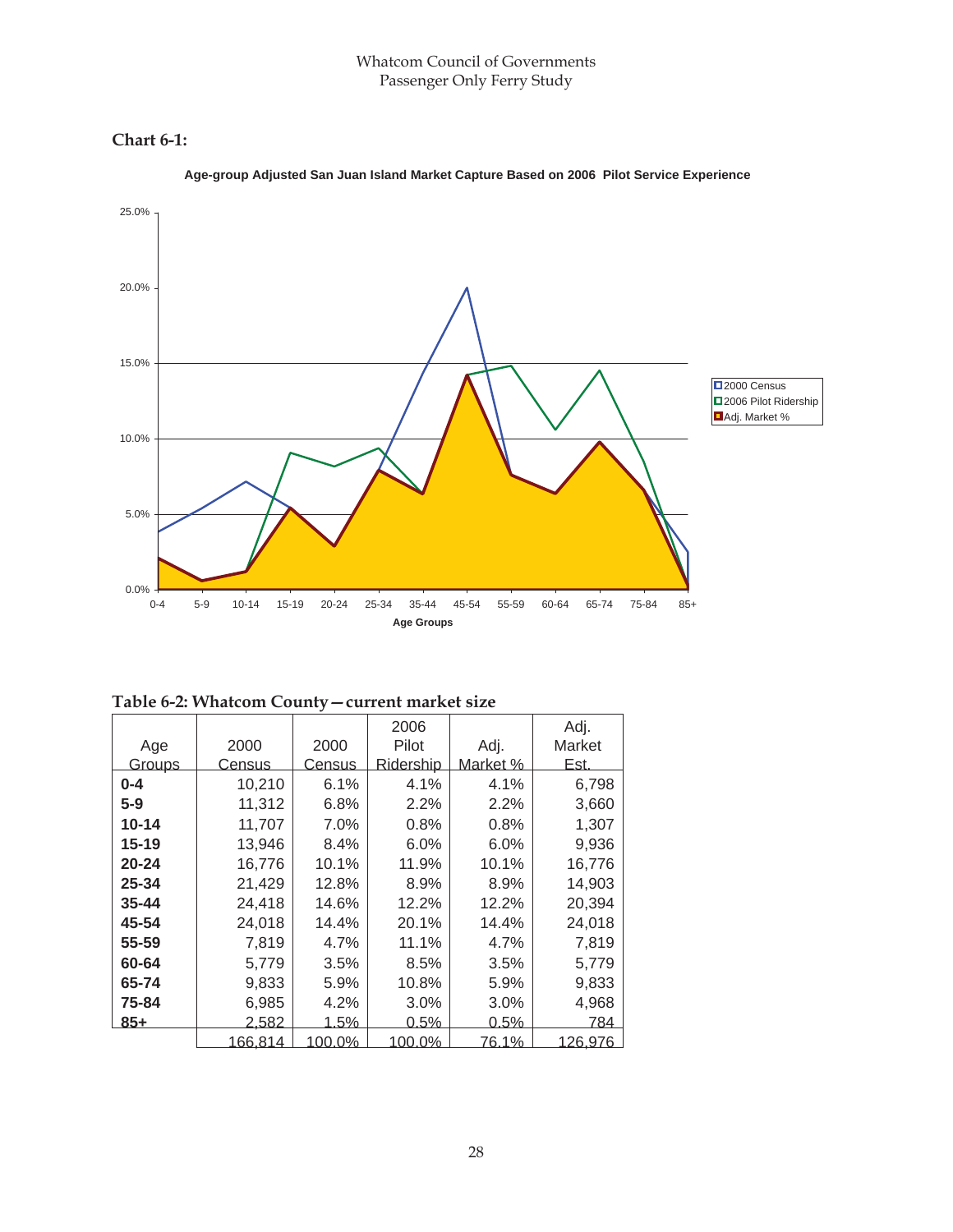#### **Chart 6-1:**



**Age-group Adjusted San Juan Island Market Capture Based on 2006 Pilot Service Experience**

| Table 6-2: Whatcom County – current market size |  |  |
|-------------------------------------------------|--|--|
|-------------------------------------------------|--|--|

|           |              |               | 2006             |          | Adj.        |
|-----------|--------------|---------------|------------------|----------|-------------|
| Age       | 2000         | 2000          | Pilot            | Adj.     | Market      |
| Groups    | Census       | <u>Census</u> | <b>Ridership</b> | Market % | <u>Est.</u> |
| $0 - 4$   | 10,210       | 6.1%          | 4.1%             | 4.1%     | 6,798       |
| $5-9$     | 11,312       | 6.8%          | 2.2%             | 2.2%     | 3,660       |
| $10 - 14$ | 11,707       | 7.0%          | 0.8%             | 0.8%     | 1,307       |
| $15 - 19$ | 13,946       | 8.4%          | 6.0%             | 6.0%     | 9,936       |
| $20 - 24$ | 16,776       | 10.1%         | 11.9%            | 10.1%    | 16,776      |
| 25-34     | 21,429       | 12.8%         | 8.9%             | 8.9%     | 14,903      |
| $35 - 44$ | 24,418       | 14.6%         | 12.2%            | 12.2%    | 20,394      |
| 45-54     | 24,018       | 14.4%         | 20.1%            | 14.4%    | 24,018      |
| 55-59     | 7,819        | 4.7%          | 11.1%            | 4.7%     | 7,819       |
| 60-64     | 5,779        | 3.5%          | 8.5%             | 3.5%     | 5,779       |
| 65-74     | 9,833        | 5.9%          | 10.8%            | 5.9%     | 9,833       |
| 75-84     | 6,985        | 4.2%          | 3.0%             | 3.0%     | 4,968       |
| $85+$     | <u>2,582</u> | <u>1.5%</u>   | 0.5%             | 0.5%     | 784         |
|           | 166,814      | 100.0%        | 100.0%           | 76.1%    | 126,976     |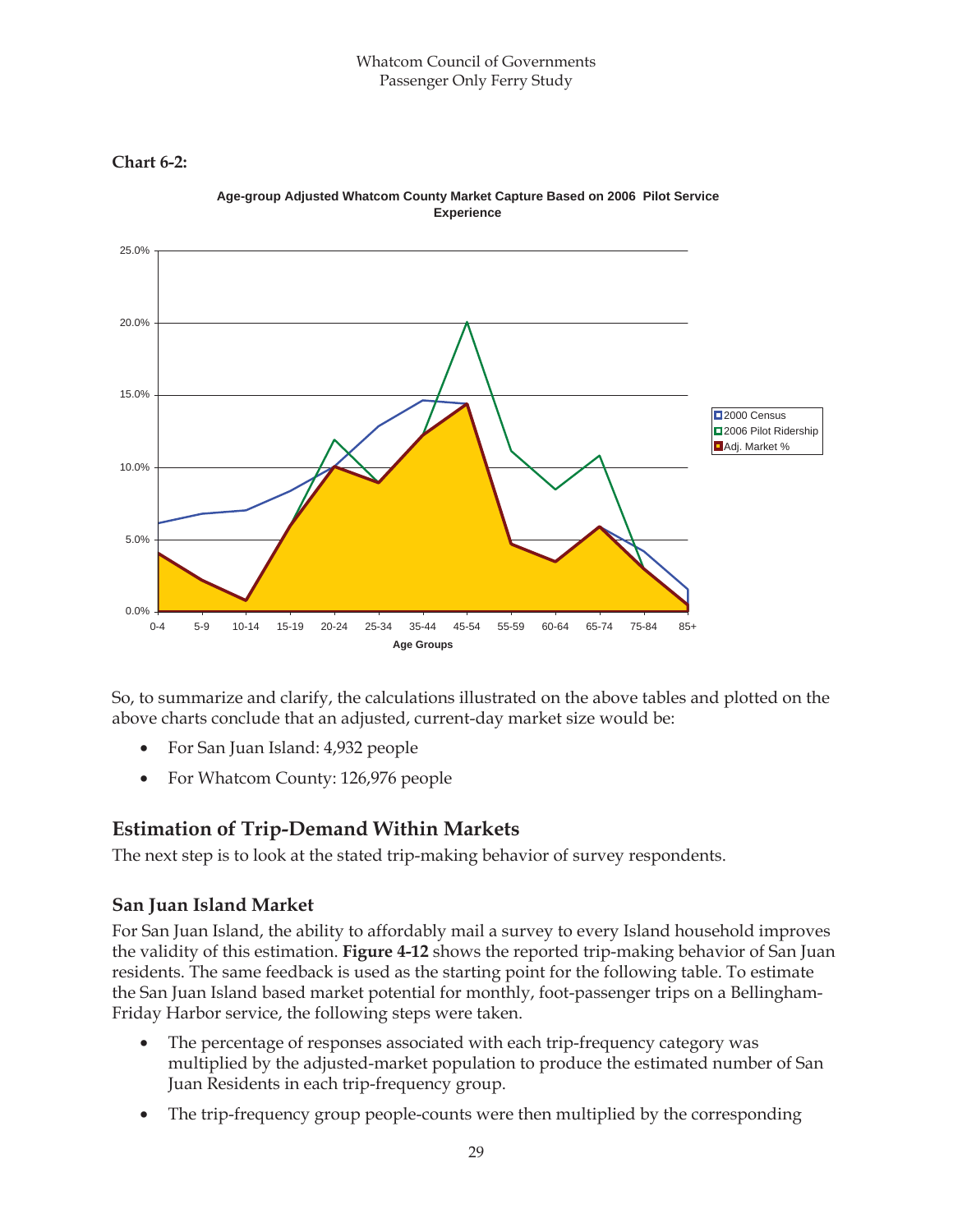#### Whatcom Council of Governments Passenger Only Ferry Study

**Chart 6-2:**



**Age-group Adjusted Whatcom County Market Capture Based on 2006 Pilot Service Experience**

So, to summarize and clarify, the calculations illustrated on the above tables and plotted on the above charts conclude that an adjusted, current-day market size would be:

- For San Juan Island: 4,932 people
- For Whatcom County: 126,976 people

## **Estimation of Trip-Demand Within Markets**

The next step is to look at the stated trip-making behavior of survey respondents.

#### **San Juan Island Market**

For San Juan Island, the ability to affordably mail a survey to every Island household improves the validity of this estimation. **Figure 4-12** shows the reported trip-making behavior of San Juan residents. The same feedback is used as the starting point for the following table. To estimate the San Juan Island based market potential for monthly, foot-passenger trips on a Bellingham-Friday Harbor service, the following steps were taken.

- The percentage of responses associated with each trip-frequency category was multiplied by the adjusted-market population to produce the estimated number of San Juan Residents in each trip-frequency group.
- The trip-frequency group people-counts were then multiplied by the corresponding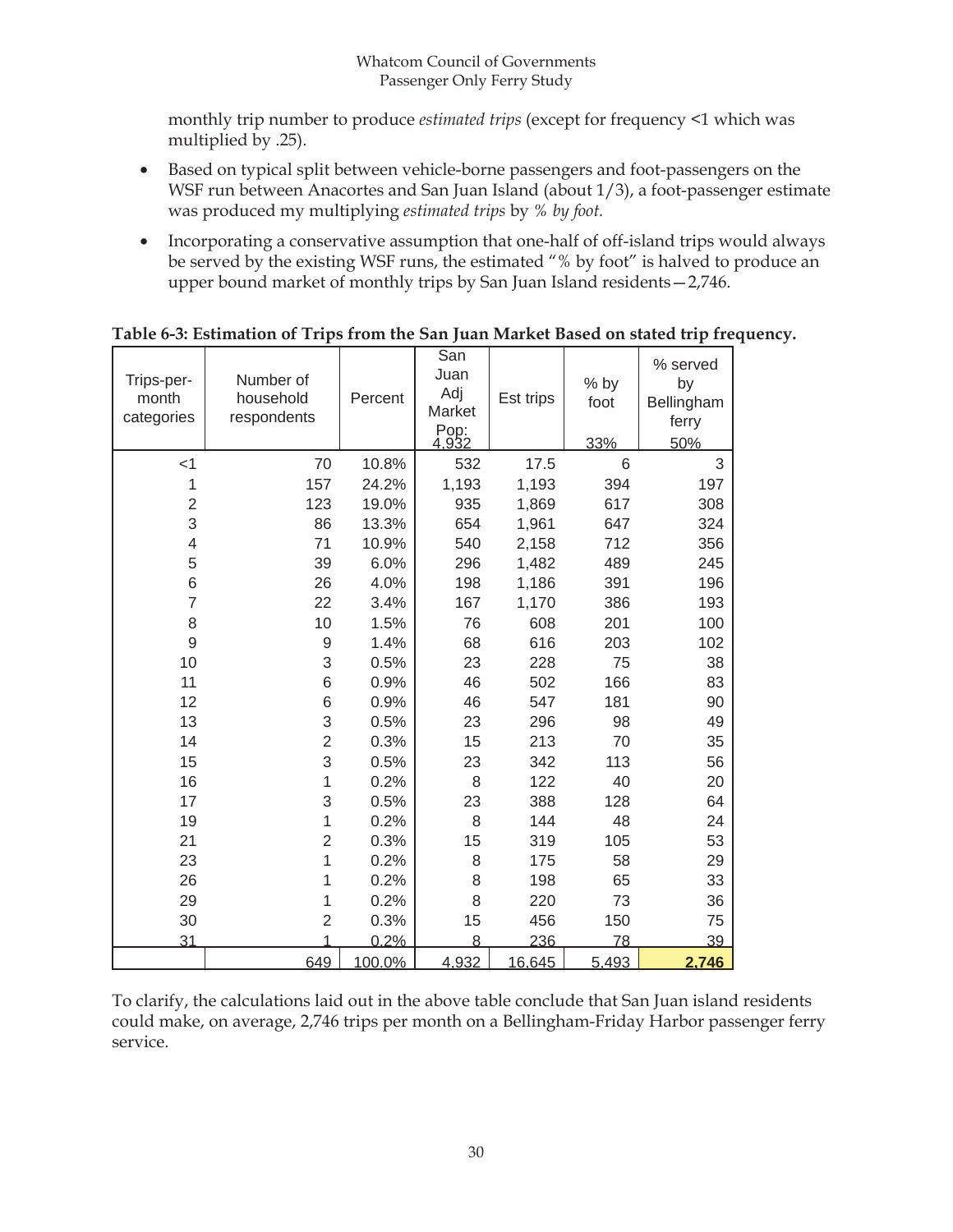monthly trip number to produce *estimated trips* (except for frequency <1 which was multiplied by .25).

- Based on typical split between vehicle-borne passengers and foot-passengers on the WSF run between Anacortes and San Juan Island (about 1/3), a foot-passenger estimate was produced my multiplying *estimated trips* by *% by foot.*
- Incorporating a conservative assumption that one-half of off-island trips would always be served by the existing WSF runs, the estimated "% by foot" is halved to produce an upper bound market of monthly trips by San Juan Island residents—2,746.

| Trips-per-<br>month<br>categories | Number of<br>household<br>respondents | Percent | San<br>Juan<br>Adj<br>Market<br>Pop:<br>4,932 | Est trips | % by<br>foot<br>33% | % served<br>by<br>Bellingham<br>ferry<br>50% |
|-----------------------------------|---------------------------------------|---------|-----------------------------------------------|-----------|---------------------|----------------------------------------------|
| $<$ 1                             | 70                                    | 10.8%   | 532                                           | 17.5      | 6                   | 3                                            |
| 1                                 | 157                                   | 24.2%   | 1,193                                         | 1,193     | 394                 | 197                                          |
| $\overline{2}$                    | 123                                   | 19.0%   | 935                                           | 1,869     | 617                 | 308                                          |
| 3                                 | 86                                    | 13.3%   | 654                                           | 1,961     | 647                 | 324                                          |
| $\overline{4}$                    | 71                                    | 10.9%   | 540                                           | 2,158     | 712                 | 356                                          |
| 5                                 | 39                                    | 6.0%    | 296                                           | 1,482     | 489                 | 245                                          |
| 6                                 | 26                                    | 4.0%    | 198                                           | 1,186     | 391                 | 196                                          |
| $\overline{7}$                    | 22                                    | 3.4%    | 167                                           | 1,170     | 386                 | 193                                          |
| 8                                 | 10                                    | 1.5%    | 76                                            | 608       | 201                 | 100                                          |
| 9                                 | 9                                     | 1.4%    | 68                                            | 616       | 203                 | 102                                          |
| 10                                | 3                                     | 0.5%    | 23                                            | 228       | 75                  | 38                                           |
| 11                                | 6                                     | 0.9%    | 46                                            | 502       | 166                 | 83                                           |
| 12                                | 6                                     | 0.9%    | 46                                            | 547       | 181                 | 90                                           |
| 13                                | 3                                     | 0.5%    | 23                                            | 296       | 98                  | 49                                           |
| 14                                | $\overline{2}$                        | 0.3%    | 15                                            | 213       | 70                  | 35                                           |
| 15                                | 3                                     | 0.5%    | 23                                            | 342       | 113                 | 56                                           |
| 16                                | 1                                     | 0.2%    | 8                                             | 122       | 40                  | 20                                           |
| 17                                | 3                                     | 0.5%    | 23                                            | 388       | 128                 | 64                                           |
| 19                                | 1                                     | 0.2%    | 8                                             | 144       | 48                  | 24                                           |
| 21                                | $\overline{2}$                        | 0.3%    | 15                                            | 319       | 105                 | 53                                           |
| 23                                | 1                                     | 0.2%    | 8                                             | 175       | 58                  | 29                                           |
| 26                                | 1                                     | 0.2%    | 8                                             | 198       | 65                  | 33                                           |
| 29                                | 1                                     | 0.2%    | 8                                             | 220       | 73                  | 36                                           |
| 30                                | $\overline{2}$                        | 0.3%    | 15                                            | 456       | 150                 | 75                                           |
| 31                                | 1                                     | 0.2%    | 8                                             | 236       | 78                  | 39                                           |
|                                   | 649                                   | 100.0%  | 4.932                                         | 16,645    | 5.493               | 2,746                                        |

#### **Table 6-3: Estimation of Trips from the San Juan Market Based on stated trip frequency.**

To clarify, the calculations laid out in the above table conclude that San Juan island residents could make, on average, 2,746 trips per month on a Bellingham-Friday Harbor passenger ferry service.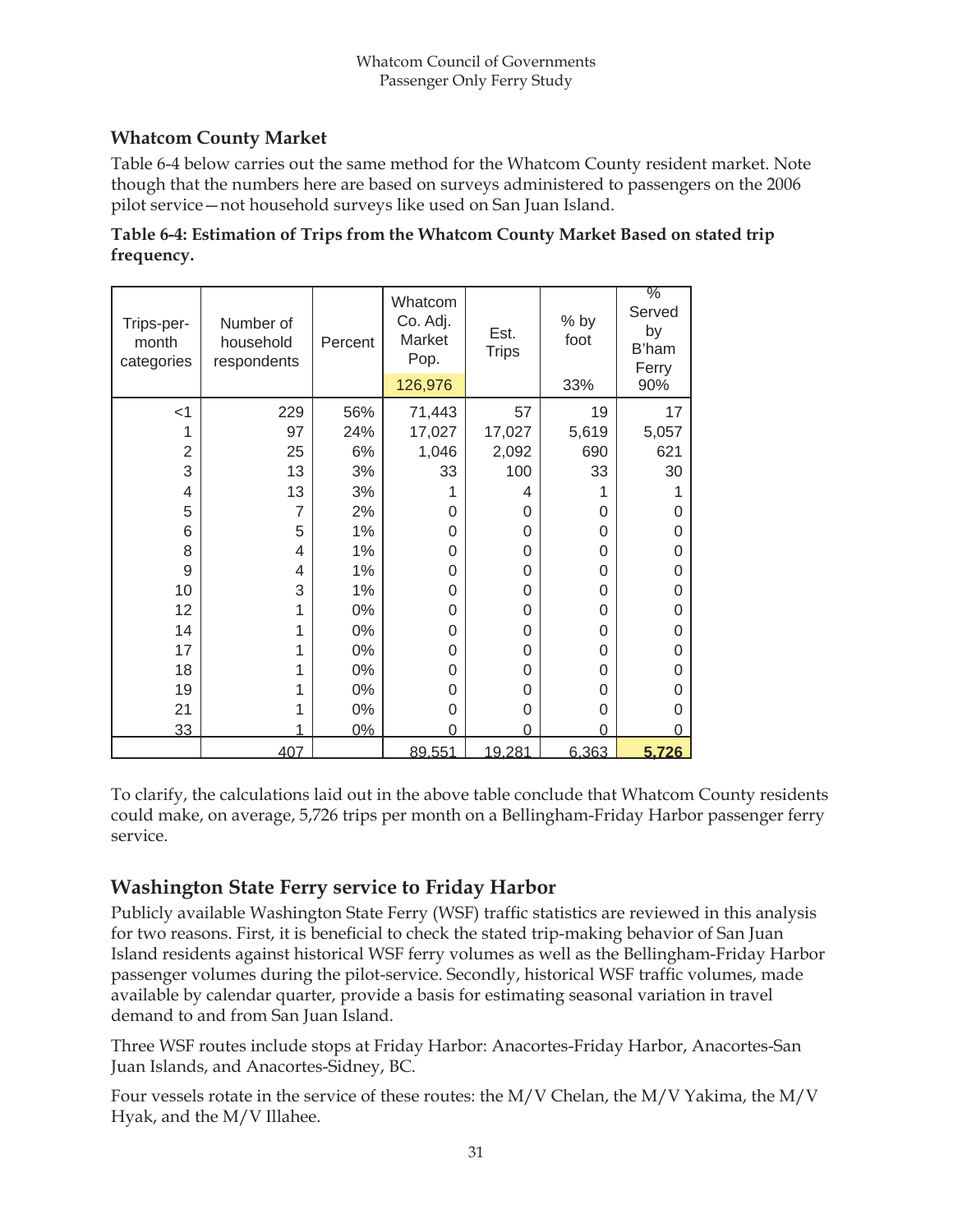#### **Whatcom County Market**

Table 6-4 below carries out the same method for the Whatcom County resident market. Note though that the numbers here are based on surveys administered to passengers on the 2006 pilot service—not household surveys like used on San Juan Island.

| Table 6-4: Estimation of Trips from the Whatcom County Market Based on stated trip |  |
|------------------------------------------------------------------------------------|--|
| frequency.                                                                         |  |

| Trips-per-<br>month<br>categories | Number of<br>household<br>respondents | Percent | Whatcom<br>Co. Adj.<br>Market<br>Pop.<br>126,976 | Est.<br><b>Trips</b> | % by<br>foot<br>33% | $\frac{9}{6}$<br>Served<br>by<br>B'ham<br>Ferry<br>90% |
|-----------------------------------|---------------------------------------|---------|--------------------------------------------------|----------------------|---------------------|--------------------------------------------------------|
| $<$ 1                             | 229                                   | 56%     | 71,443                                           | 57                   | 19                  | 17                                                     |
|                                   | 97                                    | 24%     | 17,027                                           | 17,027               | 5,619               | 5,057                                                  |
| $\overline{2}$                    | 25                                    | 6%      | 1,046                                            | 2,092                | 690                 | 621                                                    |
| 3                                 | 13                                    | 3%      | 33                                               | 100                  | 33                  | 30                                                     |
| 4                                 | 13                                    | 3%      |                                                  | 4                    |                     |                                                        |
| 5                                 | 7                                     |         |                                                  | 0                    | 0                   |                                                        |
|                                   |                                       | 2%      | 0                                                |                      |                     | O                                                      |
| 6                                 | 5                                     | $1\%$   | 0                                                | 0                    | 0                   | 0                                                      |
| 8                                 | 4                                     | 1%      | 0                                                | 0                    | 0                   | 0                                                      |
| 9                                 | 4                                     | 1%      | 0                                                | 0                    | 0                   | O                                                      |
| 10                                | 3                                     | 1%      | 0                                                | 0                    | 0                   |                                                        |
| 12                                | 1                                     | $0\%$   | 0                                                | 0                    | 0                   | O                                                      |
| 14                                | 1                                     | $0\%$   | 0                                                | 0                    | 0                   | 0                                                      |
| 17                                | 1                                     | $0\%$   | 0                                                | 0                    | 0                   | 0                                                      |
| 18                                |                                       | $0\%$   | 0                                                | 0                    | 0                   | 0                                                      |
| 19                                |                                       | 0%      | 0                                                | 0                    | 0                   | O                                                      |
| 21                                |                                       | $0\%$   | 0                                                | 0                    | 0                   |                                                        |
| 33                                |                                       | 0%      | 0                                                | O                    | O                   |                                                        |
|                                   | 407                                   |         | 89.551                                           | 19,281               | 6,363               | 5,726                                                  |

To clarify, the calculations laid out in the above table conclude that Whatcom County residents could make, on average, 5,726 trips per month on a Bellingham-Friday Harbor passenger ferry service.

## **Washington State Ferry service to Friday Harbor**

Publicly available Washington State Ferry (WSF) traffic statistics are reviewed in this analysis for two reasons. First, it is beneficial to check the stated trip-making behavior of San Juan Island residents against historical WSF ferry volumes as well as the Bellingham-Friday Harbor passenger volumes during the pilot-service. Secondly, historical WSF traffic volumes, made available by calendar quarter, provide a basis for estimating seasonal variation in travel demand to and from San Juan Island.

Three WSF routes include stops at Friday Harbor: Anacortes-Friday Harbor, Anacortes-San Juan Islands, and Anacortes-Sidney, BC.

Four vessels rotate in the service of these routes: the  $M/V$  Chelan, the  $M/V$  Yakima, the  $M/V$ Hyak, and the M/V Illahee.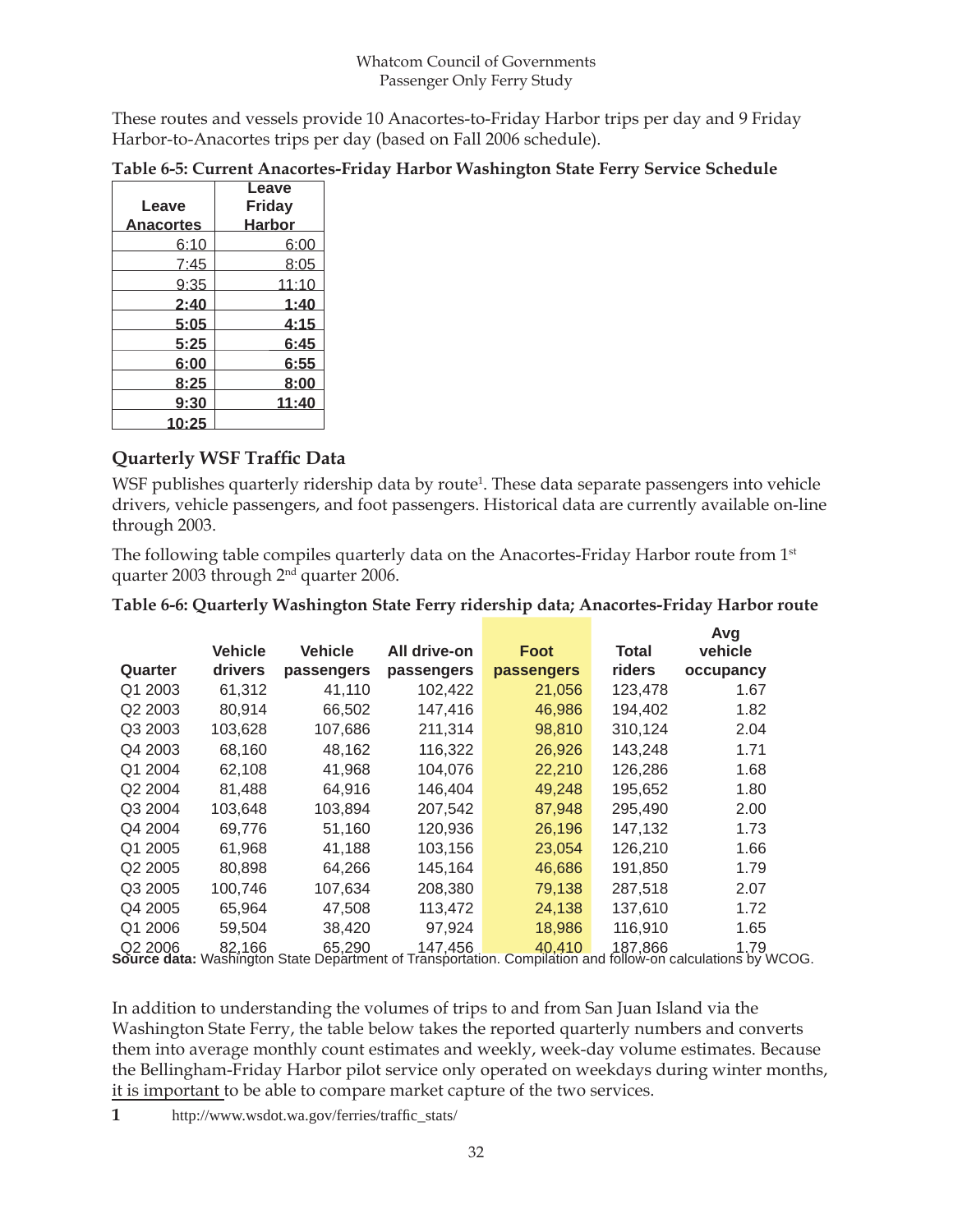These routes and vessels provide 10 Anacortes-to-Friday Harbor trips per day and 9 Friday Harbor-to-Anacortes trips per day (based on Fall 2006 schedule).

|                  | <b>Leave</b>  |
|------------------|---------------|
| Leave            | Friday        |
| <b>Anacortes</b> | <b>Harbor</b> |
| 6:10             | 6:00          |
| 7:45             | 8:05          |
| 9:35             | 11:10         |
| 2:40             | 1:40          |
| 5:05             | 4:15          |
| 5:25             | 6:45          |
| 6:00             | 6:55          |
| 8:25             | 8:00          |
| 9:30             | 11:40         |
| 10:25            |               |

#### **Table 6-5: Current Anacortes-Friday Harbor Washington State Ferry Service Schedule**

#### **Quarterly WSF Traffic Data**

WSF publishes quarterly ridership data by route<sup>1</sup>. These data separate passengers into vehicle drivers, vehicle passengers, and foot passengers. Historical data are currently available on-line through 2003.

The following table compiles quarterly data on the Anacortes-Friday Harbor route from 1<sup>st</sup> quarter 2003 through 2nd quarter 2006.

|                     |                |                |              |            |              | Avg       |
|---------------------|----------------|----------------|--------------|------------|--------------|-----------|
|                     | <b>Vehicle</b> | <b>Vehicle</b> | All drive-on | Foot       | <b>Total</b> | vehicle   |
| Quarter             | drivers        | passengers     | passengers   | passengers | riders       | occupancy |
| Q1 2003             | 61,312         | 41,110         | 102,422      | 21,056     | 123,478      | 1.67      |
| Q <sub>2</sub> 2003 | 80,914         | 66,502         | 147,416      | 46,986     | 194,402      | 1.82      |
| Q3 2003             | 103,628        | 107,686        | 211,314      | 98,810     | 310,124      | 2.04      |
| Q4 2003             | 68,160         | 48,162         | 116,322      | 26,926     | 143,248      | 1.71      |
| Q1 2004             | 62,108         | 41,968         | 104,076      | 22,210     | 126,286      | 1.68      |
| Q2 2004             | 81,488         | 64,916         | 146,404      | 49,248     | 195,652      | 1.80      |
| Q3 2004             | 103,648        | 103,894        | 207,542      | 87,948     | 295,490      | 2.00      |
| Q4 2004             | 69,776         | 51,160         | 120,936      | 26,196     | 147,132      | 1.73      |
| Q1 2005             | 61,968         | 41,188         | 103,156      | 23,054     | 126,210      | 1.66      |
| Q <sub>2</sub> 2005 | 80,898         | 64,266         | 145,164      | 46,686     | 191,850      | 1.79      |
| Q3 2005             | 100,746        | 107,634        | 208,380      | 79,138     | 287,518      | 2.07      |
| Q4 2005             | 65,964         | 47.508         | 113,472      | 24,138     | 137.610      | 1.72      |
| Q1 2006             | 59,504         | 38,420         | 97,924       | 18,986     | 116,910      | 1.65      |
| Q2 2006             | 82,166         | 65,290         | 147,456      | 40,410     | 187,866      | 1,79,     |

#### **Table 6-6: Quarterly Washington State Ferry ridership data; Anacortes-Friday Harbor route**

Q2 2006 82,166 65,290 147,456 40,410 187,866 1.79<br>**Source data:** Washington State Department of Transportation. Compilation and follow-on calculations by WCOG.

In addition to understanding the volumes of trips to and from San Juan Island via the Washington State Ferry, the table below takes the reported quarterly numbers and converts them into average monthly count estimates and weekly, week-day volume estimates. Because the Bellingham-Friday Harbor pilot service only operated on weekdays during winter months, it is important to be able to compare market capture of the two services.

1 http://www.wsdot.wa.gov/ferries/traffic\_stats/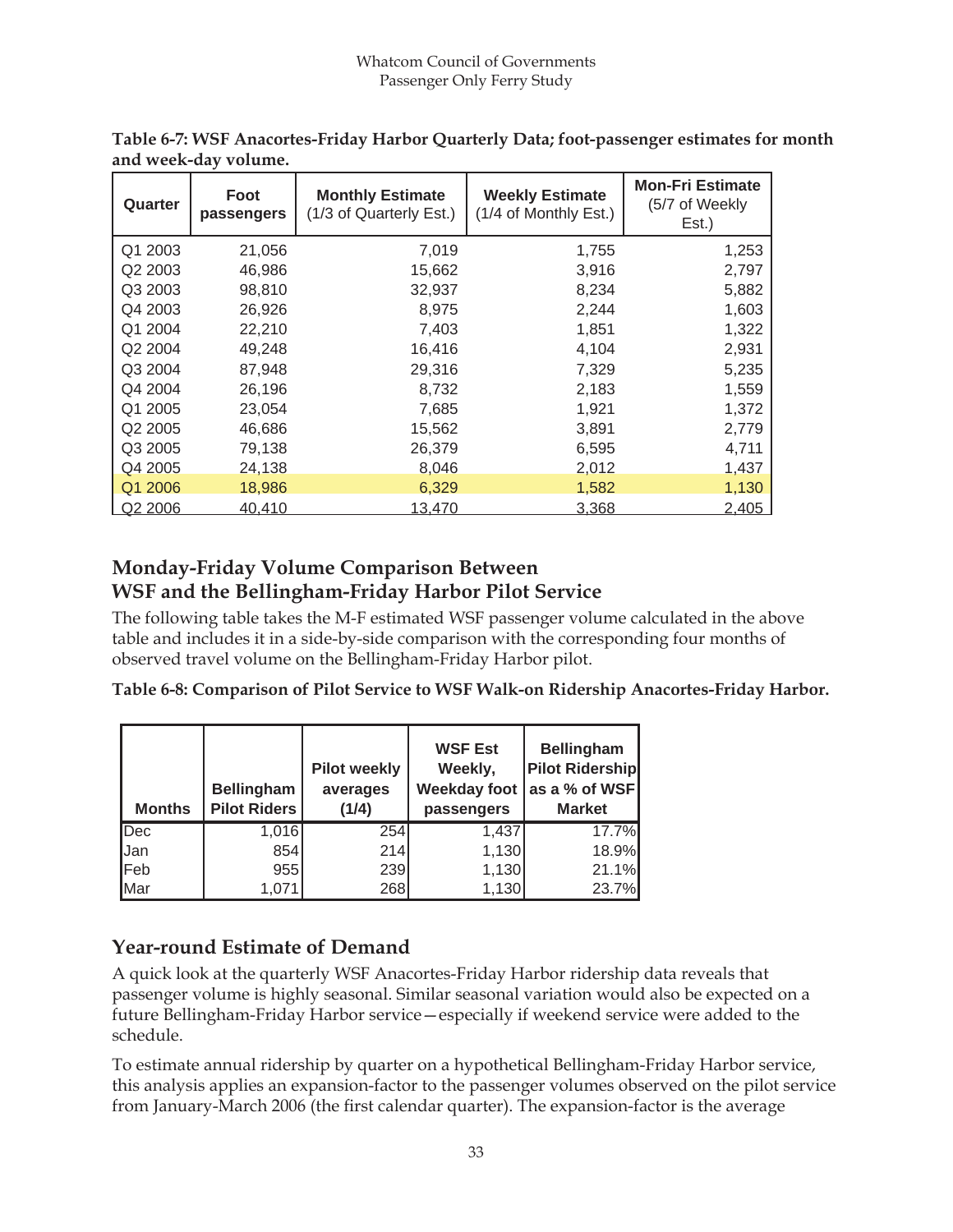| Quarter             | Foot<br>passengers | <b>Monthly Estimate</b><br>(1/3 of Quarterly Est.) | <b>Weekly Estimate</b><br>(1/4 of Monthly Est.) | <b>Mon-Fri Estimate</b><br>(5/7 of Weekly<br>Est.) |
|---------------------|--------------------|----------------------------------------------------|-------------------------------------------------|----------------------------------------------------|
| Q1 2003             | 21,056             | 7,019                                              | 1,755                                           | 1,253                                              |
| Q <sub>2</sub> 2003 | 46,986             | 15,662                                             | 3,916                                           | 2,797                                              |
| Q3 2003             | 98,810             | 32,937                                             | 8,234                                           | 5,882                                              |
| Q4 2003             | 26,926             | 8,975                                              | 2,244                                           | 1,603                                              |
| Q1 2004             | 22,210             | 7,403                                              | 1,851                                           | 1,322                                              |
| Q2 2004             | 49,248             | 16,416                                             | 4,104                                           | 2,931                                              |
| Q3 2004             | 87,948             | 29,316                                             | 7,329                                           | 5,235                                              |
| Q4 2004             | 26,196             | 8,732                                              | 2,183                                           | 1,559                                              |
| Q1 2005             | 23,054             | 7,685                                              | 1,921                                           | 1,372                                              |
| Q2 2005             | 46,686             | 15,562                                             | 3,891                                           | 2,779                                              |
| Q3 2005             | 79,138             | 26,379                                             | 6,595                                           | 4,711                                              |
| Q4 2005             | 24,138             | 8,046                                              | 2,012                                           | 1,437                                              |
| Q1 2006             | 18,986             | 6,329                                              | 1,582                                           | 1,130                                              |
| Q2 2006             | 40.410             | 13.470                                             | 3.368                                           | 2.405                                              |

**Table 6-7: WSF Anacortes-Friday Harbor Quarterly Data; foot-passenger estimates for month and week-day volume.**

## **Monday-Friday Volume Comparison Between WSF and the Bellingham-Friday Harbor Pilot Service**

The following table takes the M-F estimated WSF passenger volume calculated in the above table and includes it in a side-by-side comparison with the corresponding four months of observed travel volume on the Bellingham-Friday Harbor pilot.

**Table 6-8: Comparison of Pilot Service to WSF Walk-on Ridership Anacortes-Friday Harbor.**

| <b>Months</b> | <b>Bellingham</b><br><b>Pilot Riders</b> | <b>Pilot weekly</b><br>averages<br>(1/4) | <b>WSF Est</b><br>Weekly,<br>passengers | <b>Bellingham</b><br><b>Pilot Ridership</b><br>Weekday foot   as a % of WSF <br><b>Market</b> |
|---------------|------------------------------------------|------------------------------------------|-----------------------------------------|-----------------------------------------------------------------------------------------------|
| Dec           | 1,016                                    | 254                                      | 1,437                                   | 17.7%                                                                                         |
| Jan           | 854                                      | 214                                      | 1,130                                   | 18.9%                                                                                         |
| <b>Feb</b>    | 955                                      | 239                                      | 1,130                                   | 21.1%                                                                                         |
| <b>Mar</b>    | 1,071                                    | 268                                      | 1,130                                   | 23.7%                                                                                         |

## **Year-round Estimate of Demand**

A quick look at the quarterly WSF Anacortes-Friday Harbor ridership data reveals that passenger volume is highly seasonal. Similar seasonal variation would also be expected on a future Bellingham-Friday Harbor service—especially if weekend service were added to the schedule.

To estimate annual ridership by quarter on a hypothetical Bellingham-Friday Harbor service, this analysis applies an expansion-factor to the passenger volumes observed on the pilot service from January-March 2006 (the first calendar quarter). The expansion-factor is the average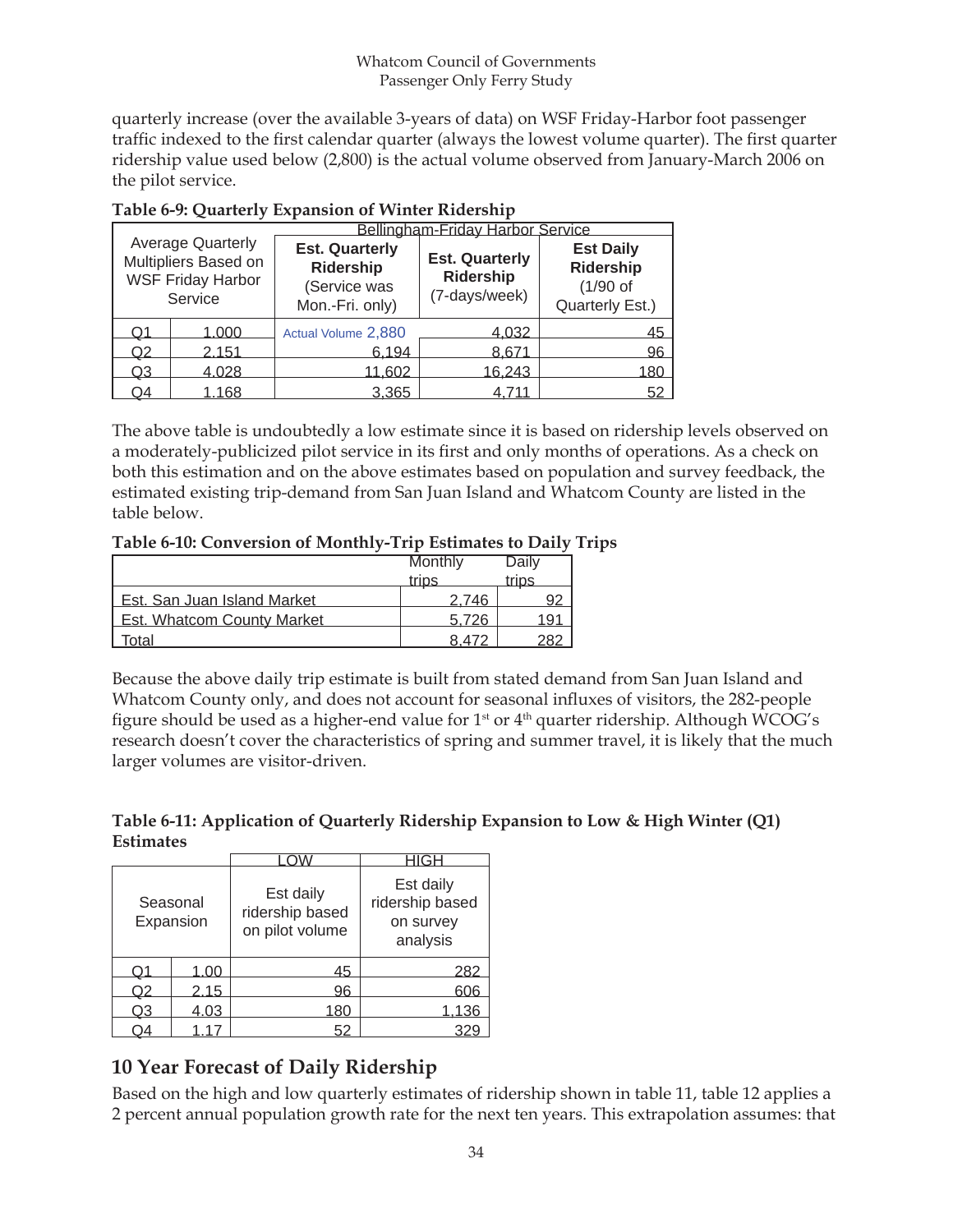quarterly increase (over the available 3-years of data) on WSF Friday-Harbor foot passenger traffic indexed to the first calendar quarter (always the lowest volume quarter). The first quarter ridership value used below (2,800) is the actual volume observed from January-March 2006 on the pilot service.

|    |                                                                                         |                                                                              | Bellingham-Friday Harbor Service                    |                                                                       |
|----|-----------------------------------------------------------------------------------------|------------------------------------------------------------------------------|-----------------------------------------------------|-----------------------------------------------------------------------|
|    | <b>Average Quarterly</b><br>Multipliers Based on<br><b>WSF Friday Harbor</b><br>Service | <b>Est. Quarterly</b><br><b>Ridership</b><br>(Service was<br>Mon.-Fri. only) | <b>Est. Quarterly</b><br>Ridership<br>(7-days/week) | <b>Est Daily</b><br><b>Ridership</b><br>$(1/90$ of<br>Quarterly Est.) |
| Ο1 | 1.000                                                                                   | Actual Volume 2,880                                                          | <u>4,032</u>                                        | 45                                                                    |
| Q2 | 2.151                                                                                   | 6.194                                                                        | 8,671                                               | 96                                                                    |
| Q3 | 4.028                                                                                   | 11.602                                                                       | 16.243                                              | 180.                                                                  |
| О4 | 1.168                                                                                   | 3.365                                                                        | 4.711                                               | $52^{\circ}$                                                          |

The above table is undoubtedly a low estimate since it is based on ridership levels observed on a moderately-publicized pilot service in its first and only months of operations. As a check on both this estimation and on the above estimates based on population and survey feedback, the estimated existing trip-demand from San Juan Island and Whatcom County are listed in the table below.

#### **Table 6-10: Conversion of Monthly-Trip Estimates to Daily Trips**

|                                   | Monthly | Daily |
|-----------------------------------|---------|-------|
|                                   | trips   | trips |
| Est. San Juan Island Market       | 2 746   |       |
| <b>Est. Whatcom County Market</b> | 5.726   | 1 Q   |
| cotal                             | 8 470   |       |

Because the above daily trip estimate is built from stated demand from San Juan Island and Whatcom County only, and does not account for seasonal influxes of visitors, the 282-people figure should be used as a higher-end value for  $1<sup>st</sup>$  or  $4<sup>th</sup>$  quarter ridership. Although WCOG's research doesn't cover the characteristics of spring and summer travel, it is likely that the much larger volumes are visitor-driven.

**Table 6-11: Application of Quarterly Ridership Expansion to Low & High Winter (Q1) Estimates**

|    | Seasonal<br>Expansion | Est daily<br>ridership based<br>on pilot volume | Est daily<br>ridership based<br>on survey<br>analysis |
|----|-----------------------|-------------------------------------------------|-------------------------------------------------------|
| O1 | 1.00                  | 45                                              | 282                                                   |
| Q2 | 2.15                  | 96                                              | 606                                                   |
| Q3 | 4.03                  | 180                                             | 36                                                    |
|    |                       |                                                 |                                                       |

## **10 Year Forecast of Daily Ridership**

Based on the high and low quarterly estimates of ridership shown in table 11, table 12 applies a 2 percent annual population growth rate for the next ten years. This extrapolation assumes: that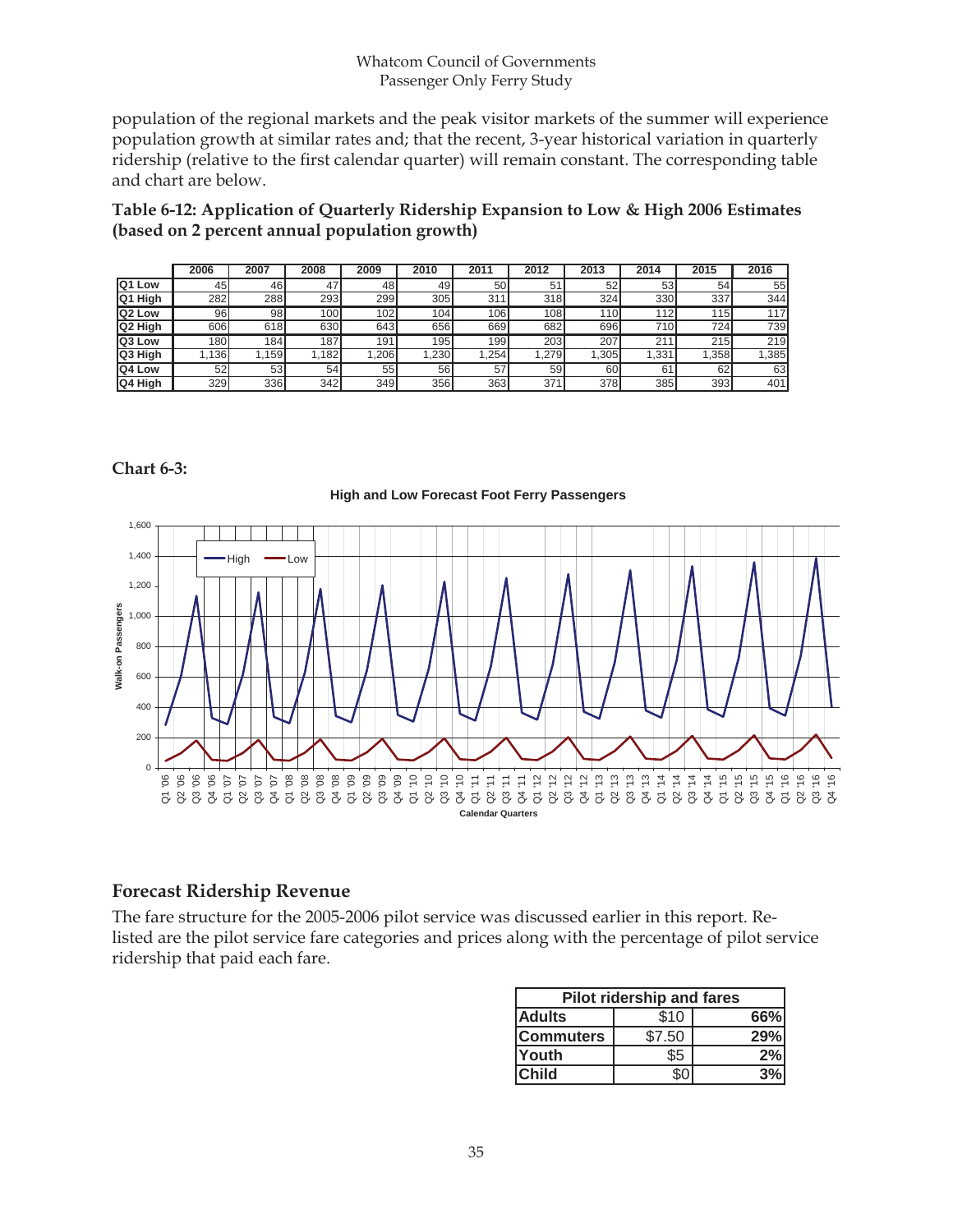#### Whatcom Council of Governments Passenger Only Ferry Study

population of the regional markets and the peak visitor markets of the summer will experience population growth at similar rates and; that the recent, 3-year historical variation in quarterly ridership (relative to the first calendar quarter) will remain constant. The corresponding table and chart are below.

**Table 6-12: Application of Quarterly Ridership Expansion to Low & High 2006 Estimates (based on 2 percent annual population growth)**

|               | 2006             | 2007             | 2008   | 2009 | 2010             | 2011 | 2012             | 2013 | 2014             | 2015 | 2016 |
|---------------|------------------|------------------|--------|------|------------------|------|------------------|------|------------------|------|------|
| Q1 Low        | 45               | 46               | 47     | 48   | 49               | 50   | 5.               | 52   | 53               | 54   | 55   |
| Q1 High       | 282              | 288              | 293    | 299  | 305 <sub>1</sub> | 311  | 318              | 324  | 330              | 337  | 344  |
| Q2 Low        | 96               | 98               | 100    | 102  | 104 <sub>1</sub> | 106  | 108 <sub>1</sub> | 110  | 112              | 115  | 117  |
| Q2 High       | 606I             | 618l             | 630l   | 643  | 656              | 669  | 682              | 696  | 710 <sub>1</sub> | 724  | 739  |
| <b>Q3 Low</b> | 180 <sup>1</sup> | 184 <sub>1</sub> | 187    | 191  | 195              | 199  | 203              | 207  | 211              | 215  | 219  |
| Q3 High       | 1361             | .159             | l.182l | ,206 | .230             | .254 | 1.279            | .305 | ,331             | .358 | ,385 |
| Q4 Low        | 52               | 53               | 54     | 55   | 56               | 57   | 59               | 60   | 61               | 62   | 63   |
| Q4 High       | 329              | 336              | 342    | 349  | 356              | 363  | 371              | 378I | 385              | 393  | 401  |

#### **Chart 6-3:**



#### **Forecast Ridership Revenue**

The fare structure for the 2005-2006 pilot service was discussed earlier in this report. Relisted are the pilot service fare categories and prices along with the percentage of pilot service ridership that paid each fare.

|                  | <b>Pilot ridership and fares</b> |     |
|------------------|----------------------------------|-----|
| <b>Adults</b>    | \$10                             | 66% |
| <b>Commuters</b> | \$7.50                           | 29% |
| <b>Youth</b>     | \$5                              | 2%  |
| <b>Child</b>     |                                  |     |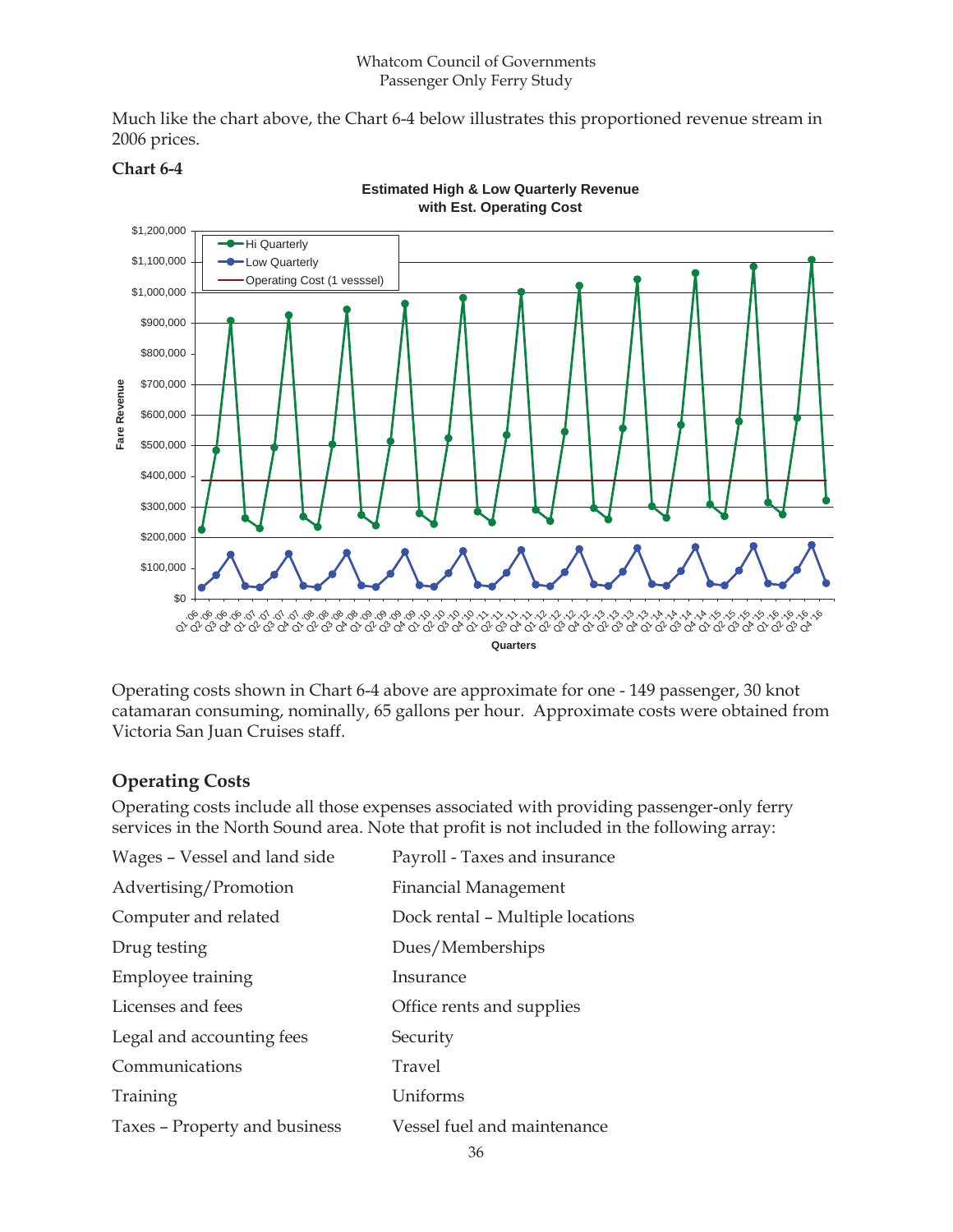Much like the chart above, the Chart 6-4 below illustrates this proportioned revenue stream in 2006 prices.



#### **Chart 6-4**

Operating costs shown in Chart 6-4 above are approximate for one - 149 passenger, 30 knot catamaran consuming, nominally, 65 gallons per hour. Approximate costs were obtained from Victoria San Juan Cruises staff.

#### **Operating Costs**

Operating costs include all those expenses associated with providing passenger-only ferry services in the North Sound area. Note that profit is not included in the following array:

| Wages - Vessel and land side  | Payroll - Taxes and insurance    |
|-------------------------------|----------------------------------|
| Advertising/Promotion         | <b>Financial Management</b>      |
| Computer and related          | Dock rental - Multiple locations |
| Drug testing                  | Dues/Memberships                 |
| Employee training             | Insurance                        |
| Licenses and fees             | Office rents and supplies        |
| Legal and accounting fees     | Security                         |
| Communications                | Travel                           |
| Training                      | Uniforms                         |
| Taxes – Property and business | Vessel fuel and maintenance      |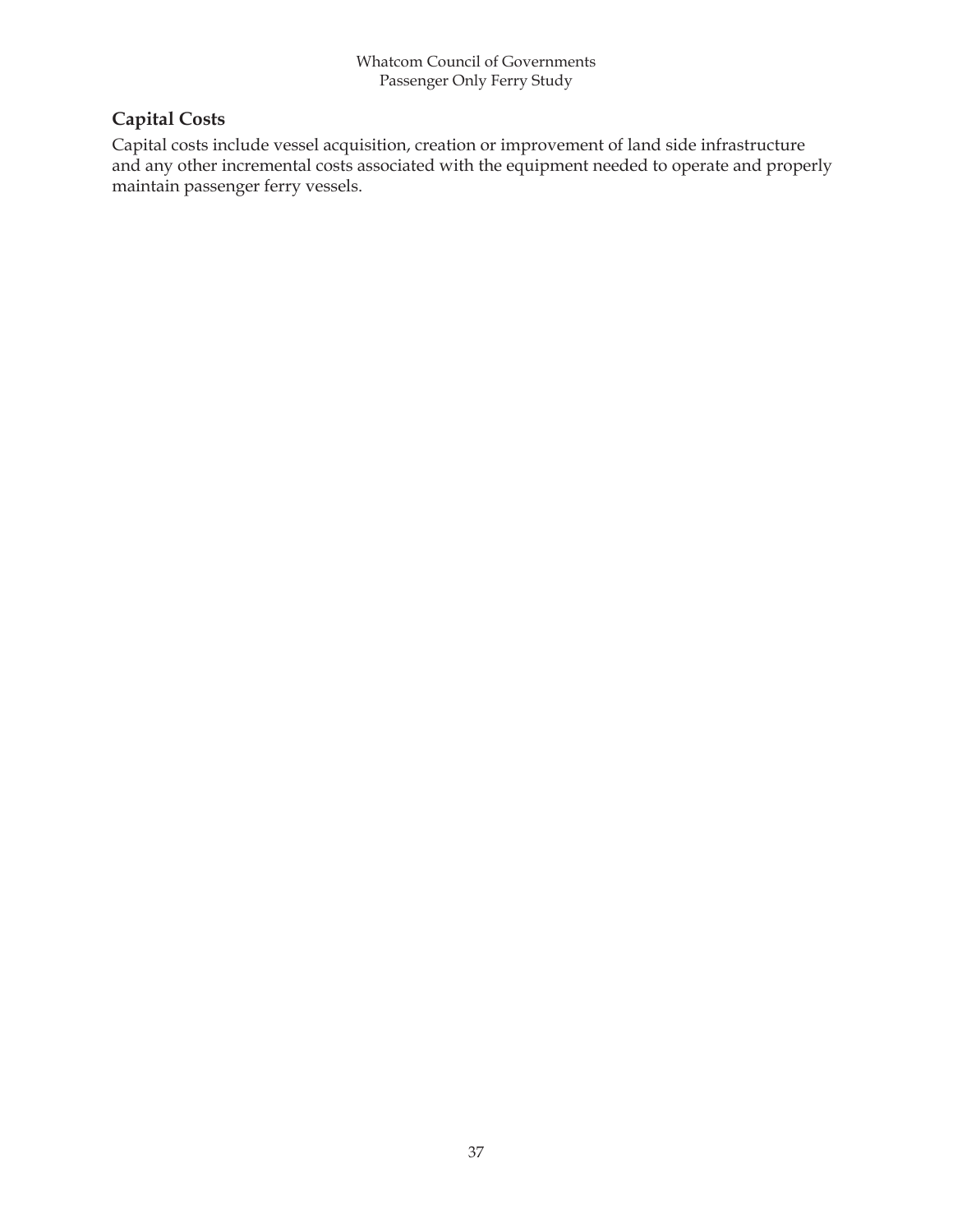## **Capital Costs**

Capital costs include vessel acquisition, creation or improvement of land side infrastructure and any other incremental costs associated with the equipment needed to operate and properly maintain passenger ferry vessels.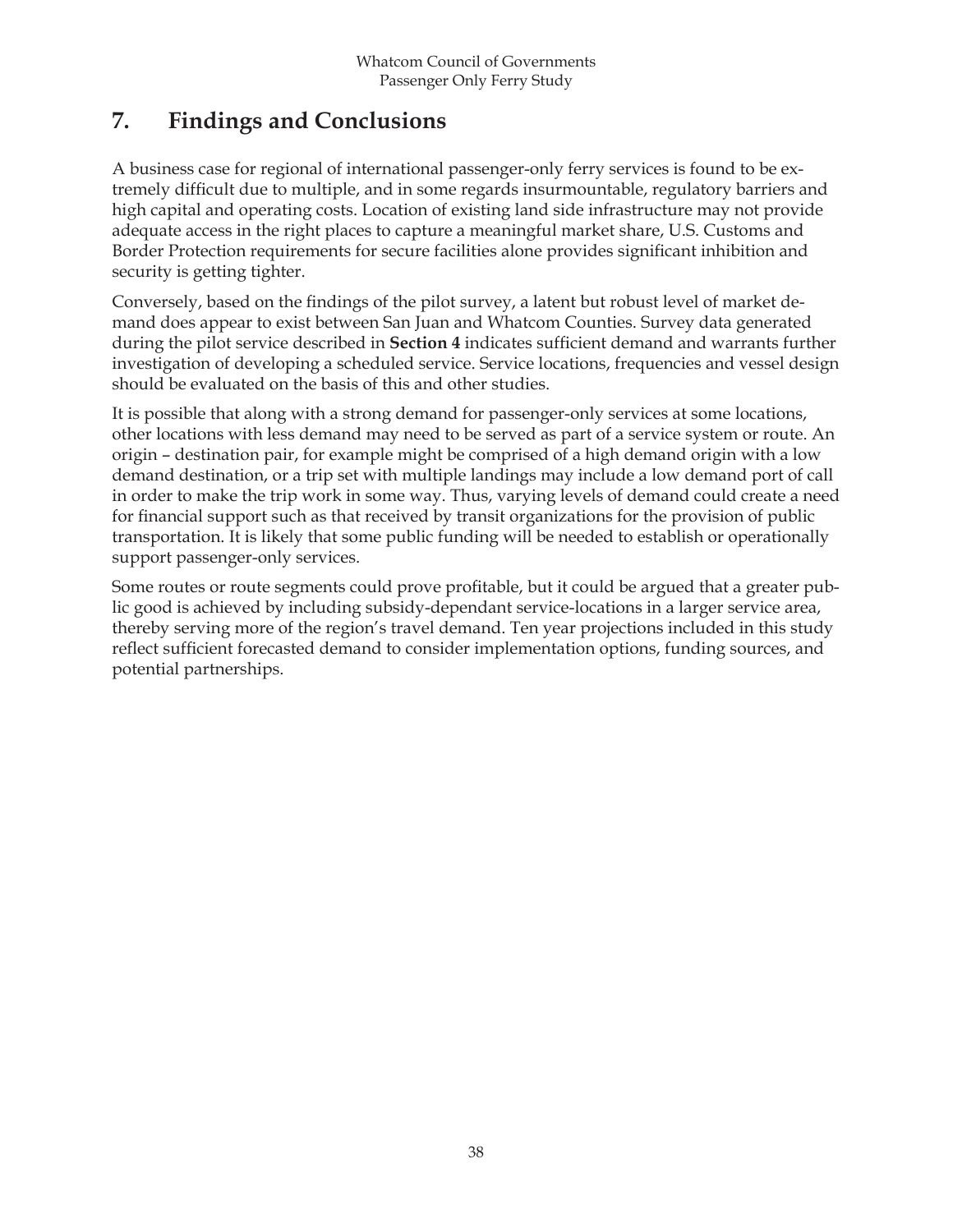## **7. Findings and Conclusions**

A business case for regional of international passenger-only ferry services is found to be extremely difficult due to multiple, and in some regards insurmountable, regulatory barriers and high capital and operating costs. Location of existing land side infrastructure may not provide adequate access in the right places to capture a meaningful market share, U.S. Customs and Border Protection requirements for secure facilities alone provides significant inhibition and security is getting tighter.

Conversely, based on the findings of the pilot survey, a latent but robust level of market demand does appear to exist between San Juan and Whatcom Counties. Survey data generated during the pilot service described in **Section 4** indicates sufficient demand and warrants further investigation of developing a scheduled service. Service locations, frequencies and vessel design should be evaluated on the basis of this and other studies.

It is possible that along with a strong demand for passenger-only services at some locations, other locations with less demand may need to be served as part of a service system or route. An origin – destination pair, for example might be comprised of a high demand origin with a low demand destination, or a trip set with multiple landings may include a low demand port of call in order to make the trip work in some way. Thus, varying levels of demand could create a need for financial support such as that received by transit organizations for the provision of public transportation. It is likely that some public funding will be needed to establish or operationally support passenger-only services.

Some routes or route segments could prove profitable, but it could be argued that a greater public good is achieved by including subsidy-dependant service-locations in a larger service area, thereby serving more of the region's travel demand. Ten year projections included in this study reflect sufficient forecasted demand to consider implementation options, funding sources, and potential partnerships.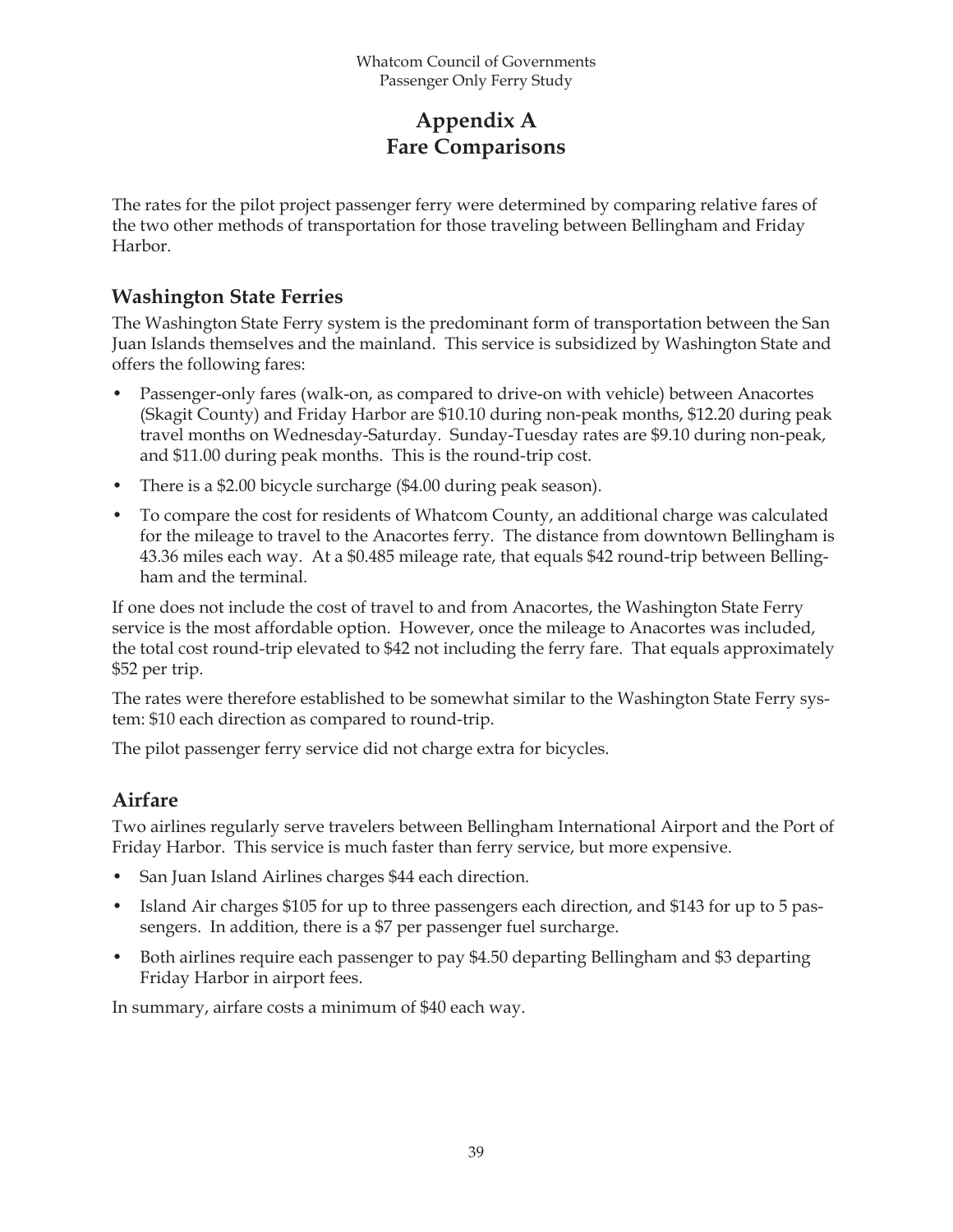## **Appendix A Fare Comparisons**

The rates for the pilot project passenger ferry were determined by comparing relative fares of the two other methods of transportation for those traveling between Bellingham and Friday Harbor.

## **Washington State Ferries**

The Washington State Ferry system is the predominant form of transportation between the San Juan Islands themselves and the mainland. This service is subsidized by Washington State and offers the following fares:

- Passenger-only fares (walk-on, as compared to drive-on with vehicle) between Anacortes (Skagit County) and Friday Harbor are \$10.10 during non-peak months, \$12.20 during peak travel months on Wednesday-Saturday. Sunday-Tuesday rates are \$9.10 during non-peak, and \$11.00 during peak months. This is the round-trip cost. •
- There is a \$2.00 bicycle surcharge (\$4.00 during peak season). •
- To compare the cost for residents of Whatcom County, an additional charge was calculated for the mileage to travel to the Anacortes ferry. The distance from downtown Bellingham is 43.36 miles each way. At a \$0.485 mileage rate, that equals \$42 round-trip between Bellingham and the terminal. •

If one does not include the cost of travel to and from Anacortes, the Washington State Ferry service is the most affordable option. However, once the mileage to Anacortes was included, the total cost round-trip elevated to \$42 not including the ferry fare. That equals approximately \$52 per trip.

The rates were therefore established to be somewhat similar to the Washington State Ferry system: \$10 each direction as compared to round-trip.

The pilot passenger ferry service did not charge extra for bicycles.

## **Airfare**

Two airlines regularly serve travelers between Bellingham International Airport and the Port of Friday Harbor. This service is much faster than ferry service, but more expensive.

- San Juan Island Airlines charges \$44 each direction.
- Island Air charges \$105 for up to three passengers each direction, and \$143 for up to 5 passengers. In addition, there is a \$7 per passenger fuel surcharge.
- Both airlines require each passenger to pay \$4.50 departing Bellingham and \$3 departing Friday Harbor in airport fees.

In summary, airfare costs a minimum of \$40 each way.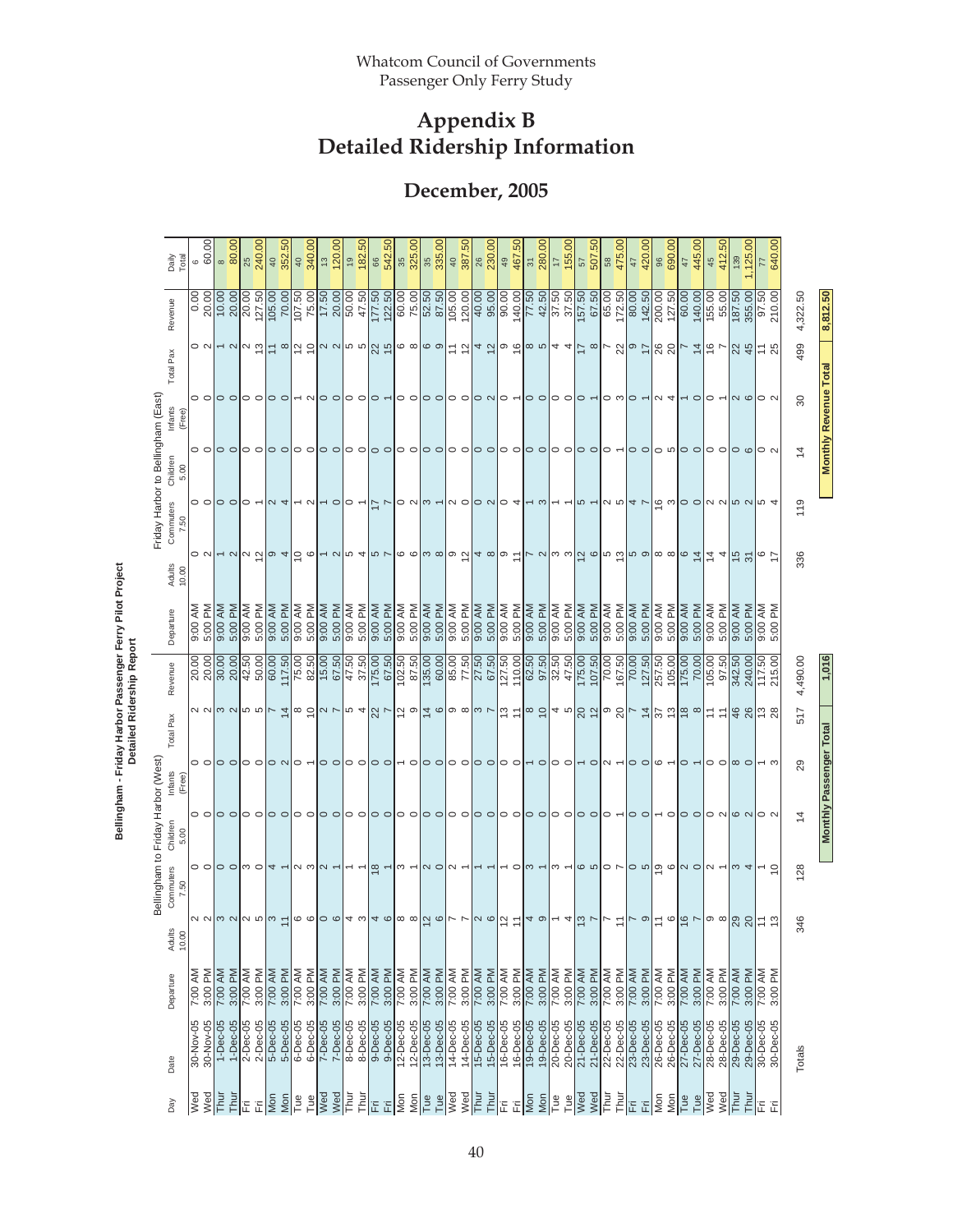## **December, 2005**

|                                    | Daily<br>Total                      | 6                       | 60.00     | 80.00<br>$\sim$ |            | 240.00<br>25                                                                                | $\sqrt{ }$ | 352.50                    | $\frac{1}{4}$ | 340.00          | $\stackrel{\sim}{\sim}$     | 120.00                            | $\frac{1}{2}$                                                                                                                   | 182.50         | 86              | 542.50   | 35<br>325.00             |                       | 35              | 335.00    | $\frac{40}{387.50}$ |           | ಇ                                                                                             | 230.00    | $\textcircled{\scriptsize{4}}$ | <b>GO</b><br>467. | $\frac{1}{2}$ | $\frac{280.00}{17}$ |                          | 155.00     | 50<br>507.<br>$\sqrt{2}$                                                                                                          | 58              | 475.00                          | $47$      | 420.00          | $\frac{8}{3}$            | 690.00    | $\frac{4}{7}$                                                                                                                 | 445.00    | 45                      | 50<br>412. | 139       | ,125.00                             | F              | $\overline{0}$<br>640. |                |                              |
|------------------------------------|-------------------------------------|-------------------------|-----------|-----------------|------------|---------------------------------------------------------------------------------------------|------------|---------------------------|---------------|-----------------|-----------------------------|-----------------------------------|---------------------------------------------------------------------------------------------------------------------------------|----------------|-----------------|----------|--------------------------|-----------------------|-----------------|-----------|---------------------|-----------|-----------------------------------------------------------------------------------------------|-----------|--------------------------------|-------------------|---------------|---------------------|--------------------------|------------|-----------------------------------------------------------------------------------------------------------------------------------|-----------------|---------------------------------|-----------|-----------------|--------------------------|-----------|-------------------------------------------------------------------------------------------------------------------------------|-----------|-------------------------|------------|-----------|-------------------------------------|----------------|------------------------|----------------|------------------------------|
|                                    | Revenue                             | $0.00$<br>20.00         |           | 10.00           | 20.00      | 20.00<br>127.50                                                                             | 105.00     | 70.00                     | 107.50        | 75.00           | 17.50                       |                                   | $\frac{20.00}{50.00}$                                                                                                           | 47.50          | 177.50          | 122.50   | 60.00                    | 75.00                 | 52.50<br>87.50  |           | 105.00              | 120.00    | 40.00                                                                                         |           | $\frac{0}{90.00}$              | 140.00            | 77.50         | 42.50               | 37.50                    | 37.50      | 67.50                                                                                                                             | 65.00           | 172.50                          | 80.00     | 142.50          | 200.00                   | 127.50    | 60.00                                                                                                                         | 140.00    | 155.00                  | 55.00      | 187.50    | 355.00                              | 5              | 210.00                 | 4,322.50       | 8,812.50                     |
|                                    | Total Pax                           |                         |           |                 |            | $\circ$ $\sim$ $\sim$ $\sim$ $\sim$ $\sim$                                                  |            |                           |               |                 |                             |                                   |                                                                                                                                 |                |                 |          |                          |                       |                 |           |                     |           |                                                                                               |           |                                |                   |               |                     |                          |            | = 이걸 의ㅇ 이ㅇ 이었 뛰ㅇ 이ㅇ 이= 연ㅣㅗ 허ㅇ 하ㅇ 이ㅗ ㅋ = 이ㄴ 8 ㅇ = 8 8 ㄴ ㅊ ㅎ ㄴ                                                                      |                 |                                 |           |                 |                          |           |                                                                                                                               |           |                         |            |           | $ z  \neq  z $                      |                |                        | 499            |                              |
|                                    | Infants<br>(Free)                   |                         |           |                 |            | o o o o o o o o                                                                             |            |                           |               |                 |                             |                                   | $\sim$ $\sim$ $\sim$ $\sim$ $\sim$                                                                                              |                |                 |          |                          |                       |                 |           |                     |           |                                                                                               |           |                                |                   |               |                     |                          |            |                                                                                                                                   |                 | $\circ$ $\circ$ $\circ$ $\circ$ |           |                 | $\alpha$ 4               |           | $\sim$ 0                                                                                                                      |           | $\circ$ $\sim$          |            |           | $\log$ 0 0 $\approx$                |                |                        | 30             | <b>Monthly Revenue Total</b> |
| Friday Harbor to Bellingham (East) | Children<br>5.00                    | $\circ$ $\circ$         |           | 00              |            | $\circ$ $\circ$                                                                             |            | $\circ$ $\circ$           |               | $\circ$ $\circ$ |                             | $\circ$ $\circ$                   | $\circ$ $\circ$                                                                                                                 |                | $\circ$ $\circ$ |          | 0 O                      |                       | $\circ$ $\circ$ |           | 00                  |           | $\circ$                                                                                       |           | $\circ$ $\circ$                |                   | $\circ$       |                     | $\circ$ $\circ$          |            | $\circ$                                                                                                                           |                 | $\circ$ $\sim$                  |           | $\circ$ $\circ$ |                          |           | $\circ$ $\circ$ $\circ$                                                                                                       |           | $\circ$ $\circ$         |            | $\circ$   |                                     | $\circ$ $\sim$ |                        | $\overline{4}$ |                              |
|                                    | Commuters<br>ă<br>Z.                | $\circ$ $\circ$         |           | $\circ$         |            | $\circ$ $\sim$                                                                              |            | $\sim$ 4                  |               | $\sim$ $\sim$   |                             | $\sim$ 0                          | $\circ$ $\sim$                                                                                                                  |                | $\frac{1}{2}$   |          |                          | $\circ$ $\sim$ $\sim$ |                 |           |                     |           | $ a \circ a $ o $a$                                                                           |           |                                |                   | — ო           |                     | $\overline{ }$           |            | $\frac{1}{2}$                                                                                                                     |                 | လ ဟ                             |           | $4$ $\sim$      |                          |           | $\frac{1}{2}$ a $\frac{1}{2}$ b $\frac{1}{2}$ b $\frac{1}{2}$ b $\frac{1}{2}$ b $\frac{1}{2}$ b $\frac{1}{2}$ b $\frac{1}{2}$ |           |                         |            |           |                                     |                |                        | 119            |                              |
|                                    | Adults<br>10.00                     |                         |           |                 |            | $\sim$ $\sim$                                                                               |            | $\omega$ 4                |               | ခြ ဇ            |                             |                                   |                                                                                                                                 |                |                 |          |                          |                       |                 |           |                     |           |                                                                                               |           |                                |                   |               |                     |                          |            | $ r $ ပ $ a $ ပွဲကြံပြုပြုပြုစ $ a $ စ်စ $ a $ င်း $ z $ $\pm$ $ a $                                                              |                 |                                 |           |                 |                          |           |                                                                                                                               |           |                         |            |           |                                     | $rac{6}{7}$    |                        | 336            |                              |
|                                    | Departure                           | 9:00 AM                 | Μ<br>5:00 | 9:00 AM         | 5:00 PM    | 9:00 AM<br>ΣÑ<br>5:00                                                                       | 9:00 AM    | 5:00 PM                   | 9:00 AM       | 5:00 PM         | 9:00 AM                     | 5:00 PM                           | 9:00 AM                                                                                                                         | 5:00 PM        | 9:00 AM         | 5:00 PM  | 9:00 AM                  | 5:00 PM               | 9:00 AM         | 5:00 PM   | 9:00 AM             | 5:00 PM   | 9:00 AM                                                                                       | 5:00 PM   | 9:00 AM                        | 5:00 PM           | 9:00 AM       | 5:00 PM             | 9:00 AM                  | 5:00 PM    | 9:00 AM<br>5:00 PM                                                                                                                | 9:00 AM         | 5:00 PM                         | 9:00 AM   | 5:00 PM         | 9:00 AM                  | 5:00 PM   | 9:00 AM                                                                                                                       | 5:00 PM   | 9:00 AM                 | 5:00 PM    | 9:00 AM   | 5:00 PM                             | ξ              | Σg<br>5:00             |                |                              |
|                                    | Revenue                             | 20.00<br>20.00<br>20.00 |           |                 |            | 42.50<br>50.00                                                                              | 60.00      | 117.50                    | 75.00         | 82.50           | $\frac{15.00}{\frac{1}{2}}$ | 67.50                             | 47.50                                                                                                                           | 37.50          | 175.00          | 67.50    | 102.50                   |                       |                 |           |                     |           | $\begin{array}{r} 67.50 \\ 87.50 \\ 60.00 \\ 60.00 \\ 77.50 \\ 77.50 \\ 67.50 \\ \end{array}$ |           | $\sqrt{127.50}$                | 110.00            | 62.50         |                     | 32.50<br>47.50<br>175.00 |            | 107.50                                                                                                                            | 70.00           | 167.50                          | 70.00     | 127.50          | 257.50                   | 105.00    | 175.00                                                                                                                        | 70.00     | 105.00                  | 97.50      | 342.50    | 240.00                              | 117.50         | 215.00                 | 4,490.00       | 1,016                        |
|                                    | Total Pax                           |                         |           |                 |            | <u>a ala ala alz 축ls 허리 zla 하 4 경 zlā alā als als zla 허 호 하 정 허 호 경 하 이 영 사 후 (</u> ) 회 호 s |            |                           |               |                 |                             |                                   |                                                                                                                                 |                |                 |          |                          |                       |                 |           |                     |           |                                                                                               |           |                                |                   |               |                     |                          |            |                                                                                                                                   |                 |                                 |           |                 |                          |           |                                                                                                                               |           |                         |            |           |                                     |                |                        | 517            |                              |
|                                    | Infants<br>(Free)                   |                         |           |                 |            | $\circ$ $\circ$ $\circ$ $\circ$                                                             |            | $\circ$ N  $\circ$ $\sim$ |               |                 |                             | $\circ$ $\circ$                   | $\circ$ $\circ$                                                                                                                 |                | $\circ$         |          | $\overline{\phantom{0}}$ |                       | $\circ$         |           | $\circ$ $\circ$     |           | $\circ$                                                                                       |           | 0 O                            |                   | $\sim$ 0      |                     | 0 O                      |            | $\sim$ $\sim$                                                                                                                     |                 | $\sim$ $-$                      |           | $\circ$ $\circ$ | $\circ$ $\sim$           |           | $\circ$ $\sim$                                                                                                                |           | $\circ$ $\circ$ $\circ$ |            |           |                                     |                |                        | 29             | Monthly Passenger Tota       |
| Bellingham to Friday Harbor (West) | Children<br>5.00                    |                         |           | $\circ$ $\circ$ |            | 00                                                                                          |            | $\circ$ $\circ$           |               | 00              |                             | $\circ$ $\circ$                   | 00                                                                                                                              |                | $\circ$ $\circ$ |          | 00                       |                       | $\circ$ $\circ$ |           | 00                  |           | $\circ$ $\circ$                                                                               |           | $\circ$ $\circ$                |                   | ○ ○           |                     | $\circ$ $\circ$          |            | $\circ$ $\circ$                                                                                                                   |                 | $\circ$ $\sim$                  |           | 00              | $\overline{\phantom{0}}$ |           | $\circ$ $\circ$                                                                                                               |           | $O$ N $ O$ N            |            |           |                                     | $\circ$ $\sim$ |                        | $\overline{4}$ |                              |
|                                    | Commuters<br>7.50                   |                         |           |                 |            | $\circ$ $\circ$ $\circ$ $\circ$ $\circ$ $\circ$ $\circ$ $\circ$                             |            |                           |               |                 |                             | $\alpha$ $\omega$ $\alpha$ $\sim$ | $\overline{\phantom{0}}$                                                                                                        | $\overline{ }$ | $\frac{1}{2}$   |          | $\sim$ $-$               |                       | $\sim$ 0        |           | $\sim$ $-$          |           | $ -$                                                                                          |           |                                |                   | $-$ ola $-$   |                     |                          |            | $\omega$ $\sim$ $\omega$ $\omega$ $\sim$ $\omega$ $\sim$ $\omega$ $\omega$ $\sim$ $\omega$ $\sim$ $\omega$ $\sim$ $\omega$ $\sim$ |                 |                                 |           |                 |                          |           |                                                                                                                               |           |                         |            |           |                                     |                |                        | 128            |                              |
|                                    | Adults<br>10.00<br>Adu <sub>i</sub> |                         |           |                 |            | $\alpha$ $\alpha$ $\alpha$ $\alpha$ $\beta$ $\alpha$ $\beta$ $\gamma$                       |            |                           |               |                 |                             |                                   | $\vert \circ \circ \vert \circ \circ \vert_4 \circ \vert_4 \circ \vert \circ \circ \vert \circ \circ \vert_6 \circ \vert_7 \in$ |                |                 |          |                          |                       |                 |           |                     |           |                                                                                               |           |                                |                   | ႕ တ           |                     | $\overline{\phantom{0}}$ |            | $\frac{4}{9}$ $\frac{6}{1}$ $\frac{1}{1}$                                                                                         |                 | $\overleftarrow{\phantom{a}}$   |           | $\sim$ ၀        |                          |           | $= 9$                                                                                                                         |           | ၜႜၜ <b> </b> ႙ၟ႙္႙ ႜႍၟ  |            |           |                                     |                |                        | 346            |                              |
|                                    | Departure                           | 7:00 AM                 | 3:00 PM   | 7:00 AM         | 3:00 PM    | 7:00 AM<br>3:00 PM                                                                          | 7:00 AM    | 3:00 PM                   | 7:00 AM       | 3:00 PM         | 7:00 AM                     | 3:00 PM                           | 7:00 AM                                                                                                                         | 3:00 PM        | 7:00 AM         | 3:00 PM  | 7:00 AM                  | 3:00 PM               | 7:00 AM         | 3:00 PM   | 7:00 AM             | 3:00 PM   | 7:00 AM                                                                                       | 3:00 PM   | 7:00 AM                        | 3:00 PM           | 7:00 AM       | 3:00 PM             | 7:00 AM<br>3:00 PM       | 7:00 AM    | 3:00 PM                                                                                                                           | 7:00 AM         | 3:00 PM                         | 7:00 AM   | 3:00 PM         | 7:00 AM                  | 3:00 PM   | 7:00 AM                                                                                                                       | 3:00 PM   | 7:00 AM                 | 3:00 PM    | 7:00 AM   | 3:00 PM                             | 7:00 AM        | ΣÑ<br>3:00             |                |                              |
|                                    | Date                                | 30-Nov-05               | 30-Nov-05 | $1-Dec-05$      | $1-Dec-05$ | 2-Dec-05<br>$2 - Dec - 05$                                                                  | 5-Dec-05   | 5-Dec-05                  | 6-Dec-05      | 6-Dec-05        | $7 - Dec -05$               | 7-Dec-05                          | 8-Dec-05                                                                                                                        | 8-Dec-05       | 9-Dec-05        | 9-Dec-05 | 12-Dec-05                | $12 - Dec - 05$       | 13-Dec-05       | 13-Dec-05 | 14-Dec-05           | 14-Dec-05 | 15-Dec-05                                                                                     | 15-Dec-05 | 16-Dec-05                      | 16-Dec-05         | 19-Dec-05     | 19-Dec-05           | 20-Dec-05                | 20-Dec-05  | 21-Dec-05<br>21-Dec-05                                                                                                            | $22 - Dec - 05$ | 22-Dec-05                       | 23-Dec-05 | 23-Dec-05       | 26-Dec-05                | 26-Dec-05 | 27-Dec-05                                                                                                                     | 27-Dec-05 | 28-Dec-05               | 28-Dec-05  | 29-Dec-05 | 29-Dec-05<br>30-Dec-05<br>30-Dec-05 |                |                        | Totals         |                              |
|                                    | Day                                 | Wed                     | Wed       | Thur            | Thui       | Ë<br>旧                                                                                      | Mon        | Mon                       | Tue           | Tue             | Wed                         | Wed                               | Fhur                                                                                                                            | Thur           | Ë               | 旧        | Mon                      | Mon                   | Tue             | Tue       | Wed                 | Wed       | Thur                                                                                          | Thur      | Ë                              | Ë                 | <b>Sext</b>   | Mon                 | Tue                      | Wed<br>Tue | Wed                                                                                                                               | Thur            | Thur                            | Ë         | 旧               | Mon                      | Mon       | Tue                                                                                                                           | Tue       | Wed                     | Wed        | Thur      | Thur                                | 置              | Ë                      |                |                              |

Bellingham - Friday Harbor Passenger Ferry Pilot Project<br>Detailed Ridership Report **Bellingham - Friday Harbor Passenger Ferry Pilot Project Detailed Ridership Report**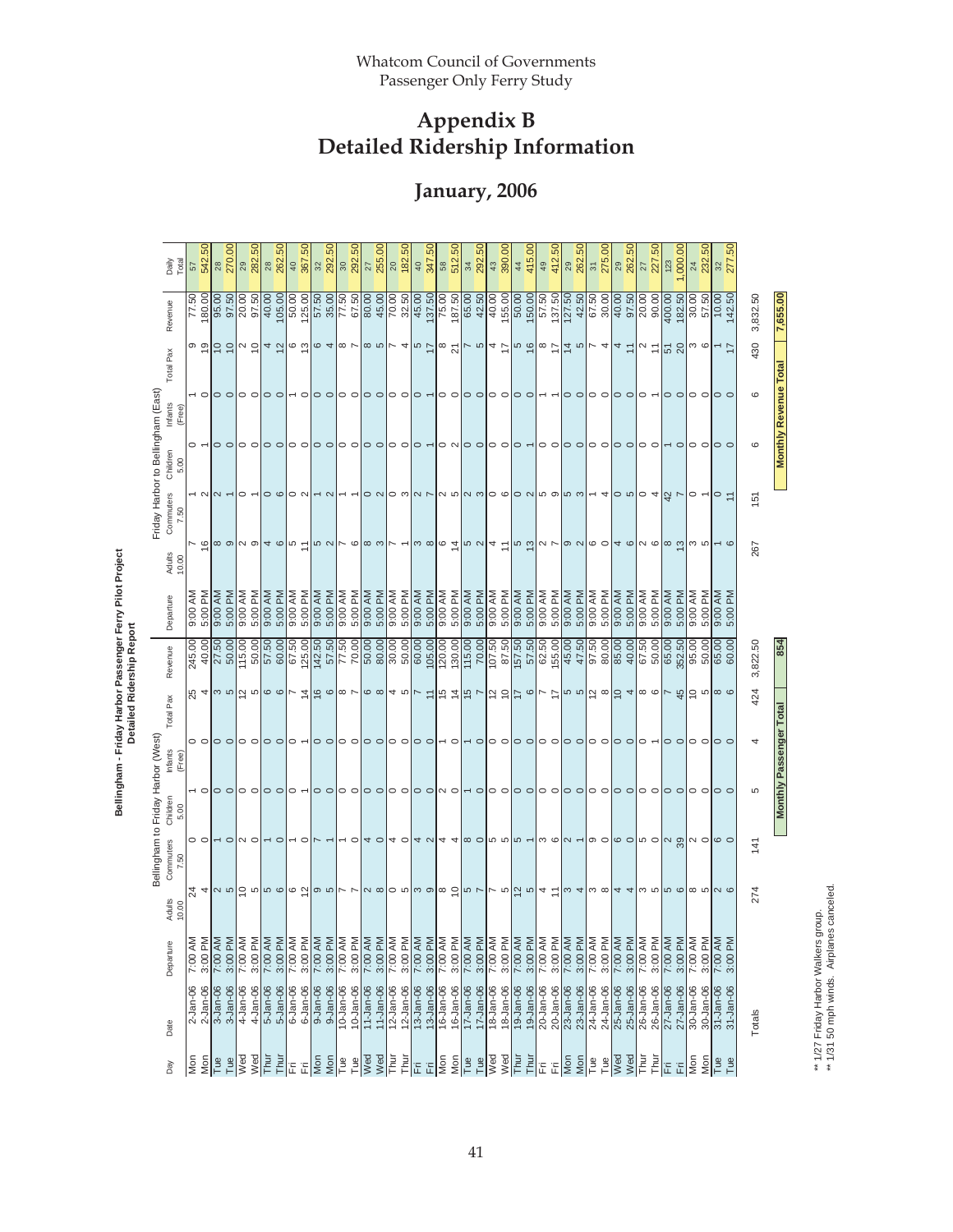**January, 2006** 

| Daily<br>Total                                          | 57              | 542.50                   | 270.00<br>28                                         |          | 29<br>282.50    | 28                | 262.50                          | 40                                     | င္ဟ<br>367.  | 32                                        | 292.50   | 30                       | 292.50          | $\overline{27}$       | 255.00          | $\frac{20}{182}$                                                | .50           | 40              | 347.50    | $\frac{8}{3}$                                               | 512.50    | 34              | co.<br>292.                          | 43              | 390.00    | 415.00<br>44                                                                                                                                                                                                                                                                                                          | 49        | 412.50          | 29                        | <b>SO</b><br>262. | $\sqrt{31}$                    | 275.00     | 262.50<br>29                                         | $\overline{27}$        | $\overline{50}$<br>227. | 123                                                                                   | 000.00                                            | $^{24}$    | .50<br>232.     | 32            | S <sub>.</sub><br>277 |          |                                |
|---------------------------------------------------------|-----------------|--------------------------|------------------------------------------------------|----------|-----------------|-------------------|---------------------------------|----------------------------------------|--------------|-------------------------------------------|----------|--------------------------|-----------------|-----------------------|-----------------|-----------------------------------------------------------------|---------------|-----------------|-----------|-------------------------------------------------------------|-----------|-----------------|--------------------------------------|-----------------|-----------|-----------------------------------------------------------------------------------------------------------------------------------------------------------------------------------------------------------------------------------------------------------------------------------------------------------------------|-----------|-----------------|---------------------------|-------------------|--------------------------------|------------|------------------------------------------------------|------------------------|-------------------------|---------------------------------------------------------------------------------------|---------------------------------------------------|------------|-----------------|---------------|-----------------------|----------|--------------------------------|
| Revenue                                                 | 77.50           | 180.00                   | 95.00<br>97.50                                       | 20.00    | 97.50           | 40.00             | 105.00                          | 50.00                                  | 125.00       | 57.50                                     | 35.00    | 77.50                    | 67.50           | 80.00                 | 45.00           | $\frac{70.00}{ }$                                               | 32.50         | 45.00           | 137.50    | 75.00                                                       | 187.50    | 65.00           | 42.50                                | 40.00           | 155.00    | 150.00<br>$\frac{60.00}{50.00}$                                                                                                                                                                                                                                                                                       | 57.50     | 137.50          | 127.50<br>42.50           |                   | 67.50                          | 30.00      | 40.00                                                | 97.50<br>20.00         | 90.00                   | 400.00                                                                                | 182.50                                            | 30.00      | 57.50           | 10.00         | 142.50                | 3,832.50 | 7,655.00                       |
| Total Pax                                               |                 | စ စ္                     | 'ㅎㅎ                                                  |          | $\sim$ 5        |                   | 4 あ                             |                                        |              | $\frac{6}{9}$ $\frac{6}{9}$ $\frac{4}{9}$ |          |                          |                 |                       |                 | $\infty$ $\sim$ $\infty$ $\sim$ $\sim$                          |               |                 |           |                                                             |           |                 |                                      |                 |           | $ _w \succcurlyeq  _w \triangleleft  _w \sim  _4 \succcurlyeq  _w \succcurlyeq  _w \succcurlyeq  _4 \sim$                                                                                                                                                                                                             |           |                 |                           |                   |                                |            | $ c  \frac{4}{4} \frac{1}{2}$                        |                        |                         | $\alpha$ = $\frac{10}{2}$ $\frac{10}{2}$ $\frac{10}{2}$ $\frac{10}{2}$ $\frac{10}{2}$ |                                                   |            |                 |               | 17                    | 430      |                                |
| Infants<br>(Free)                                       |                 | $\overline{\phantom{0}}$ | $\circ$ $\circ$                                      |          | $\circ$ $\circ$ |                   | $\circ$                         |                                        | $\circ$      | $\circ$ $\circ$                           |          | $\circ$ $\circ$          |                 | $\circ$               | $\circ$         | $\circ$ $\circ$                                                 |               | $\circ$         |           | $\circ$ $\circ$                                             |           | 00              |                                      | $\circ$ $\circ$ |           | $\circ$ $\circ$                                                                                                                                                                                                                                                                                                       |           |                 |                           | $\circ$ $\circ$   | $\circ$ $\circ$                |            | $\circ$ $\circ$                                      |                        | $\circ$ -               |                                                                                       | $\circ$ $\circ$                                   |            | O O             |               | $\circ$               | $\circ$  | <b>Monthly Revenue Total</b>   |
| Children<br>5.00                                        |                 |                          | $\circ$ $\circ$                                      |          | $\circ$ $\circ$ |                   | $\circ$ $\circ$                 | $\circ$ $\circ$                        |              | $\circ$ $\circ$                           |          | $\circ$ $\circ$          |                 | $\circ$ $\circ$       |                 | 00                                                              |               | $\circ$         |           | 0 N                                                         |           | $\circ$ $\circ$ |                                      | $\circ$ $\circ$ |           | $\circ$ $\sim$                                                                                                                                                                                                                                                                                                        |           | 00              |                           | $\circ$ $\circ$   | $\circ$ $\circ$                |            | $\circ$ $\circ$                                      |                        | $\circ$ $\circ$         |                                                                                       | $\overline{\phantom{0}}$ $\overline{\phantom{0}}$ |            | $\circ$ $\circ$ |               | $\circ$ $\circ$       | $\circ$  |                                |
| Friday Harbor to Bellingham (East)<br>Commuters<br>7.50 |                 |                          | $\sim$ $\sim$ $\sim$                                 |          | $\circ$ -       |                   | $\circ \circ \circ \circ \circ$ |                                        |              | $\sim$ $\sim$                             |          | $\overline{\phantom{a}}$ |                 |                       |                 |                                                                 |               |                 |           |                                                             |           |                 |                                      |                 |           | $\sigma$ o alo wla vla wla wlo olo ale wle ul- 4 o wlo 4 ft v                                                                                                                                                                                                                                                         |           |                 |                           |                   |                                |            |                                                      |                        |                         |                                                                                       |                                                   |            | $\circ$ $\sim$  | $\circ$       | $\tilde{+}$           | 151      |                                |
| Adults<br>10.00                                         |                 | $\widetilde{\epsilon}$   | ∞ ၈ လ ၈                                              |          |                 |                   | 4 ©                             | $\frac{1}{2}$                          |              | 50N                                       |          | $\sim$ $\circ$           |                 | $  \infty$ က          |                 | トー                                                              |               | က ထ             |           |                                                             |           |                 | $ _@ \tilde{a} _@  _@  _4 \tilde{c}$ |                 |           | $ $ ທ ຕ $ $ ດ $\sim$  တ $\sim$                                                                                                                                                                                                                                                                                        |           |                 |                           |                   |                                |            | $  \circ \circ  $ a $  \circ \circ  $ a              |                        |                         |                                                                                       | $\infty$ ထိ ယ                                     |            |                 |               | $\sim$ $\circ$        | 267      |                                |
| Departure                                               | ξ<br>00.56      | 5:00 PM                  | 9:00 AM<br>5:00 PM                                   | 9:00 AM  | 5:00 PM         | 9:00 AM           | 5:00 PM                         | 9:00 AM                                | 5:00 PM      | 9:00 AM                                   | 5:00 PM  | 9:00 AM                  | 5:00 PM         | 9:00 AM               | 5:00 PM         | 9:00 AM                                                         | 5:00 PM       | 9:00 AM         | 5:00 PM   | 9:00 AM                                                     | 5:00 PM   | 9:00 AM         | 5:00 PM                              | 9:00 AM         | 5:00 PM   | 9:00 AM<br>5:00 PM                                                                                                                                                                                                                                                                                                    | 9:00 AM   | 5:00 PM         | 9:00 AM                   | 5:00 PM           | 9:00 AM                        | 5:00 PM    | 9:00 AM                                              | 5:00 PM<br>9:00 AM     | 5:00 PM                 | 9:00 AM                                                                               | 5:00 PM                                           | 9:00 AM    | 5:00 PM         | 9:00 AM       | ΡŃ<br>5:00            |          |                                |
| Revenue                                                 | 245.00          | 40.00                    | 50.00<br>27.50                                       | 115.00   | 50.00           | $\frac{1}{57.50}$ | 60.00                           | 67.50                                  | 125.00       | $\sqrt{142.50}$                           | 57.50    | 77.50                    |                 | $\frac{70.00}{50.00}$ |                 | $\frac{100}{30.00}$                                             |               | 60.00           | 105.00    | 120.00                                                      | 130.00    | 115.00          | 70.00                                | 107.50          | 87.50     | $\sqrt{157.50}$<br>57.50                                                                                                                                                                                                                                                                                              | 62.50     | 155.00          | 45.00                     | 47.50             | 97.50<br>80.00                 |            |                                                      | 40.00<br>67.50         | 50.00                   | 65.00                                                                                 | 352.50                                            |            |                 | 65.00         | 60.00                 | 3,822.50 | 854                            |
| Total Pax                                               | 25              |                          | $\omega$ $\omega$ $\sim$ $\omega$ $\omega$           |          |                 |                   |                                 | $ _{\nu} \zeta _{\overline{\infty}}$ e |              |                                           |          |                          |                 |                       |                 | $\infty$ $\sim$ $\infty$ $\infty$ $\infty$ $\sim$               |               |                 |           | $rac{1}{2}$ $rac{1}{2}$ $rac{1}{2}$ $rac{1}{2}$ $rac{1}{2}$ |           |                 |                                      |                 |           | $ 55 $ $\frac{1}{2}$ $\frac{1}{2}$ $\frac{1}{2}$ $\frac{1}{2}$ $\frac{1}{2}$ $\frac{1}{2}$ $\frac{1}{2}$ $\frac{1}{2}$ $\frac{1}{2}$ $\frac{1}{2}$ $\frac{1}{2}$ $\frac{1}{2}$ $\frac{1}{2}$ $\frac{1}{2}$ $\frac{1}{2}$ $\frac{1}{2}$ $\frac{1}{2}$ $\frac{1}{2}$ $\frac{1}{2}$ $\frac{1}{2}$ $\frac{1}{2}$ $\frac{$ |           |                 |                           |                   |                                |            |                                                      |                        |                         | ∞ ဖ ∼ ပ္ျာ ့ ဖ                                                                        |                                                   |            |                 |               | ထ ထ                   | 424      |                                |
| Infants<br>(Free)                                       |                 |                          | o o o o o o o o                                      |          |                 |                   |                                 | $\circ$ $\sim$                         |              |                                           |          |                          |                 |                       |                 | $\circ$ $\circ$ $\circ$ $\circ$ $\circ$ $\circ$ $\circ$ $\circ$ |               |                 |           | $\overline{\phantom{0}}$                                    |           |                 |                                      |                 |           |                                                                                                                                                                                                                                                                                                                       |           |                 |                           |                   |                                |            |                                                      |                        | $\circ$ -               |                                                                                       | $\circ$ $\circ$ $\circ$ $\circ$                   |            |                 |               |                       | 4        | <b>Monthly Passenger Total</b> |
| Bellingham to Friday Harbor (West)<br>Children<br>5.00  |                 | — 0                      | $\circ$ $\circ$                                      |          | $\circ$ $\circ$ |                   | $\circ$ $\circ$                 | $\circ$ $\sim$                         |              | $\circ$ $\circ$                           |          | $\circ$ $\circ$          |                 | 0 0                   |                 | $\circ$ $\circ$                                                 |               | $\circ$ $\circ$ |           | N 0                                                         |           | $\sim$ 0        |                                      | $\circ$ $\circ$ |           | $\circ$ $\circ$                                                                                                                                                                                                                                                                                                       |           | $\circ$ $\circ$ |                           | $\circ$ $\circ$   | $\circ$ $\circ$                |            | O O                                                  |                        | $\circ$ $\circ$         |                                                                                       | $\circ$ $\circ$                                   |            | $\circ$ $\circ$ |               | $\circ$ $\circ$       | Ю        |                                |
| Commuters<br>7.50                                       |                 | $\circ$ $\circ$          | $\overline{\phantom{0}}$                             |          | N O             |                   | $\circ$                         |                                        | $\circ$      |                                           |          | $\overline{\phantom{0}}$ |                 | 4 O                   |                 | 4 ○                                                             |               | 4 <sub>o</sub>  |           | 44                                                          |           |                 |                                      |                 |           | $\infty$ $\circ$ $\infty$ $\infty$ $\infty$                                                                                                                                                                                                                                                                           |           | က ဖ             | $\sim$ $-$                |                   |                                |            | $  \circ$ o $  \circ$ o $  \circ$ o $  \circ$ also o |                        |                         |                                                                                       |                                                   |            |                 |               |                       | 141      |                                |
| Adults<br>10.00                                         | $\frac{4}{4}$ 4 |                          | $\alpha$ $\alpha$ $\beta$ $\alpha$ $\alpha$ $\alpha$ |          |                 |                   |                                 |                                        |              |                                           |          |                          |                 |                       |                 |                                                                 |               |                 |           |                                                             |           |                 |                                      |                 |           | $ $ @ $\tilde{\sigma} $ @ n $ _{\mathcal{L}}$ $\mathcal{L} $ a @ $ _{\mathcal{O}}$ n $ _{\omega}$ @ $ _{\omega}$ $\tilde{\sigma} $ $\sigma$ $\mathcal{L} _{\mathcal{O}}$ n $ _{\mathcal{A}}$ $\mathcal{L}$                                                                                                            |           |                 |                           |                   | $\omega$ 4 $\omega$ $\omega$ 4 |            |                                                      | $\overline{4}$         |                         | $\alpha$ was $\alpha$ was $\alpha$                                                    |                                                   |            |                 |               |                       | 274      |                                |
| Departure                                               | 7:00 AM         | 3:00 PM                  | 7:00 AM<br>3:00 PM                                   | 7:00 AN  | 3:00 PM         | 7:00 AM           | 3:00 PM                         | 7:00 AM                                | 3:00 PM      | 7:00 AM                                   | 3:00 PM  | 7:00 AM                  | 3:00 PM         | 7:00 AM               | 3:00 PM         | 7:00 AM                                                         | 3:00 PM       | 7:00 AM         | 3:00 PM   | 7:00 AM                                                     | 3:00 PM   | 7:00 AM         | 3:00 PM                              | 7:00 AM         | 3:00 PM   | 7:00 AM<br>3:00 PM                                                                                                                                                                                                                                                                                                    | 7:00 AM   | 3:00 PM         | 7:00 AM                   | 3:00 PM           | 7:00 AM                        | 3:00 PM    | 7:00 AM                                              | 3:00 PM<br>7:00 AM     | 3:00 PM                 | 7:00 AM                                                                               | 3:00 PM                                           | 7:00 AM    | 3:00 PM         | 7:00 AM       | 3:00 PM               |          |                                |
| Date                                                    | $2 - Jan-06$    | $2 - Jan-06$             | $3 - Jan-06$<br>3-Jan-06                             | 4-Jan-06 | 4-Jan-06        | $5 - Jan-06$      | 5-Jan-06                        | 6-Jan-06                               | $6 - Jan-06$ | 9-Jan-06                                  | 9-Jan-06 | 10-Jan-06                | $10 - Jan - 06$ | $11 - Jan - 06$       | $11 - Jan - 06$ | $12 - Jan-06$                                                   | $12 - Jan-06$ | 13-Jan-06       | 13-Jan-06 | 16-Jan-06                                                   | 16-Jan-06 | $17 - Jan-06$   | 17-Jan-06                            | 18-Jan-06       | 18-Jan-06 | 19-Jan-06<br>19-Jan-06                                                                                                                                                                                                                                                                                                | 20-Jan-06 | 20-Jan-06       | 23-Jan-06                 | 23-Jan-06         | 24-Jan-06                      | 24-Jan-06  | 25-Jan-06                                            | 26-Jan-06<br>25-Jan-06 | 26-Jan-06               | 27-Jan-06                                                                             | 27-Jan-06                                         | 30-Jan-06  | 30-Jan-06       | $31 - Jan-06$ | $31 - Jan-06$         | Totals   |                                |
| Day                                                     | Mon             | Mon                      | Tue<br>Tue                                           | Wed      | Wed             | l<br>F            | Thur                            | 置                                      | 记            | Mon                                       | Mon      | Tue                      | Tue             | Wed                   | Wed             | la<br>F                                                         | Thur          | Eri             | 旧         | Mon                                                         | Mon       | Tue             | Tue                                  | Wed             | Wed       | <b>Thur</b><br>Thur                                                                                                                                                                                                                                                                                                   | Ē         | 记               | $\overline{\mathsf{Dom}}$ | Mon               | Tue                            | Tue<br>Wed |                                                      | Wed<br>Thur            | Thui                    | Ë                                                                                     | 旧                                                 | <b>Mon</b> | Mon             | Tue           | Tue                   |          |                                |

Bellingham - Friday Harbor Passenger Ferry Pilot Project<br>Detailed Ridership Report **Bellingham - Friday Harbor Passenger Ferry Pilot Project Detailed Ridership Report**

41

 \*\* 1/27 Friday Harbor Walkers group. \*\* 1/31 50 mph winds. Airplanes canceled.

\*\* 1/27 Friday Harbor Walkers group.<br>\*\* 1/31 50 mph winds. Airplanes canceled.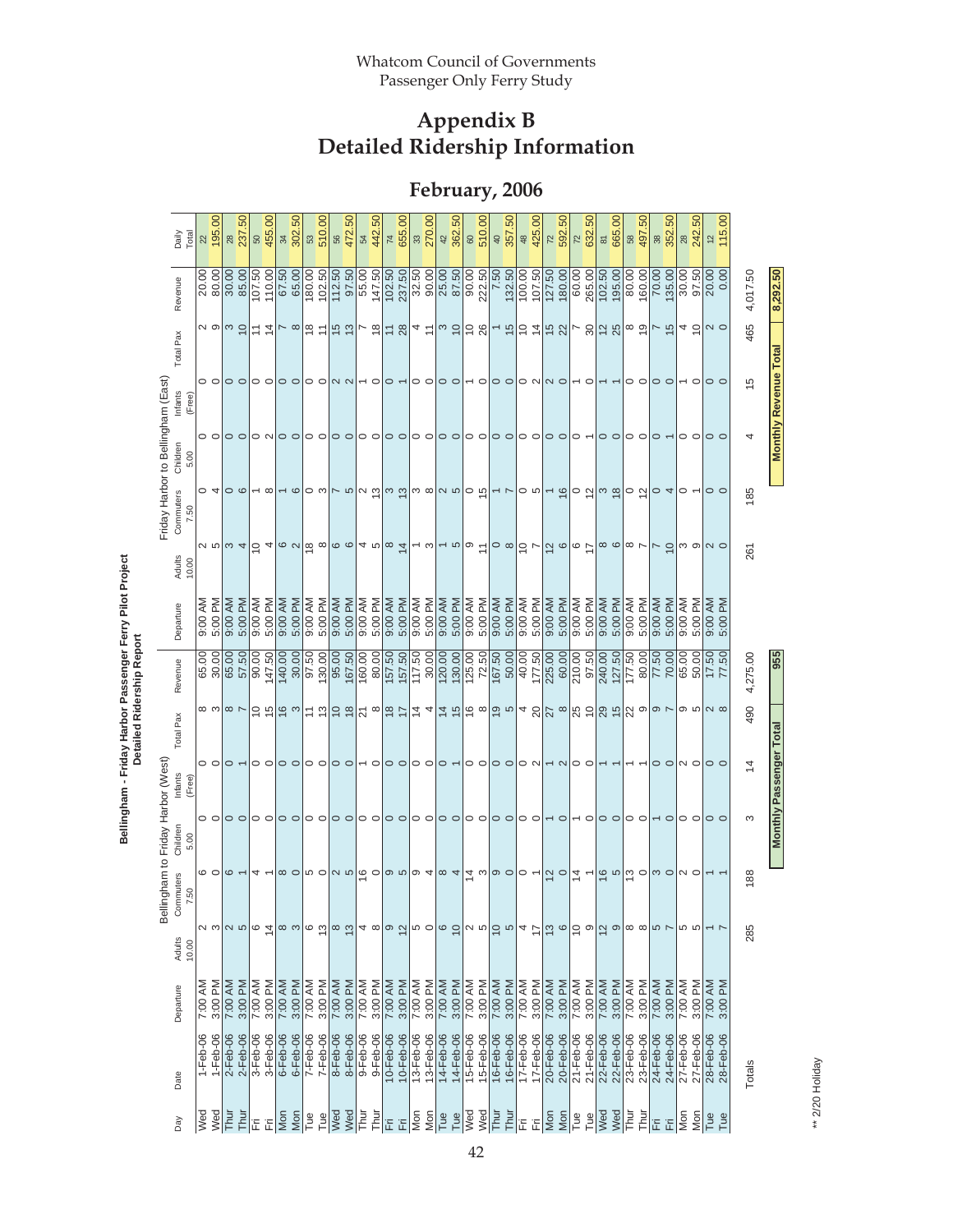**February, 2006** 

|                                    | Daily<br>Total<br>Revenue   | $22$<br>20.00 | 195.00<br>80.00         | 28<br>30.00 | 237.50<br>85.00 | 50<br>107.50 | 455.00<br>110.00 | 34<br>67.50               | 302.50<br>65.00  | 53<br>180.00 | 510.00<br>102.50                                                                                                                                                                                                             | 56<br>112.50 | 472.50<br>97.50                                                                                                     | $\sqrt{2}$<br>55.00 | 442.50<br>147.50         | $\overline{74}$<br>102.50 | 655.00<br>237.50         | 33<br>32.50  | 270.00<br>90.00 | 42<br>25.00     | 362.50<br>87.50    | 60<br>90.00     | 510.00<br>222.50                                                           | $rac{40}{4}$<br>$\frac{1}{7.50}$ | 357.50<br>132.50                                                              | 48<br>100.00   | 425.00<br>107.50       | $\overline{z}$<br>127.50  | 592.50<br>180.00 | $\overline{z}$<br>60.00                                                                                                                       | .50<br>632.<br>265.00    | $\overline{\bf 8}$<br>102.50                | 665.00<br>195.00                        | $58\,$<br>80.00    | 497.50<br>160.00 | 38<br>70.00              | 352.50<br>135.00 | $28$<br>30.00   | 242.50<br>97.50 | 12<br>20.00     | 115.00<br>0.00 | 4,017.50       | 8,292.50                    |
|------------------------------------|-----------------------------|---------------|-------------------------|-------------|-----------------|--------------|------------------|---------------------------|------------------|--------------|------------------------------------------------------------------------------------------------------------------------------------------------------------------------------------------------------------------------------|--------------|---------------------------------------------------------------------------------------------------------------------|---------------------|--------------------------|---------------------------|--------------------------|--------------|-----------------|-----------------|--------------------|-----------------|----------------------------------------------------------------------------|----------------------------------|-------------------------------------------------------------------------------|----------------|------------------------|---------------------------|------------------|-----------------------------------------------------------------------------------------------------------------------------------------------|--------------------------|---------------------------------------------|-----------------------------------------|--------------------|------------------|--------------------------|------------------|-----------------|-----------------|-----------------|----------------|----------------|-----------------------------|
|                                    | Total Pax                   |               | ∾ ၈ ო ໘                 |             |                 |              | $\frac{1}{4}$    |                           | $\sim$ $\infty$  |              | ≌ ≒                                                                                                                                                                                                                          |              | $\frac{15}{12}$                                                                                                     | $\frac{8}{10}$      |                          |                           | $rac{20}{4}$ $rac{4}{5}$ |              |                 |                 | $  \omega \rangle$ | ္င္က            |                                                                            |                                  | $ -$ �� $ $ $\approx$ $\frac{1}{2}$ $\frac{1}{2}$ $\frac{1}{2}$ $\frac{1}{2}$ |                |                        |                           |                  |                                                                                                                                               |                          | $-828$                                      |                                         | $\frac{8}{6}$      |                  | $\frac{5}{1}$            |                  | 4 S             |                 | $\sim$ $\circ$  |                | 465            |                             |
|                                    | Infants<br>(Free)           |               | $\circ$ $\circ$         |             | $\circ$ $\circ$ |              | $\circ$ $\circ$  |                           | $\circ$ $\circ$  |              | $\circ$ $\circ$                                                                                                                                                                                                              |              | $\sim$ $\sim$                                                                                                       |                     | $\overline{\phantom{0}}$ | $\circ$ $\sim$            |                          |              | 00              | $\circ$ $\circ$ |                    |                 | $\overline{\phantom{0}}\circ$                                              |                                  | $\circ$                                                                       | $\circ$ $\sim$ |                        | $\sim$ $\circ$            |                  |                                                                                                                                               | $\overline{\phantom{0}}$ |                                             |                                         | 00                 |                  | $\circ$ $\circ$          |                  |                 | $\circ$         | $\circ$ $\circ$ |                | 15             | <b>Monthly Revenue Tota</b> |
|                                    | Children<br>5.00            |               | $\circ$ $\circ$         | 0 0         |                 |              | $\circ$ $\sim$   |                           |                  |              | 0 0 0 0 0 0 0 0 0 0 0 0                                                                                                                                                                                                      |              |                                                                                                                     |                     |                          |                           |                          |              |                 |                 |                    | $\circ$ $\circ$ |                                                                            | 00                               |                                                                               |                |                        | 0 0 0 0                   |                  | $\circ$ $\sim$                                                                                                                                |                          |                                             | $\circ$ $\circ$ $\circ$ $\circ$ $\circ$ |                    |                  |                          |                  | 00              |                 | $\circ$         |                |                |                             |
| Friday Harbor to Bellingham (East) | Commuters<br>7.50           |               | $\circ$ 4               |             | $\circ$         |              | $-\infty$        |                           |                  |              | – စတဖြေ စဖြစ် ပြီး ပါး စဖြစ်                                                                                                                                                                                                 |              |                                                                                                                     |                     |                          |                           |                          |              |                 |                 |                    |                 |                                                                            |                                  | $\sim$ $\sim$                                                                 |                | $\circ$ $\circ$ $\sim$ |                           |                  | $\frac{1}{2}$   $\frac{1}{2}$   $\frac{1}{2}$   $\frac{1}{2}$   $\frac{1}{2}$   $\frac{1}{2}$   $\frac{1}{2}$   $\frac{1}{2}$   $\frac{1}{2}$ |                          |                                             |                                         |                    |                  |                          |                  | $\circ$ $\sim$  |                 | $\circ$ $\circ$ |                | 185            |                             |
|                                    | Adults<br>10.00             |               | <b>⊘ ¤</b>  ္က 4        |             |                 |              | 54               |                           |                  |              | $\left  \frac{1}{\infty} \right  \frac{1}{\infty}$ $\left  \frac{1}{\infty} \right $ $\left  \frac{1}{\infty} \right $ $\left  \frac{1}{\infty} \right $ $\left  \frac{1}{\infty} \right $ $\left  \frac{1}{\infty} \right $ |              |                                                                                                                     |                     |                          |                           |                          |              | $-$ ω $ -$      |                 |                    |                 | $\vert \infty$                                                             |                                  | $ \circ \infty $ و $\sim$ $ \tilde{\sigma} $ ه و $ \tilde{\sigma} $           |                |                        |                           |                  |                                                                                                                                               |                          | $ \infty$ $\infty$ $ \infty$ $\sim$         |                                         |                    |                  | $\overline{\phantom{a}}$ | $\overline{0}$   |                 | ო თ             | $\sim$ 0        |                | 261            |                             |
|                                    | Departure                   | 9:00 AM       | Μq<br>5:00              | 9:00 AM     | Md<br>5:00      | 9:00 AM      | 5:00 PM          | 9:00 AM                   | 5:00 PM          | 9:00 AM      | 5:00 PM                                                                                                                                                                                                                      | 9:00 AM      | 5:00 PM                                                                                                             | 9:00 AM             | 5:00 PM                  | 9:00 AM                   | 5:00 PM                  | 9:00 AM      | 5:00 PM         | 9:00 AM         | 5:00 PM            | 9:00 AM         | 5:00 PM                                                                    | 9:00 AM                          | 5:00 PM                                                                       | 9:00 AM        | 5:00 PM                | 9:00 AM                   | 5:00 PM          | 9:00 AM                                                                                                                                       | 5:00 PM                  | 9:00 AM                                     | 5:00 PM                                 | 9:00 AM            | 5:00 PM          | 9:00 AM                  | 5:00 PM          | 9:00 AM         | 5:00 PM         | 9:00 AM         | ΣÑ<br>5:00     |                |                             |
|                                    | Revenue                     | 65.00         | 30.00                   | 65.00       | 57.50           | 90.00        | 147.50           | 140.00                    | 30.00            | 97.50        | 130.00                                                                                                                                                                                                                       | 95.00        | 167.50                                                                                                              | 160.00              | 80.00                    | 157.50                    | 157.50                   | 117.50       | 30.00           | 120.00          | 130.00             | 125.00          | 72.50                                                                      | 167.50                           | 50.00                                                                         | 40.00          | 177.50                 | 225.00                    | 60.00            | 210.00                                                                                                                                        | 97.50                    | 240.00                                      | 127.50                                  | $\frac{177.50}{ }$ | 80.00            | 77.50                    | 70.00            | 65.00           | 50.00           | 17.50           | 77.50          | 4,275.00       | 355                         |
|                                    | Total Pax                   |               | ထ ကု                    |             | $\infty$ $\sim$ |              | $\frac{5}{2}$    |                           | $\frac{16}{16}$  |              | $\frac{1}{2}$                                                                                                                                                                                                                |              | $5 \frac{1}{2}$ $\frac{1}{2} \frac{1}{2} \frac{1}{2}$ $\frac{1}{2} \frac{1}{4} \frac{1}{4} \frac{1}{2} \frac{1}{2}$ |                     |                          |                           |                          |              |                 |                 |                    |                 |                                                                            |                                  | ဠ ∞ ഊ ∞ ។ ႙ ႙ ∞ ႙ ဍ ႙ ပ္ႍ႙ ၖ                                                  |                |                        |                           |                  |                                                                                                                                               |                          |                                             |                                         |                    |                  | $\sim$ $\sim$            |                  | တ ဟ             |                 | $\sim$ $\infty$ |                | 490            |                             |
| Bellingham to Friday Harbor (West) | Infants<br>(Free            |               | $\circ$ $\circ$         |             | $\circ$ $\sim$  |              | 00               |                           | $\circ$          |              | $\circ$ $\circ$                                                                                                                                                                                                              |              | $\circ$ $\circ$                                                                                                     |                     | $\overline{\phantom{0}}$ | $\circ$ $\circ$           |                          |              | $\circ$ $\circ$ | $\circ$ $\sim$  |                    | 00              |                                                                            |                                  | $\circ$ $\circ$                                                               |                |                        | $\circ$ $\sim$ $\sim$     |                  | $\circ$ $\circ$                                                                                                                               |                          |                                             | $\overline{ }$                          |                    |                  | $\circ$ $\circ$          |                  | N O             |                 | $\circ$ $\circ$ |                | $\overline{4}$ | Monthly Passenger Total     |
|                                    | Children<br>5.00            |               | $\circ$ $\circ$ $\circ$ |             |                 |              | $\circ$ $\circ$  |                           |                  |              | 00 00                                                                                                                                                                                                                        |              | $\circ$                                                                                                             |                     | $\circ$ $\circ$          | 0 O                       |                          |              | O O O O         |                 |                    | $\circ$ $\circ$ |                                                                            | 00                               |                                                                               | ○ ○            |                        | $\sim$ $\sim$             |                  | $\sim$ $\sim$                                                                                                                                 |                          | 00 00                                       |                                         |                    |                  |                          | $\circ$          | $\circ$ $\circ$ |                 | $\circ$         |                | ო              |                             |
|                                    | ommuters<br>7.50<br>$\circ$ |               | $\circ$ $\circ$         |             | $\circ$ $\sim$  |              | ₹ ←              |                           | $\infty$ $\circ$ |              | မ ဝ                                                                                                                                                                                                                          |              | $ a \; a $ စ် ဝ $ a \; a $ စ $ a \; a$                                                                              |                     |                          |                           |                          |              |                 |                 |                    |                 | $\left  \begin{matrix} 4 & \omega \\ \omega & \omega \end{matrix} \right $ |                                  |                                                                               | $\circ$ $\sim$ |                        | 2                         |                  | $rac{4}{4}$                                                                                                                                   |                          | $\frac{16}{6}$ $\frac{16}{6}$ $\frac{1}{6}$ |                                         |                    |                  | $\circ$                  |                  | $\sim$ $\sim$   |                 |                 |                | 188            |                             |
|                                    | Adults<br>10.00             |               |                         |             | 2<br>2          | ဖ            | $\overline{4}$   |                           | ထ က              | G            | ഇ                                                                                                                                                                                                                            | $^{\circ}$   | $\tilde{c}$                                                                                                         |                     | 4∞                       | $\frac{1}{2}$             |                          | ၒ ဝ          |                 | $\circ$ $\circ$ |                    | 25              |                                                                            | ခြ က                             |                                                                               | 4              | $\overline{1}$         | $\frac{3}{6}$             |                  | $\frac{1}{2}$                                                                                                                                 |                          | 12                                          | ၜ                                       | $\infty$ $\infty$  |                  | 57                       |                  | 5<br>5<br>5     |                 |                 |                | 285            |                             |
|                                    | Departure                   | 7:00 AM       | 3:00 PM                 | 7:00 AM     | 3:00 PM         | 7:00 AM      | 3:00 PM          | 7:00 AM                   | 3:00 PM          | 7:00 AM      | 3:00 PM                                                                                                                                                                                                                      | 7:00 AM      | 3:00 PM                                                                                                             | 7:00 AM             | 3:00 PM                  | 7:00 AM                   | 3:00 PM                  | 7:00 AM      | 3:00 PM         | 7:00 AM         | 3:00 PM            | 7:00 AM         | 3:00 PM                                                                    | 7:00 AM                          | 3:00 PM                                                                       | 7:00 AM        | 3:00 PM                | 7:00 AM                   | 3:00 PM          | 7:00 AM                                                                                                                                       | 3:00 PM                  | 7:00 AM                                     | 3:00 PM                                 | 7:00 AM            | 3:00 PM          | 7:00 AM                  | 3:00 PM          | 7:00 AM         | 3:00 PM         | 7:00 AM         | 3:00 PM        |                |                             |
|                                    | Date                        | $1-Feb-06$    | $1-Feb-06$              | 2-Feb-06    | $2-Feb-06$      | 3-Feb-06     | $3-Feb-06$       | $6 - Feb - 06$            | $6 - Feb - 06$   | $7-Feb-06$   | 7-Feb-06                                                                                                                                                                                                                     | 8-Feb-06     | 8-Feb-06                                                                                                            | 9-Feb-06            | 9-Feb-06                 | 10-Feb-06                 | 10-Feb-06                | $13$ -Feb-06 | 13-Feb-06       | 14-Feb-06       | 14-Feb-06          | 15-Feb-06       | 15-Feb-06                                                                  | 16-Feb-06                        | 16-Feb-06                                                                     | 17-Feb-06      | 17-Feb-06              | 20-Feb-06                 | 20-Feb-06        | 21-Feb-06                                                                                                                                     | 21-Feb-06                | 22-Feb-06                                   | 22-Feb-06                               | 23-Feb-06          | 23-Feb-06        | 24-Feb-06                | 24-Feb-06        | 27-Feb-06       | 27-Feb-06       | 28-Feb-06       | 28-Feb-06      | Totals         |                             |
|                                    | Day                         | Wed           | Wed                     | Thur        | Thur            | Ë            | Ë                | $\overline{\mathsf{Mon}}$ | Mon              | Tue          | Tue                                                                                                                                                                                                                          | Wed          | Wed                                                                                                                 | Thur                | Thur                     | 눈                         | 旧                        | s<br>In      | Mon             | Tue             | Tue                | Wed             | Wed                                                                        | Thur<br>T                        | Thur                                                                          | 눈              | 固                      | $\overline{\mathsf{Mon}}$ | Mon              | Tue                                                                                                                                           | Tue                      | Wed                                         | Wed                                     | l<br>F             | Thur             | 호회                       |                  | Mon             | Mon             | Tue             | Tue            |                |                             |

Bellingham - Friday Harbor Passenger Ferry Pilot Project<br>Detailed Ridership Report **Bellingham - Friday Harbor Passenger Ferry Pilot Project Detailed Ridership Report**

> \*\* 2/20 Holiday \*\* 2/20 Holiday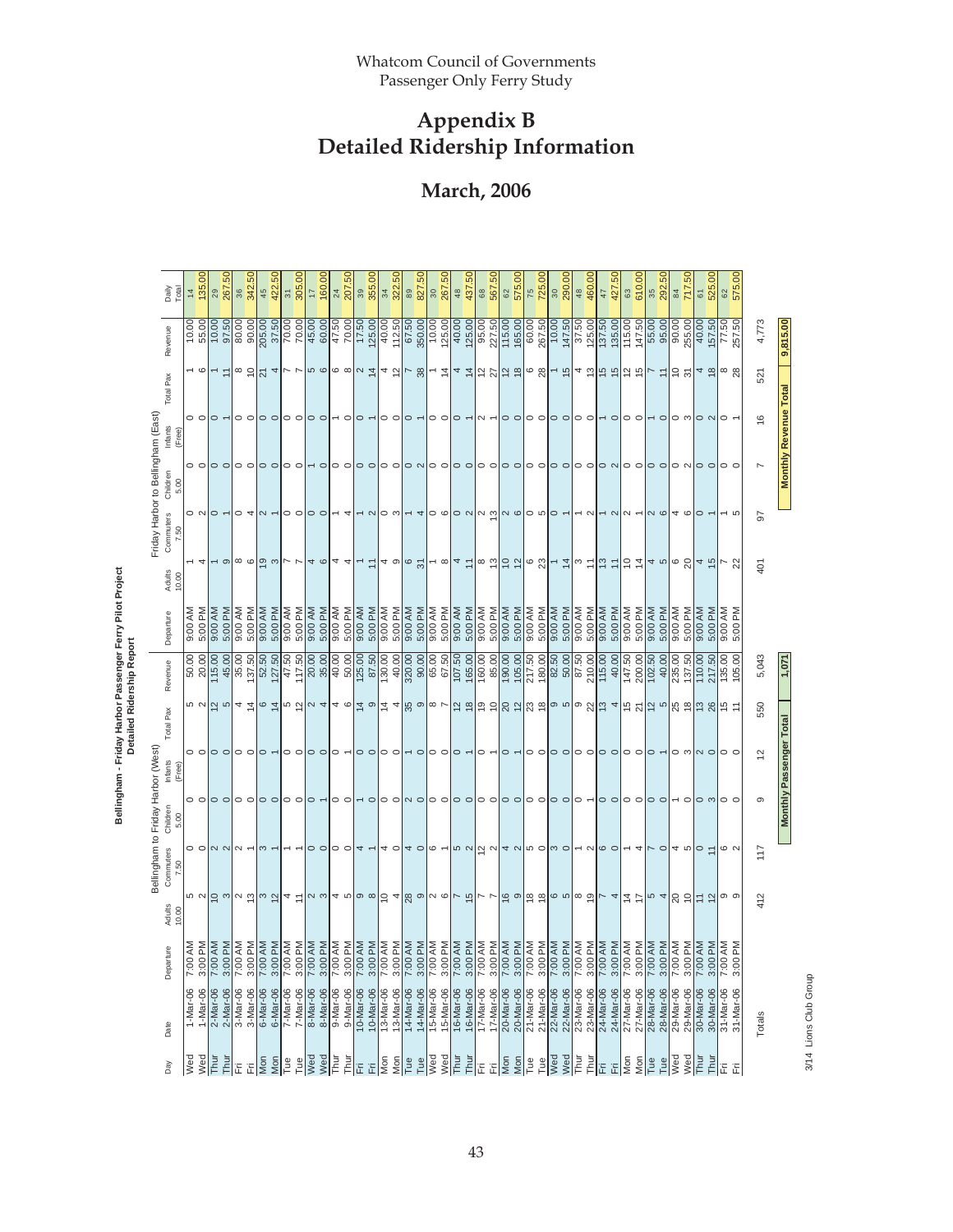## **March, 2006**

|                             |                        |                             |                                                                                                                                        |                                         |                                                        |                                  | Detailed Kidersillp Repo |                         |                      |                                                                             |                                                         |                                 |                              |                                                    |                                  |                     |
|-----------------------------|------------------------|-----------------------------|----------------------------------------------------------------------------------------------------------------------------------------|-----------------------------------------|--------------------------------------------------------|----------------------------------|--------------------------|-------------------------|----------------------|-----------------------------------------------------------------------------|---------------------------------------------------------|---------------------------------|------------------------------|----------------------------------------------------|----------------------------------|---------------------|
| Day                         | Date                   | Departure                   | Adults<br>10.00                                                                                                                        | Commuters<br>7.50                       | Bellingham to Friday Harbor (West)<br>Children<br>5.00 | Infants<br>(Free)                | Total Pax                | Revenue                 | Departure            | Adults<br>10.00                                                             | Friday Harbor to Bellingham (East)<br>Commuters<br>7.50 | Children<br>5.00                | Infants<br>(Free)            | Total Pax                                          | Revenue                          | Daily<br>Total      |
| Wed                         | $1-Mar-06$             | 7:00 AM                     |                                                                                                                                        | $\circ$ $\circ$                         |                                                        | $\circ$ $\circ$                  |                          | 50.00                   | 9:00 AM              |                                                                             |                                                         |                                 | $\circ$ $\circ$              | - დ                                                | $\frac{10.00}{55.00}$            | $\frac{4}{3}$       |
| Wed                         | 1-Mar-06               | 3:00 PM                     |                                                                                                                                        |                                         |                                                        |                                  |                          |                         |                      |                                                                             |                                                         |                                 |                              |                                                    |                                  | 135.00              |
| Thur<br>Thur                | 2-Mar-06<br>2-Mar-06   | 7:00 AM<br>3:00 PM          | ဟ 이 이 이 이 이 이 이 ㅋ ㄷ                                                                                                                    | $N$ $N$ $N$                             | o o o o o o o o o o o ←                                | $\circ$ $\circ$                  | ம လ $ a $ က              | 115.00<br>45.00         | 9:00 AM<br>5:00 PM   | ၜ                                                                           | $\circ$                                                 | $\circ$ $\circ$ $\circ$ $\circ$ | $\circ$                      | $\overline{a}$                                     | 10.00<br>97.50                   | တ္ပ<br>267.<br>29   |
| Ē                           | 3-Mar-06               | 7:00 AM                     |                                                                                                                                        |                                         |                                                        | $\circ$ $\circ$                  |                          | 35.00                   | 9:00 AM              |                                                                             | $\circ$ 4                                               |                                 | $\circ$ $\circ$              | $\frac{8}{10}$                                     | 80.00                            | 36                  |
| Ë                           | 3-Mar-06               | 3:00 PM                     |                                                                                                                                        |                                         |                                                        |                                  |                          |                         | 5:00 PM              |                                                                             |                                                         |                                 |                              |                                                    |                                  | 342.50              |
| Mon<br>$\sqrt{\frac{2}{1}}$ | 6-Mar-06<br>6-Mar-06   | 7:00 AM<br>3:00 PM          |                                                                                                                                        |                                         |                                                        | $\circ$ $\sim$                   |                          | 52.50<br>127.50         | 9:00 AM<br>5:00 PM   | $  \circ \circ   \tilde{\circ} \circ  _{\nu} \circ  _{4} \circ  _{4} \circ$ | $\sim$                                                  | 00 00                           | $\circ$ $\circ$              | $\frac{1}{2}$ 4                                    | 205.00                           | 422.50<br>45        |
| Tue                         | 7-Mar-06               | 7:00 AM                     |                                                                                                                                        |                                         |                                                        |                                  |                          | 47.50                   | 9:00 AM              |                                                                             |                                                         |                                 |                              |                                                    |                                  | $\overline{31}$     |
| Tue                         | 7-Mar-06               | 3:00 PM                     |                                                                                                                                        |                                         |                                                        | $\circ$ $\circ$                  |                          | 117.50                  | 5:00 PM              |                                                                             | $\circ$ $\circ$                                         |                                 | $\circ$ $\circ$              | トト                                                 | 37.50<br>70.00                   | 305.00              |
| Wed                         | 8-Mar-06               | 7:00 AM                     |                                                                                                                                        |                                         |                                                        |                                  |                          |                         | 9:00 AM              |                                                                             |                                                         |                                 |                              |                                                    | 45.00                            | $\overline{1}$      |
| Wed                         | 8-Mar-06               | 3:00 PM                     |                                                                                                                                        | $\circ$ $\circ$                         |                                                        | $\circ$ $\circ$                  |                          | 20.00                   | 5:00 PM              |                                                                             | $\circ$                                                 | $\overline{\phantom{0}}$        | $\circ$ $\circ$              | <b>50</b>                                          | 60.00                            | 160.00              |
| Thur                        | 9-Mar-06               | 7:00 AM                     |                                                                                                                                        | $\circ$ $\circ$                         | $\circ$ $\circ$                                        | $\circ$                          |                          | 40.00                   | 9:00 AM              |                                                                             |                                                         | $\circ$ $\circ$                 |                              | ပ∞  ∨ 节                                            | 47.50                            | $24\,$              |
| Thui                        | 9-Mar-06               | 3:00 PM                     |                                                                                                                                        |                                         |                                                        |                                  |                          |                         | 5:00 PM              |                                                                             | 4                                                       |                                 | $\circ$                      |                                                    | 70.00                            | 207.50              |
| İΕ                          | 10-Mar-06              | $\frac{1}{7.00 \text{ AM}}$ |                                                                                                                                        | 4                                       | $\sim$ $\sim$                                          | $\circ$ $\circ$                  |                          | 125.00                  | 9:00 AM              | $\overline{\phantom{0}}$                                                    | $ \sim$                                                 | 10 O                            | $\circ$                      |                                                    | 17.50                            | 39                  |
| 置                           | 10-Mar-06              | 3:00 PM                     |                                                                                                                                        |                                         |                                                        |                                  |                          |                         | 5:00 PM              | $\cong$                                                                     |                                                         |                                 |                              |                                                    | $\frac{125.00}{40.00}$           | 355.00              |
| Mon                         | 13-Mar-06              | 7:00 AM                     |                                                                                                                                        | 4                                       |                                                        | $\circ$ $\circ$                  |                          | $\frac{130.00}{40.00}$  | 9:00 AM              |                                                                             | ဝ က                                                     | $\circ$ $\circ$                 | $\circ$ $\circ$              | $4 \frac{5}{16}$                                   |                                  | 34<br>322.50        |
| Mon                         | 13-Mar-06              | 3:00 PM                     |                                                                                                                                        | $\circ$                                 |                                                        |                                  |                          |                         | 5:00 PM              |                                                                             |                                                         |                                 |                              |                                                    | 112.50                           |                     |
| Tue                         | 14-Mar-06              | 7:00 AM                     |                                                                                                                                        | $4^{\circ}$                             |                                                        |                                  |                          | 320.00                  | 9:00 AM              | 4000                                                                        |                                                         | $\circ$ $\sim$ $\circ$          | $\circ$ $\sim$               |                                                    | 67.50                            | 89<br>827.50        |
| Tue                         | 14-Mar-06              | 3:00 PM                     |                                                                                                                                        |                                         |                                                        | $\circ$                          |                          |                         | 5:00 PM              |                                                                             | 4                                                       |                                 |                              |                                                    | 350.00                           |                     |
| se<br>M                     | 15-Mar-06              | 7:00 AM                     |                                                                                                                                        | $\circ$                                 |                                                        | $\circ$ $\circ$                  |                          |                         |                      |                                                                             |                                                         |                                 | $\circ$ $\circ$              |                                                    | $\frac{10.00}{125.00}$           | 30<br>267.50        |
| Wed                         | 15-Mar-06              | 3:00 PM                     |                                                                                                                                        |                                         |                                                        |                                  |                          |                         | 5:00 PM              |                                                                             |                                                         |                                 |                              |                                                    |                                  |                     |
| Thur                        | 16-Mar-06              | 7:00 AM                     |                                                                                                                                        | <b>5</b> 2                              |                                                        | $\circ$ $\sim$                   |                          |                         | 9:00 AM              |                                                                             |                                                         | $\circ$ $\circ$                 | $\circ$ $\sim$               |                                                    |                                  | $\frac{48}{5}$      |
| Thur                        | 16-Mar-06              | 3:00 PM                     |                                                                                                                                        |                                         |                                                        |                                  |                          | 165.00                  | 5:00 PM              |                                                                             |                                                         |                                 |                              |                                                    |                                  | 437.50              |
| Ë<br>Ë                      | 17-Mar-06<br>17-Mar-06 | 7:00 AM<br>3:00 PM          | $\vert\omega\vert$ ႕ ကုုလ စင်္ကြ ႕ေ $\vert\omega\vert$ တုုက ကုုိ ကုုင်္က စစ်စံ အုုံက စစ်ပြီး ႕ေနာင်္ကျပ ႕ေ $\vert\omega\vert$ ႕ အင်္ကြ | $\frac{1}{2}$ $\alpha$                  |                                                        | $\circ$ $\overline{\phantom{0}}$ |                          | $\frac{160.00}{85.00}$  | 9:00 AM<br>5:00 PM   |                                                                             |                                                         | $\circ$ $\circ$                 | $\sim$ $-$                   | $ 3  - 4 $ 4 $\frac{1}{4}$ 5 $ 5 $ 5 $\frac{1}{4}$ | $\frac{125.00}{95.00}$<br>227.50 | 567.50<br>$68\,$    |
| $\overline{\text{Mon}}$     | 20-Mar-06              | 7:00 AM                     |                                                                                                                                        |                                         |                                                        |                                  |                          | 190.00                  | 9:00 AM              |                                                                             |                                                         |                                 |                              |                                                    | 115.00                           |                     |
|                             | 20-Mar-06              | 3:00 PM                     |                                                                                                                                        |                                         |                                                        | $\circ$ $\sim$                   |                          | 105.00                  | 5:00 PM              |                                                                             |                                                         | 00                              | $\circ$ $\circ$              |                                                    |                                  | 575.00<br>$62$      |
| Mon                         | 21-Mar-06              | 7:00 AM                     |                                                                                                                                        |                                         |                                                        |                                  |                          | 217.50                  | 9:00 AM              |                                                                             |                                                         |                                 |                              |                                                    | $\frac{165.00}{60.00}$           |                     |
| Tue<br>Tue                  | 21-Mar-06              | 3:00 PM                     |                                                                                                                                        |                                         |                                                        | $\circ$ $\circ$                  |                          | 180.00                  | 5:00 PM              |                                                                             |                                                         |                                 | $\circ$ $\circ$              |                                                    | 267.50                           | 725.00<br>75        |
| <b>Ned</b>                  | 22-Mar-06              | 7:00 AM                     |                                                                                                                                        |                                         |                                                        |                                  |                          |                         | 9:00 AM              |                                                                             |                                                         |                                 |                              |                                                    | 10.00                            |                     |
| Wed                         | 22-Mar-06              | 3:00 PM                     |                                                                                                                                        | $4$ $\omega$ $\omega$ $\omega$ $\omega$ |                                                        | $\circ$ $\circ$                  |                          | 82.50<br>50.50<br>87.50 | 5:00 PM              |                                                                             |                                                         | $\circ$ $\circ$ $\circ$         | $\circ$                      | $\frac{1}{9}$ $\frac{1}{9}$                        | 147.50                           | 300.000             |
| Thur                        | 23-Mar-06              | 7:00 AM                     |                                                                                                                                        |                                         |                                                        |                                  |                          |                         | 9:00 AM              |                                                                             |                                                         |                                 |                              |                                                    | 37.50                            | $\frac{48}{5}$      |
| Thur                        | 23-Mar-06              | 3:00 PM                     |                                                                                                                                        | $\sim$ $\sim$ $\sim$                    |                                                        | $\circ$ $\circ$                  |                          | 210.00                  | 5:00 PM              |                                                                             | $\sim$                                                  | 00 00 00 00 00                  | $\circ$ $\circ$              | $4 \frac{10}{10} \frac{10}{10}$                    |                                  | 460.00              |
| 汩                           | 24-Mar-06              | 7:00 AM                     |                                                                                                                                        |                                         |                                                        |                                  |                          | 115.00                  | 9:00 AM              |                                                                             |                                                         |                                 |                              |                                                    | $\frac{125.00}{137.50}$          | 47                  |
| 旧                           | 24-Mar-06              | 3:00 PM                     |                                                                                                                                        |                                         |                                                        | $\circ$                          |                          | 40.00                   | 5:00 PM              |                                                                             | $\sim$ $\sim$                                           |                                 | $\sim$ $\sim$                |                                                    | 135.00                           | 5<br>427.           |
| Mon                         | 27-Mar-06              | 7:00 AM                     |                                                                                                                                        |                                         | $\circ$ $\circ$ $\circ$ $\circ$ $\circ$ $\circ$        | $\circ$ $\circ$                  |                          | 147.50                  | 9:00 AM              |                                                                             | $\sim$                                                  |                                 | $\circ$ $\circ$              | $\frac{1}{2}$ 후 이                                  | 115.00<br>147.50                 | 63<br>610.00        |
| Mon                         | 27-Mar-06              | 3:00 PM                     |                                                                                                                                        | 4                                       |                                                        |                                  |                          |                         | 5:00 PM              |                                                                             |                                                         |                                 |                              |                                                    |                                  |                     |
| Tue                         | 28-Mar-06              | 7:00 AM                     |                                                                                                                                        |                                         |                                                        | $\circ$ -                        |                          | 102.50                  | 9:00 AM              |                                                                             | $\sim$ $\circ$                                          |                                 |                              |                                                    |                                  | 35                  |
| $Tue$<br>Wed                | 28-Mar-06              | 3:00 PM                     |                                                                                                                                        | $\circ$                                 |                                                        |                                  |                          | 40.00                   | 5:00 PM              |                                                                             |                                                         |                                 | $\circ$                      | $z \approx 2$                                      | $\frac{8}{36}$                   | 292.50              |
|                             | 29-Mar-06              | 7:00 AM                     |                                                                                                                                        | 4 ro                                    | $\sim$ $\sim$                                          | ⊝ ෆ                              |                          | 235.00                  | 9:00 AM              |                                                                             | 4 0                                                     |                                 | ဝက                           |                                                    |                                  | $\frac{4}{3}$       |
| Wed                         | 29-Mar-06              | 3:00 PM                     |                                                                                                                                        |                                         |                                                        |                                  |                          | 137.50                  | 5:00 PM              |                                                                             |                                                         |                                 |                              |                                                    | 255.00                           | <u>င</u> ္ပ<br>717. |
| Thur                        | 30-Mar-06<br>30-Mar-06 | 7:00 AM<br>3:00 PM          |                                                                                                                                        | $\circ$<br>Ξ                            | ဝ က                                                    | $\sim$ $\sim$                    |                          | 110.00                  | 9:00 AM<br>5:00 PM   |                                                                             | $\circ$                                                 | $\circ$<br>$\circ$              | $\circ$ $\circ$              | $4\overline{6}$                                    | 40.00<br>157.50                  | 525.00<br>61        |
| Thur                        |                        |                             |                                                                                                                                        |                                         |                                                        |                                  |                          | 217.50                  |                      |                                                                             |                                                         |                                 |                              |                                                    |                                  |                     |
| 正正                          | 31-Mar-06<br>31-Mar-06 | 7:00 AM<br>3:00 PM          | စ စ                                                                                                                                    |                                         | $\circ$                                                | $\circ$ $\circ$                  |                          | 135.00                  | 9:00 AM<br>N<br>5:00 | r<br>22                                                                     |                                                         | $\circ$ $\circ$                 | $\circ$                      | $^{\circ}$<br>$\overline{28}$                      | 8<br>257.50<br>77                | 62<br>575.00        |
|                             |                        |                             |                                                                                                                                        |                                         |                                                        |                                  |                          |                         |                      |                                                                             |                                                         |                                 |                              |                                                    |                                  |                     |
|                             | Totals                 |                             | 412                                                                                                                                    | 117                                     | တ                                                      | 12                               | 550                      | 5,043                   |                      | 401                                                                         | 5                                                       | $\overline{ }$                  | $\frac{6}{5}$                | 521                                                | 4,773                            |                     |
|                             |                        |                             |                                                                                                                                        |                                         |                                                        | <b>Monthly Passenger Total</b>   |                          | 1.071                   |                      |                                                                             |                                                         |                                 | <b>Monthly Revenue Total</b> |                                                    | 9,815.00                         |                     |
|                             |                        |                             |                                                                                                                                        |                                         |                                                        |                                  |                          |                         |                      |                                                                             |                                                         |                                 |                              |                                                    |                                  |                     |
|                             | 3/14 Lions Club Group  |                             |                                                                                                                                        |                                         |                                                        |                                  |                          |                         |                      |                                                                             |                                                         |                                 |                              |                                                    |                                  |                     |

Bellingham - Friday Harbor Passenger Ferry Pilot Project<br>Detailed Bridershin Benot **Bellingham - Friday Harbor Passenger Ferry Pilot Project Detailed Ridership Report**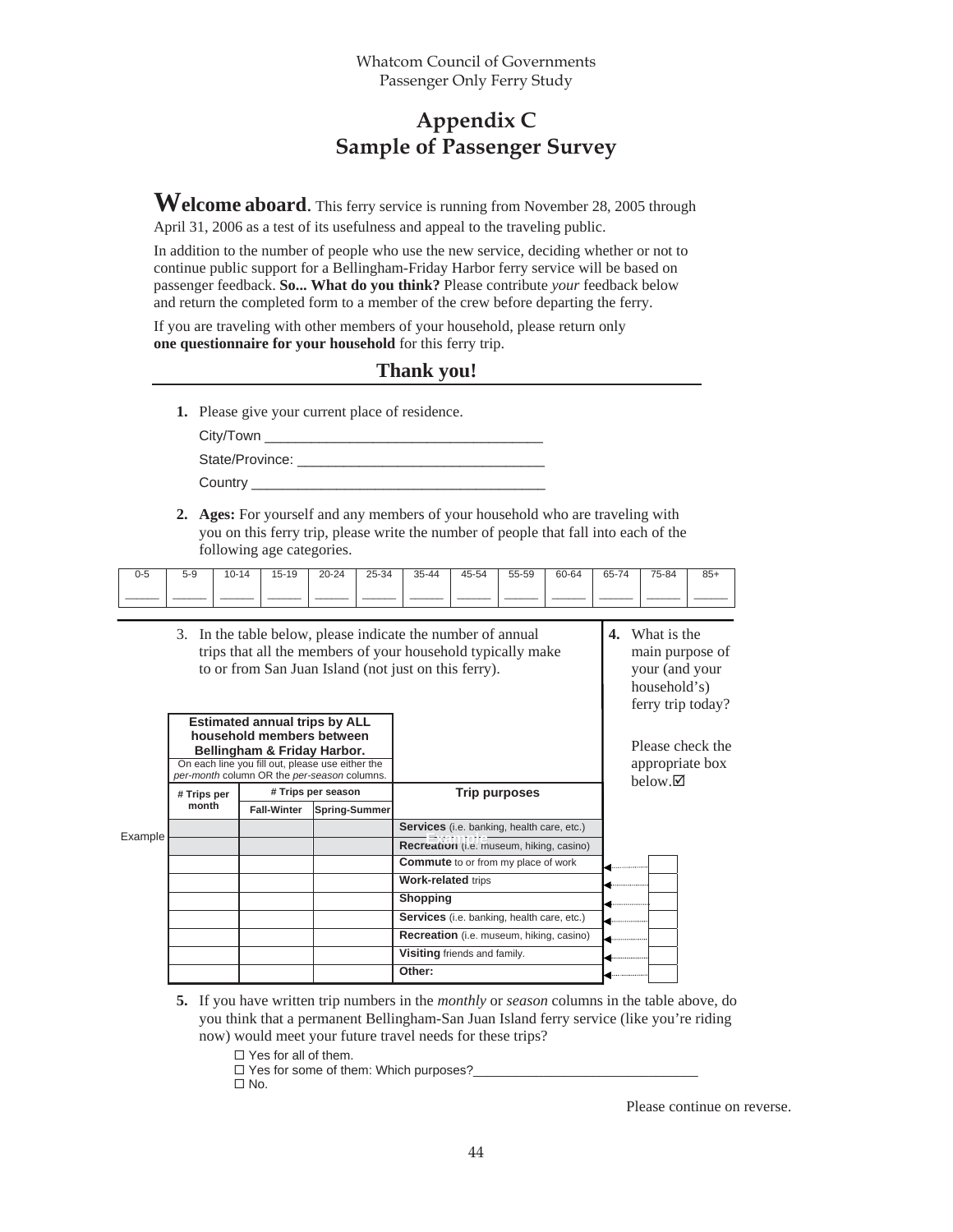## **Appendix C Sample of Passenger Survey**

**Welcome aboard**. This ferry service is running from November 28, 2005 through April 31, 2006 as a test of its usefulness and appeal to the traveling public.

In addition to the number of people who use the new service, deciding whether or not to continue public support for a Bellingham-Friday Harbor ferry service will be based on passenger feedback. **So... What do you think?** Please contribute *your* feedback below and return the completed form to a member of the crew before departing the ferry.

If you are traveling with other members of your household, please return only **one questionnaire for your household** for this ferry trip.

#### **Thank you!**

**1.** Please give your current place of residence.

| City/Town       |
|-----------------|
| State/Province: |
| Country         |

**2. Ages:** For yourself and any members of your household who are traveling with you on this ferry trip, please write the number of people that fall into each of the following age categories.

| 0-5 | $5-9$ | $10 - 14$ | $15 - 19$ | $20 - 24$ | 25-34 | $35 - 44$ | 45-54 | 55-59 | 60-64 | 65-74 | 75-84 | $85+$ |
|-----|-------|-----------|-----------|-----------|-------|-----------|-------|-------|-------|-------|-------|-------|
|     |       |           |           |           |       |           |       |       |       |       |       |       |

- 3. In the table below, please indicate the number of annual trips that all the members of your household typically make to or from San Juan Island (not just on this ferry). **4.** What is the main purpose of your (and your household's) ferry trip today? **Estimated annual trips by ALL household members between Bellingham & Friday Harbor.** On each line you fill out, please use either the *per-month* column OR the *per-season* columns. **# Trips per # Trips per season month Fall-Winter Spring-Summer Trip purposes Services** (i.e. banking, health care, etc.) **Recreation** (i.e. museum, hiking, casino) **Commute** to or from my place of work **Work-related** trips **Shopping Services** (i.e. banking, health care, etc.) **Recreation** (i.e. museum, hiking, casino) **Visiting** friends and family. **Other:** Please check the appropriate box  $below. \nabla$ 
	- **5.** If you have written trip numbers in the *monthly* or *season* columns in the table above, do you think that a permanent Bellingham-San Juan Island ferry service (like you're riding now) would meet your future travel needs for these trips?

□ Yes for all of them.

 $\square$  Yes for some of them: Which purposes?

 $\Box$  No.

Please continue on reverse.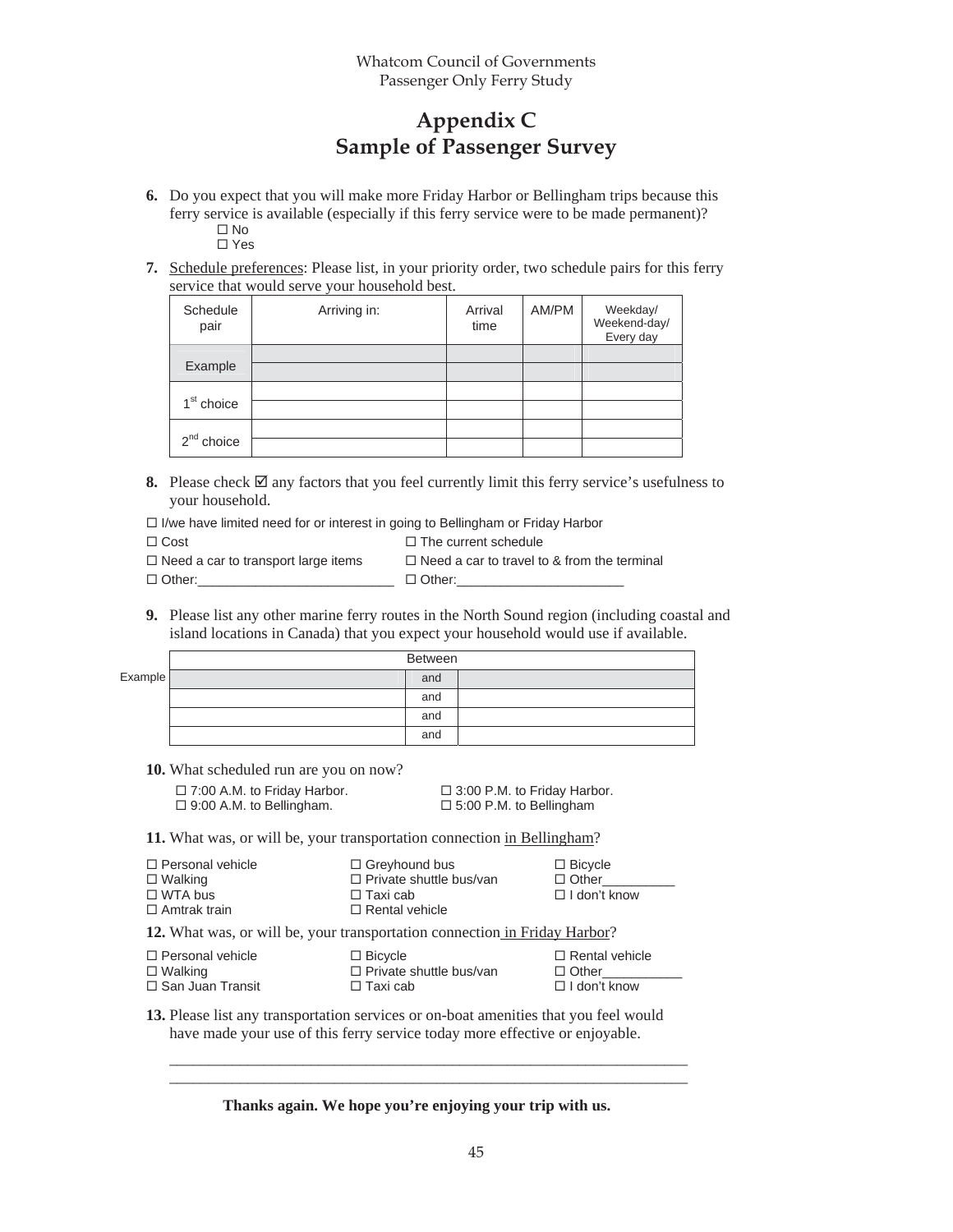## **Appendix C Sample of Passenger Survey**

- **6.** Do you expect that you will make more Friday Harbor or Bellingham trips because this ferry service is available (especially if this ferry service were to be made permanent)?  $\square$  No Yes
- **7.** Schedule preferences: Please list, in your priority order, two schedule pairs for this ferry service that would serve your household best.

| Schedule<br>pair       | Arriving in: | Arrival<br>time | AM/PM | Weekday/<br>Weekend-day/<br>Every day |
|------------------------|--------------|-----------------|-------|---------------------------------------|
| Example                |              |                 |       |                                       |
| 1 <sup>st</sup> choice |              |                 |       |                                       |
| $2nd$ choice           |              |                 |       |                                       |

**8.** Please check  $\boxtimes$  any factors that you feel currently limit this ferry service's usefulness to your household.

|  | $\Box$ I/we have limited need for or interest in going to Bellingham or Friday Harbor |  |
|--|---------------------------------------------------------------------------------------|--|
|  |                                                                                       |  |

| $\Box$ Cost                                | $\Box$ The current schedule                        |
|--------------------------------------------|----------------------------------------------------|
| $\Box$ Need a car to transport large items | $\Box$ Need a car to travel to & from the terminal |
| $\Box$ Other:                              | $\Box$ Other:                                      |

**9.** Please list any other marine ferry routes in the North Sound region (including coastal and island locations in Canada) that you expect your household would use if available.

|         | Between |  |
|---------|---------|--|
| Example | and     |  |
|         | and     |  |
|         | and     |  |
|         | and     |  |

**10.** What scheduled run are you on now?

| $\Box$ 7:00 A.M. to Friday Harbor.<br>$\Box$ 9:00 A.M. to Bellingham.              | □ 3:00 P.M. to Friday Harbor.<br>$\Box$ 5:00 P.M. to Bellingham                                    |                                                       |
|------------------------------------------------------------------------------------|----------------------------------------------------------------------------------------------------|-------------------------------------------------------|
| 11. What was, or will be, your transportation connection in Bellingham?            |                                                                                                    |                                                       |
| $\Box$ Personal vehicle<br>$\Box$ Walking<br>$\Box$ WTA bus<br>$\Box$ Amtrak train | $\Box$ Greyhound bus<br>$\Box$ Private shuttle bus/van<br>$\Box$ Taxi cab<br>$\Box$ Rental vehicle | $\Box$ Bicycle<br>$\Box$ Other<br>$\Box$ I don't know |

**12.** What was, or will be, your transportation connection in Friday Harbor?

| $\Box$ Personal vehicle | $\Box$ Bicycle                 | $\Box$ Rental vehicle |
|-------------------------|--------------------------------|-----------------------|
| $\Box$ Walking          | $\Box$ Private shuttle bus/van | $\Box$ Other          |
| $\Box$ San Juan Transit | $\Box$ Taxi cab                | $\Box$ I don't know   |

**13.** Please list any transportation services or on-boat amenities that you feel would have made your use of this ferry service today more effective or enjoyable.

**Thanks again. We hope you're enjoying your trip with us.** 

\_\_\_\_\_\_\_\_\_\_\_\_\_\_\_\_\_\_\_\_\_\_\_\_\_\_\_\_\_\_\_\_\_\_\_\_\_\_\_\_\_\_\_\_\_\_\_\_\_\_\_\_\_\_\_\_\_\_\_\_\_\_\_\_\_\_ \_\_\_\_\_\_\_\_\_\_\_\_\_\_\_\_\_\_\_\_\_\_\_\_\_\_\_\_\_\_\_\_\_\_\_\_\_\_\_\_\_\_\_\_\_\_\_\_\_\_\_\_\_\_\_\_\_\_\_\_\_\_\_\_\_\_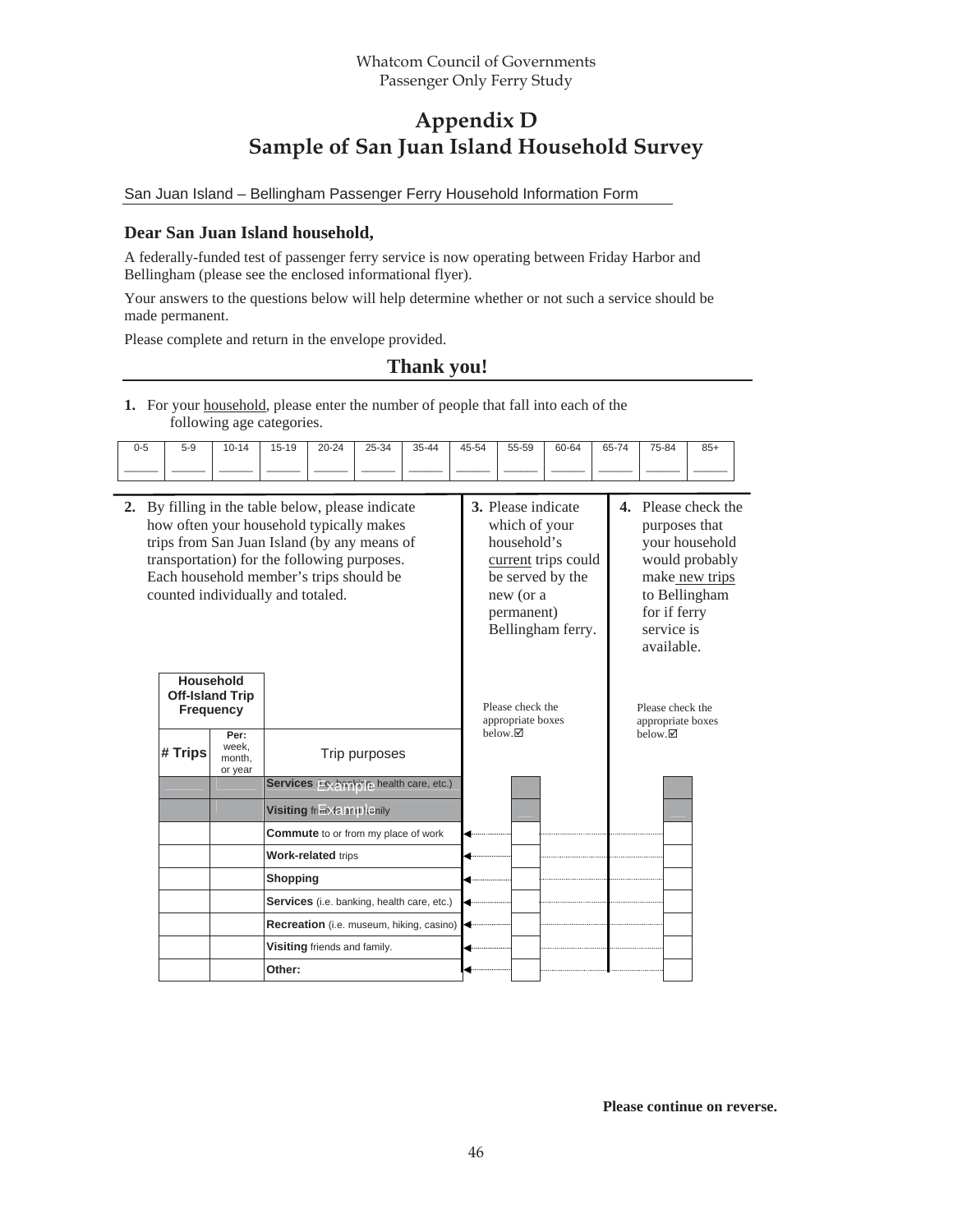## **Appendix D Sample of San Juan Island Household Survey**

San Juan Island – Bellingham Passenger Ferry Household Information Form

#### **Dear San Juan Island household,**

A federally-funded test of passenger ferry service is now operating between Friday Harbor and Bellingham (please see the enclosed informational flyer).

Your answers to the questions below will help determine whether or not such a service should be made permanent.

Please complete and return in the envelope provided.

#### **Thank you!**

**1.** For your household, please enter the number of people that fall into each of the following age categories.

| $\overline{\phantom{0}}$<br>ט-ט | $5-9$ | $10 - 14$ | 15-19 | $20 - 24$ | 25-34 | $35 - 44$<br>تٽ | 45-54 | 55-59 | 60-64 | 65-74 | 75-84 | $85+$ |
|---------------------------------|-------|-----------|-------|-----------|-------|-----------------|-------|-------|-------|-------|-------|-------|
|                                 |       |           |       |           |       |                 |       |       |       |       |       |       |

| 4. Please check the<br>purposes that                                                                            |
|-----------------------------------------------------------------------------------------------------------------|
| your household<br>would probably<br>make_new_trips<br>to Bellingham<br>for if ferry<br>service is<br>available. |
| Please check the<br>appropriate boxes                                                                           |
|                                                                                                                 |
|                                                                                                                 |
|                                                                                                                 |
|                                                                                                                 |
|                                                                                                                 |
|                                                                                                                 |
|                                                                                                                 |
|                                                                                                                 |
|                                                                                                                 |
|                                                                                                                 |
| $below. \nabla$                                                                                                 |

**Please continue on reverse.**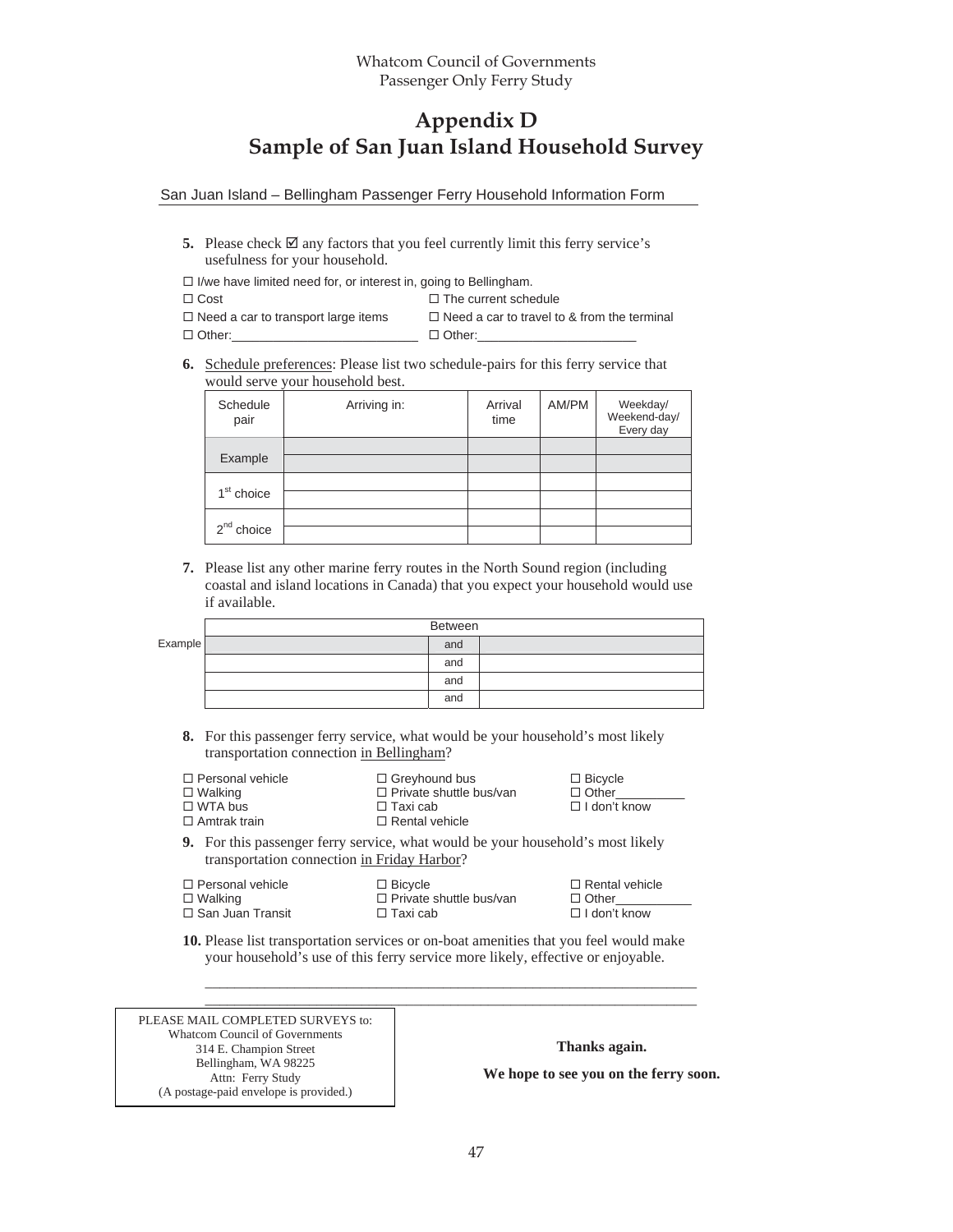## **Appendix D Sample of San Juan Island Household Survey**

San Juan Island – Bellingham Passenger Ferry Household Information Form

- **5.** Please check  $\boxtimes$  any factors that you feel currently limit this ferry service's usefulness for your household.
- $\Box$  I/we have limited need for, or interest in, going to Bellingham.
- $\square$  Cost  $\square$  The current schedule
- $\Box$  Need a car to transport large items  $\Box$  Need a car to travel to & from the terminal
- Other:\_\_\_\_\_\_\_\_\_\_\_\_\_\_\_\_\_\_\_\_\_\_\_\_\_\_\_ Other:\_\_\_\_\_\_\_\_\_\_\_\_\_\_\_\_\_\_\_\_\_\_\_
	-
- **6.** Schedule preferences: Please list two schedule-pairs for this ferry service that would serve your household best.

| Schedule<br>pair       | Arriving in: | Arrival<br>time | AM/PM | Weekday/<br>Weekend-day/<br>Every day |
|------------------------|--------------|-----------------|-------|---------------------------------------|
|                        |              |                 |       |                                       |
| Example                |              |                 |       |                                       |
|                        |              |                 |       |                                       |
| 1 <sup>st</sup> choice |              |                 |       |                                       |
|                        |              |                 |       |                                       |
| $2nd$ choice           |              |                 |       |                                       |

**7.** Please list any other marine ferry routes in the North Sound region (including coastal and island locations in Canada) that you expect your household would use if available.

|        | Between |
|--------|---------|
| kample | and     |
|        | and     |
|        | and     |
|        | and     |

- **8.** For this passenger ferry service, what would be your household's most likely transportation connection in Bellingham?
- □ Personal vehicle  $\square$  Walking □ WTA bus □ Greyhound bus  $\square$  Private shuttle bus/van  $\Box$  Taxi cab □ Bicycle Other\_\_\_\_\_\_\_\_\_\_ □ I don't know
- □ Amtrak train □ Rental vehicle

 $E$ 

**9.** For this passenger ferry service, what would be your household's most likely transportation connection in Friday Harbor?

| □ Personal vehicle<br>$\Box$ Bicycle<br>□ Walking<br>$\Box$ Private shuttle bus/van<br>$\Box$ Other<br>□ San Juan Transit<br>$\Box$ I don't know<br>$\Box$ Taxi cab | $\Box$ Rental vehicle |
|---------------------------------------------------------------------------------------------------------------------------------------------------------------------|-----------------------|
|---------------------------------------------------------------------------------------------------------------------------------------------------------------------|-----------------------|

**10.** Please list transportation services or on-boat amenities that you feel would make your household's use of this ferry service more likely, effective or enjoyable.

\_\_\_\_\_\_\_\_\_\_\_\_\_\_\_\_\_\_\_\_\_\_\_\_\_\_\_\_\_\_\_\_\_\_\_\_\_\_\_\_\_\_\_\_\_\_\_\_\_\_\_\_\_\_\_\_\_\_\_\_\_\_\_\_\_\_

| PLEASE MAIL COMPLETED SURVEYS to:      |                                       |
|----------------------------------------|---------------------------------------|
| Whatcom Council of Governments         |                                       |
| 314 E. Champion Street                 | Thanks again.                         |
| Bellingham, WA 98225                   | We hope to see you on the ferry soon. |
| Attn: Ferry Study                      |                                       |
| (A postage-paid envelope is provided.) |                                       |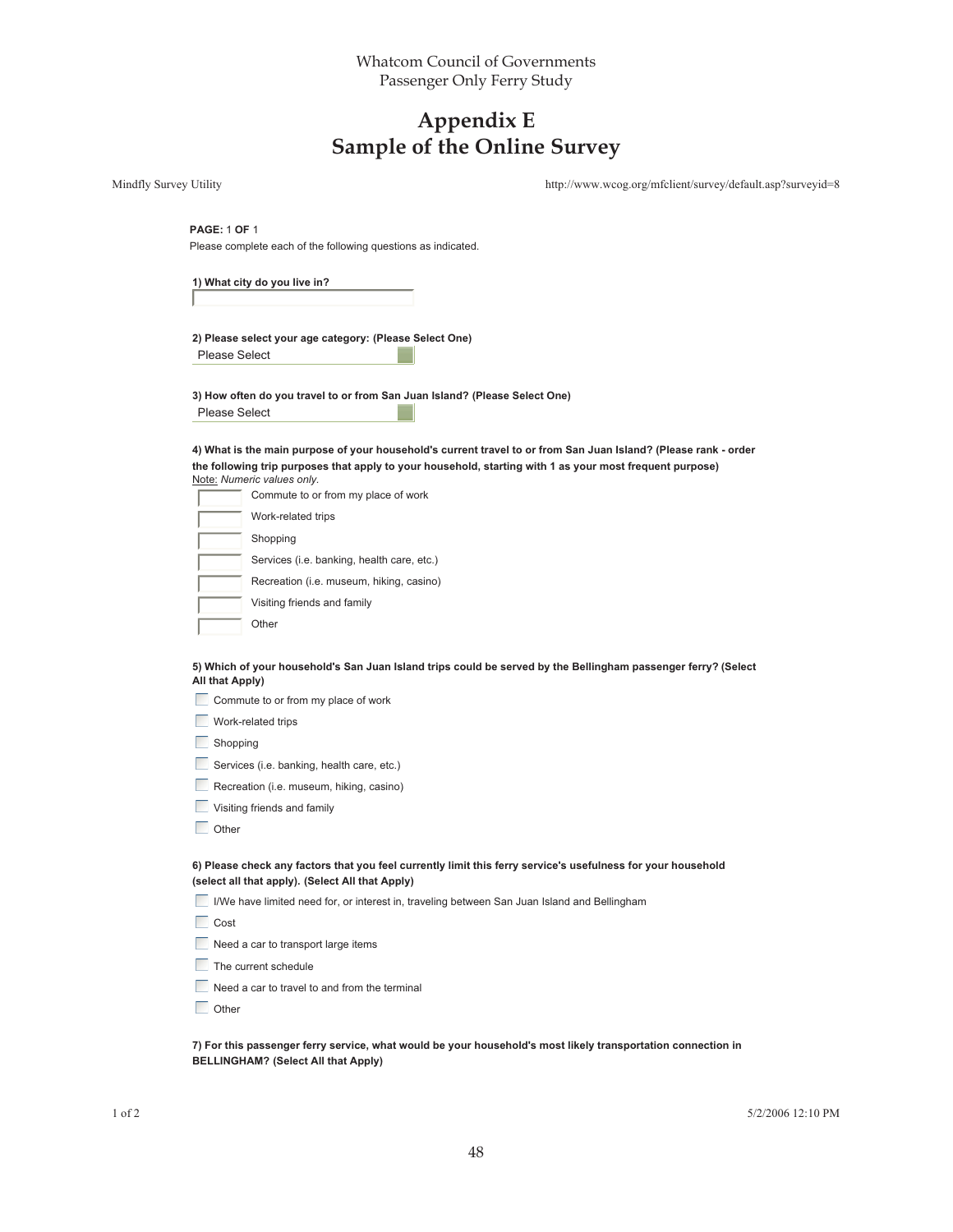## **Appendix E Sample of the Online Survey**

|                        | Sample of the Omine Survey                                                                                                                                                                                                                                |                                                            |
|------------------------|-----------------------------------------------------------------------------------------------------------------------------------------------------------------------------------------------------------------------------------------------------------|------------------------------------------------------------|
| Mindfly Survey Utility |                                                                                                                                                                                                                                                           | http://www.wcog.org/mfclient/survey/default.asp?surveyid=8 |
|                        | <b>PAGE: 1 OF 1</b><br>Please complete each of the following questions as indicated.                                                                                                                                                                      |                                                            |
|                        | 1) What city do you live in?                                                                                                                                                                                                                              |                                                            |
|                        | 2) Please select your age category: (Please Select One)<br><b>Please Select</b>                                                                                                                                                                           |                                                            |
|                        | 3) How often do you travel to or from San Juan Island? (Please Select One)<br><b>Please Select</b>                                                                                                                                                        |                                                            |
|                        | 4) What is the main purpose of your household's current travel to or from San Juan Island? (Please rank - order<br>the following trip purposes that apply to your household, starting with 1 as your most frequent purpose)<br>Note: Numeric values only. |                                                            |
|                        | Commute to or from my place of work                                                                                                                                                                                                                       |                                                            |
|                        | Work-related trips                                                                                                                                                                                                                                        |                                                            |
|                        | Shopping                                                                                                                                                                                                                                                  |                                                            |
|                        | Services (i.e. banking, health care, etc.)                                                                                                                                                                                                                |                                                            |
|                        | Recreation (i.e. museum, hiking, casino)                                                                                                                                                                                                                  |                                                            |
|                        | Visiting friends and family                                                                                                                                                                                                                               |                                                            |
|                        | Other                                                                                                                                                                                                                                                     |                                                            |
|                        | 5) Which of your household's San Juan Island trips could be served by the Bellingham passenger ferry? (Select<br>All that Apply)                                                                                                                          |                                                            |
|                        | Commute to or from my place of work                                                                                                                                                                                                                       |                                                            |
|                        | Work-related trips                                                                                                                                                                                                                                        |                                                            |
|                        | Shopping                                                                                                                                                                                                                                                  |                                                            |
|                        | Services (i.e. banking, health care, etc.)                                                                                                                                                                                                                |                                                            |
|                        | Recreation (i.e. museum, hiking, casino)                                                                                                                                                                                                                  |                                                            |
|                        | Visiting friends and family                                                                                                                                                                                                                               |                                                            |
|                        | Other                                                                                                                                                                                                                                                     |                                                            |
|                        | 6) Please check any factors that you feel currently limit this ferry service's usefulness for your household<br>(select all that apply). (Select All that Apply)                                                                                          |                                                            |
|                        | I/We have limited need for, or interest in, traveling between San Juan Island and Bellingham                                                                                                                                                              |                                                            |
|                        | Cost                                                                                                                                                                                                                                                      |                                                            |
|                        | Need a car to transport large items                                                                                                                                                                                                                       |                                                            |
|                        | The current schedule                                                                                                                                                                                                                                      |                                                            |
|                        | Need a car to travel to and from the terminal                                                                                                                                                                                                             |                                                            |
|                        | Other                                                                                                                                                                                                                                                     |                                                            |
|                        | 7) For this passenger ferry service, what would be your household's most likely transportation connection in                                                                                                                                              |                                                            |

**7) For this passenger ferry service, what would be your household's most likely transportation connection in BELLINGHAM? (Select All that Apply)**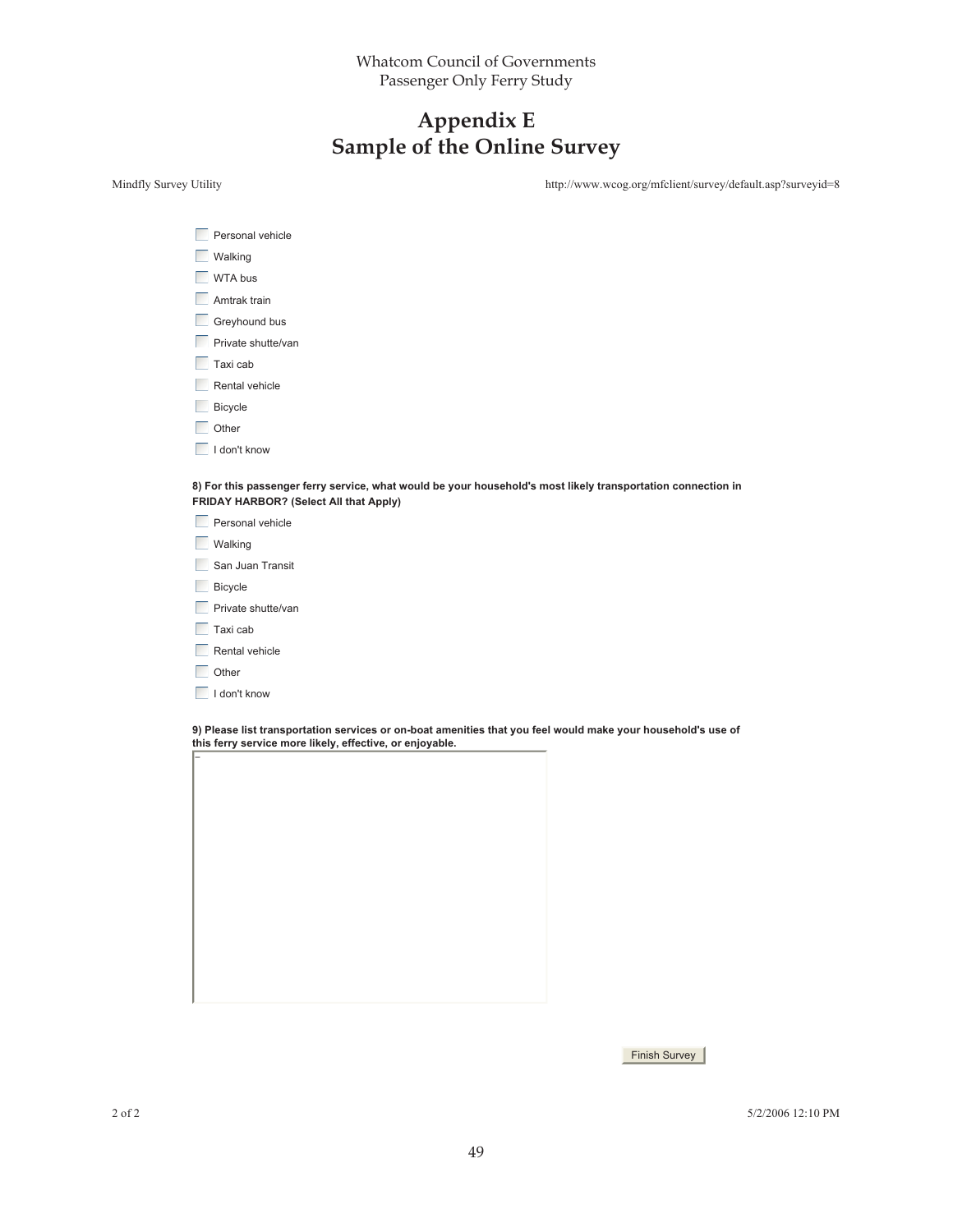## **Appendix E Sample of the Online Survey**

Mindfly Survey Utility http://www.wcog.org/mfclient/survey/default.asp?surveyid=8

| Personal vehicle   |
|--------------------|
| <b>Walking</b>     |
| WTA bus            |
| Amtrak train       |
| Greyhound bus      |
| Private shutte/van |
| Taxi cab           |
| Rental vehicle     |
| Bicycle            |
| Other              |
| I don't know       |
|                    |

**8) For this passenger ferry service, what would be your household's most likely transportation connection in FRIDAY HARBOR? (Select All that Apply)**

| Personal vehicle   |
|--------------------|
| J Walking          |
| San Juan Transit   |
| Bicycle            |
| Private shutte/van |
| $\Box$ Taxi cab    |
| Rental vehicle     |
| <b>Other</b>       |
| I don't know       |

**9) Please list transportation services or on-boat amenities that you feel would make your household's use of this ferry service more likely, effective, or enjoyable.**



Finish Survey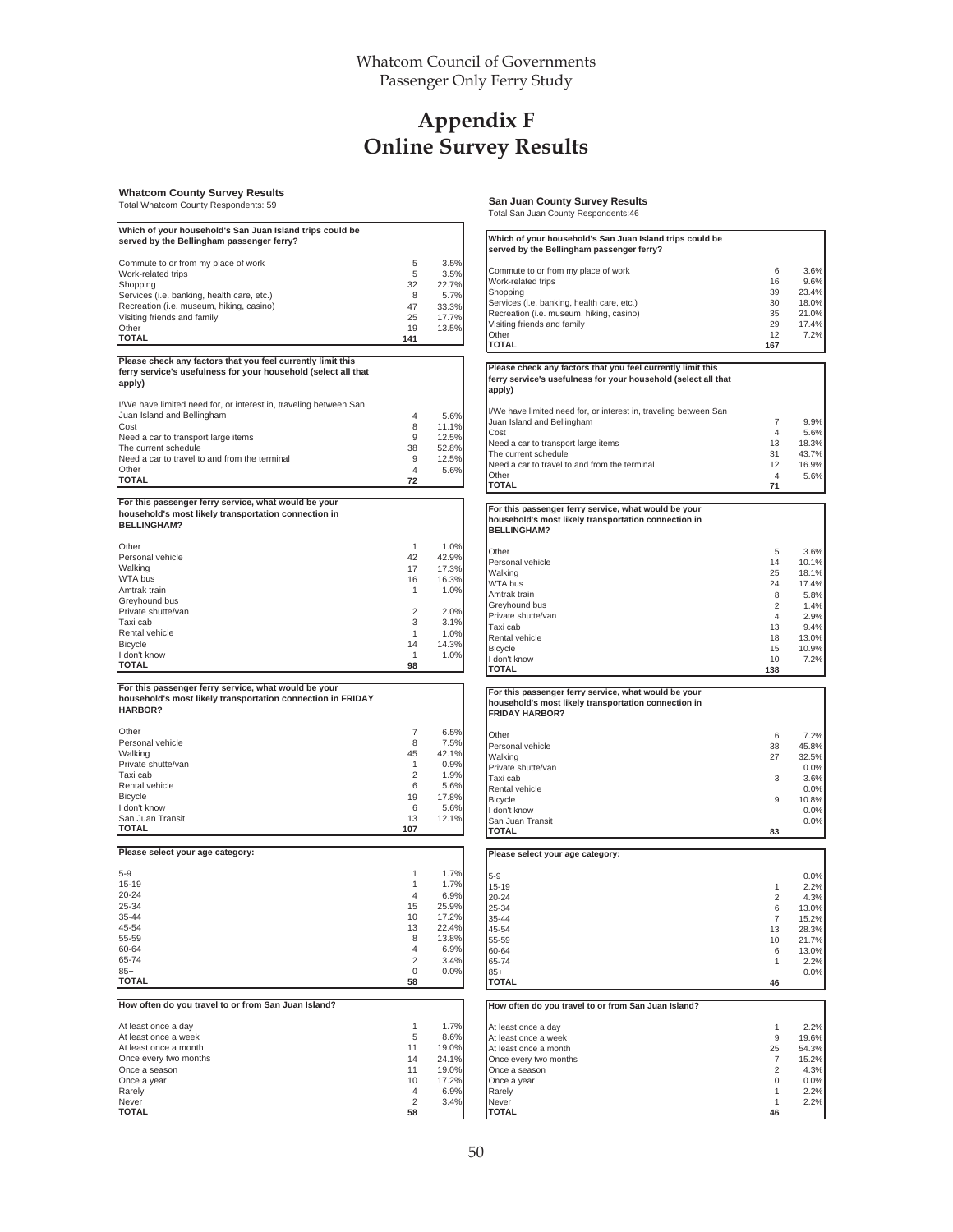## **Appendix F Online Survey Results**

**apply)**

#### **Whatcom County Survey Results**

Total Whatcom County Respondents: 59

| Which of your household's San Juan Island trips could be                                                                                                                                                                                                                                                                                                                                                     |                         |                |
|--------------------------------------------------------------------------------------------------------------------------------------------------------------------------------------------------------------------------------------------------------------------------------------------------------------------------------------------------------------------------------------------------------------|-------------------------|----------------|
| served by the Bellingham passenger ferry?                                                                                                                                                                                                                                                                                                                                                                    |                         |                |
| Commute to or from my place of work                                                                                                                                                                                                                                                                                                                                                                          | 5                       | 3.5%           |
| Work-related trips                                                                                                                                                                                                                                                                                                                                                                                           | 5                       | 3.5%           |
| Shopping                                                                                                                                                                                                                                                                                                                                                                                                     | 32                      | 22.7%          |
| Services (i.e. banking, health care, etc.)                                                                                                                                                                                                                                                                                                                                                                   | 8                       | 5.7%           |
| Recreation (i.e. museum, hiking, casino)<br>Visiting friends and family                                                                                                                                                                                                                                                                                                                                      | 47<br>25                | 33.3%<br>17.7% |
| Other                                                                                                                                                                                                                                                                                                                                                                                                        | 19                      | 13.5%          |
| <b>TOTAL</b>                                                                                                                                                                                                                                                                                                                                                                                                 | 141                     |                |
|                                                                                                                                                                                                                                                                                                                                                                                                              |                         |                |
| Please check any factors that you feel currently limit this                                                                                                                                                                                                                                                                                                                                                  |                         |                |
| ferry service's usefulness for your household (select all that<br>apply)                                                                                                                                                                                                                                                                                                                                     |                         |                |
| I/We have limited need for, or interest in, traveling between San                                                                                                                                                                                                                                                                                                                                            |                         |                |
| Juan Island and Bellingham                                                                                                                                                                                                                                                                                                                                                                                   | 4                       | 5.6%           |
| Cost                                                                                                                                                                                                                                                                                                                                                                                                         | 8                       | 11.1%          |
| Need a car to transport large items                                                                                                                                                                                                                                                                                                                                                                          | 9                       | 12.5%          |
| The current schedule                                                                                                                                                                                                                                                                                                                                                                                         | 38                      | 52.8%          |
| Need a car to travel to and from the terminal                                                                                                                                                                                                                                                                                                                                                                | 9                       | 12.5%          |
| Other                                                                                                                                                                                                                                                                                                                                                                                                        | 4                       | 5.6%           |
| <b>TOTAL</b>                                                                                                                                                                                                                                                                                                                                                                                                 | 72                      |                |
| For this passenger ferry service, what would be your                                                                                                                                                                                                                                                                                                                                                         |                         |                |
| household's most likely transportation connection in<br><b>BELLINGHAM?</b>                                                                                                                                                                                                                                                                                                                                   |                         |                |
|                                                                                                                                                                                                                                                                                                                                                                                                              |                         |                |
| Other                                                                                                                                                                                                                                                                                                                                                                                                        | $\mathbf{1}$            | 1.0%           |
| Personal vehicle<br>Walking                                                                                                                                                                                                                                                                                                                                                                                  | 42<br>17                | 42.9%<br>17.3% |
| WTA bus                                                                                                                                                                                                                                                                                                                                                                                                      | 16                      | 16.3%          |
| Amtrak train                                                                                                                                                                                                                                                                                                                                                                                                 | 1                       | 1.0%           |
| Greyhound bus                                                                                                                                                                                                                                                                                                                                                                                                |                         |                |
| Private shutte/van                                                                                                                                                                                                                                                                                                                                                                                           | 2                       | 2.0%           |
| Taxi cab                                                                                                                                                                                                                                                                                                                                                                                                     | 3                       | 3.1%           |
| Rental vehicle                                                                                                                                                                                                                                                                                                                                                                                               | 1                       | 1.0%           |
| Bicycle                                                                                                                                                                                                                                                                                                                                                                                                      | 14                      | 14.3%          |
| I don't know                                                                                                                                                                                                                                                                                                                                                                                                 | 1                       | 1.0%           |
| <b>TOTAL</b>                                                                                                                                                                                                                                                                                                                                                                                                 | 98                      |                |
| For this passenger ferry service, what would be your<br>household's most likely transportation connection in FRIDAY<br><b>HARBOR?</b>                                                                                                                                                                                                                                                                        |                         |                |
|                                                                                                                                                                                                                                                                                                                                                                                                              |                         |                |
| Other<br>Personal vehicle                                                                                                                                                                                                                                                                                                                                                                                    | $\overline{7}$          | 6.5%           |
| Walking                                                                                                                                                                                                                                                                                                                                                                                                      | 8<br>45                 | 7.5%<br>42.1%  |
|                                                                                                                                                                                                                                                                                                                                                                                                              |                         | 0.9%           |
|                                                                                                                                                                                                                                                                                                                                                                                                              |                         | 1.9%           |
|                                                                                                                                                                                                                                                                                                                                                                                                              | 1                       |                |
|                                                                                                                                                                                                                                                                                                                                                                                                              | $\overline{2}$          |                |
| Private shutte/van<br>Taxi cab<br>Rental vehicle<br><b>Bicycle</b>                                                                                                                                                                                                                                                                                                                                           | 6<br>19                 | 5.6%<br>17.8%  |
|                                                                                                                                                                                                                                                                                                                                                                                                              | 6                       | 5.6%           |
|                                                                                                                                                                                                                                                                                                                                                                                                              | 13                      | 12.1%          |
|                                                                                                                                                                                                                                                                                                                                                                                                              | 107                     |                |
|                                                                                                                                                                                                                                                                                                                                                                                                              |                         |                |
|                                                                                                                                                                                                                                                                                                                                                                                                              |                         |                |
|                                                                                                                                                                                                                                                                                                                                                                                                              | 1<br>1                  | 1.7%           |
|                                                                                                                                                                                                                                                                                                                                                                                                              | $\overline{\mathbf{A}}$ | 1.7%<br>6.9%   |
|                                                                                                                                                                                                                                                                                                                                                                                                              | 15                      | 25.9%          |
|                                                                                                                                                                                                                                                                                                                                                                                                              | 10                      | 17.2%          |
|                                                                                                                                                                                                                                                                                                                                                                                                              | 13                      | 22.4%          |
|                                                                                                                                                                                                                                                                                                                                                                                                              | 8                       | 13.8%          |
|                                                                                                                                                                                                                                                                                                                                                                                                              | 4                       | 6.9%           |
|                                                                                                                                                                                                                                                                                                                                                                                                              | 2                       | 3.4%           |
|                                                                                                                                                                                                                                                                                                                                                                                                              | 0                       | 0.0%           |
|                                                                                                                                                                                                                                                                                                                                                                                                              | 58                      |                |
|                                                                                                                                                                                                                                                                                                                                                                                                              |                         |                |
|                                                                                                                                                                                                                                                                                                                                                                                                              | 1                       | 1.7%           |
|                                                                                                                                                                                                                                                                                                                                                                                                              | 5                       | 8.6%           |
|                                                                                                                                                                                                                                                                                                                                                                                                              | 11                      | 19.0%          |
|                                                                                                                                                                                                                                                                                                                                                                                                              | 14                      | 24.1%          |
|                                                                                                                                                                                                                                                                                                                                                                                                              | 11                      | 19.0%          |
|                                                                                                                                                                                                                                                                                                                                                                                                              | 10                      | 17.2%          |
| I don't know<br>San Juan Transit<br><b>TOTAL</b><br>Please select your age category:<br>$5 - 9$<br>$15 - 19$<br>$20 - 24$<br>25-34<br>35-44<br>45-54<br>55-59<br>60-64<br>65-74<br>$85+$<br>TOTAL<br>How often do you travel to or from San Juan Island?<br>At least once a day<br>At least once a week<br>At least once a month<br>Once every two months<br>Once a season<br>Once a year<br>Rarely<br>Never | 4<br>2                  | 6.9%<br>3.4%   |

**San Juan County Survey Results** Total San Juan County Respondents:46

| Which of your household's San Juan Island trips could be<br>served by the Bellingham passenger ferry?                                                                                                                                     |                                                                   |                                                                                           |
|-------------------------------------------------------------------------------------------------------------------------------------------------------------------------------------------------------------------------------------------|-------------------------------------------------------------------|-------------------------------------------------------------------------------------------|
| Commute to or from my place of work<br>Work-related trips<br>Shopping<br>Services (i.e. banking, health care, etc.)<br>Recreation (i.e. museum, hiking, casino)<br>Visiting friends and family<br>Other<br><b>TOTAL</b>                   | 6<br>16<br>39<br>30<br>35<br>29<br>12<br>167                      | 3.6%<br>9.6%<br>23.4%<br>18.0%<br>21.0%<br>17.4%<br>7.2%                                  |
| Please check any factors that you feel currently limit this                                                                                                                                                                               |                                                                   |                                                                                           |
| ferry service's usefulness for your household (select all that<br>apply)                                                                                                                                                                  |                                                                   |                                                                                           |
| I/We have limited need for, or interest in, traveling between San<br>Juan Island and Bellingham<br>Cost<br>Need a car to transport large items<br>The current schedule<br>Need a car to travel to and from the terminal<br>Other<br>TOTAL | 7<br>4<br>13<br>31<br>12<br>4<br>71                               | 9.9%<br>5.6%<br>18.3%<br>43.7%<br>16.9%<br>5.6%                                           |
| For this passenger ferry service, what would be your                                                                                                                                                                                      |                                                                   |                                                                                           |
| household's most likely transportation connection in<br><b>BELLINGHAM?</b>                                                                                                                                                                |                                                                   |                                                                                           |
| Other<br>Personal vehicle<br>Walking<br>WTA bus<br>Amtrak train<br>Greyhound bus<br>Private shutte/van<br>Taxi cab<br>Rental vehicle<br>Bicycle<br>l don't know<br>TOTAL                                                                  | 5<br>14<br>25<br>24<br>8<br>2<br>4<br>13<br>18<br>15<br>10<br>138 | 3.6%<br>10.1%<br>18.1%<br>17.4%<br>5.8%<br>1.4%<br>2.9%<br>9.4%<br>13.0%<br>10.9%<br>7.2% |
| For this passenger ferry service, what would be your                                                                                                                                                                                      |                                                                   |                                                                                           |
| household's most likely transportation connection in<br><b>FRIDAY HARBOR?</b>                                                                                                                                                             |                                                                   |                                                                                           |
| Other<br>Personal vehicle<br>Walking<br>Private shutte/van<br>Taxi cab<br>Rental vehicle<br>Bicycle<br>l don't know<br>San Juan Transit<br>TOTAL                                                                                          | 6<br>38<br>27<br>3<br>9<br>83                                     | 7.2%<br>45.8%<br>32.5%<br>0.0%<br>3.6%<br>0.0%<br>10.8%<br>0.0%<br>0.0%                   |
| Please select your age category:                                                                                                                                                                                                          |                                                                   |                                                                                           |
| 5-9<br>15-19<br>20-24<br>25-34<br>35-44<br>45-54<br>55-59<br>60-64<br>65-74<br>$85+$<br>TOTAL                                                                                                                                             | 1<br>2<br>6<br>7<br>13<br>10<br>6<br>1<br>46                      | 0.0%<br>2.2%<br>4.3%<br>13.0%<br>15.2%<br>28.3%<br>21.7%<br>13.0%<br>2.2%<br>0.0%         |
| How often do you travel to or from San Juan Island?                                                                                                                                                                                       |                                                                   |                                                                                           |
| At least once a day<br>At least once a week<br>At least once a month<br>Once every two months<br>Once a season<br>Once a year<br>Rarely<br>Never<br>TOTAL                                                                                 | 1<br>9<br>25<br>7<br>2<br>0<br>1<br>1<br>46                       | 2.2%<br>19.6%<br>54.3%<br>15.2%<br>4.3%<br>0.0%<br>2.2%<br>2.2%                           |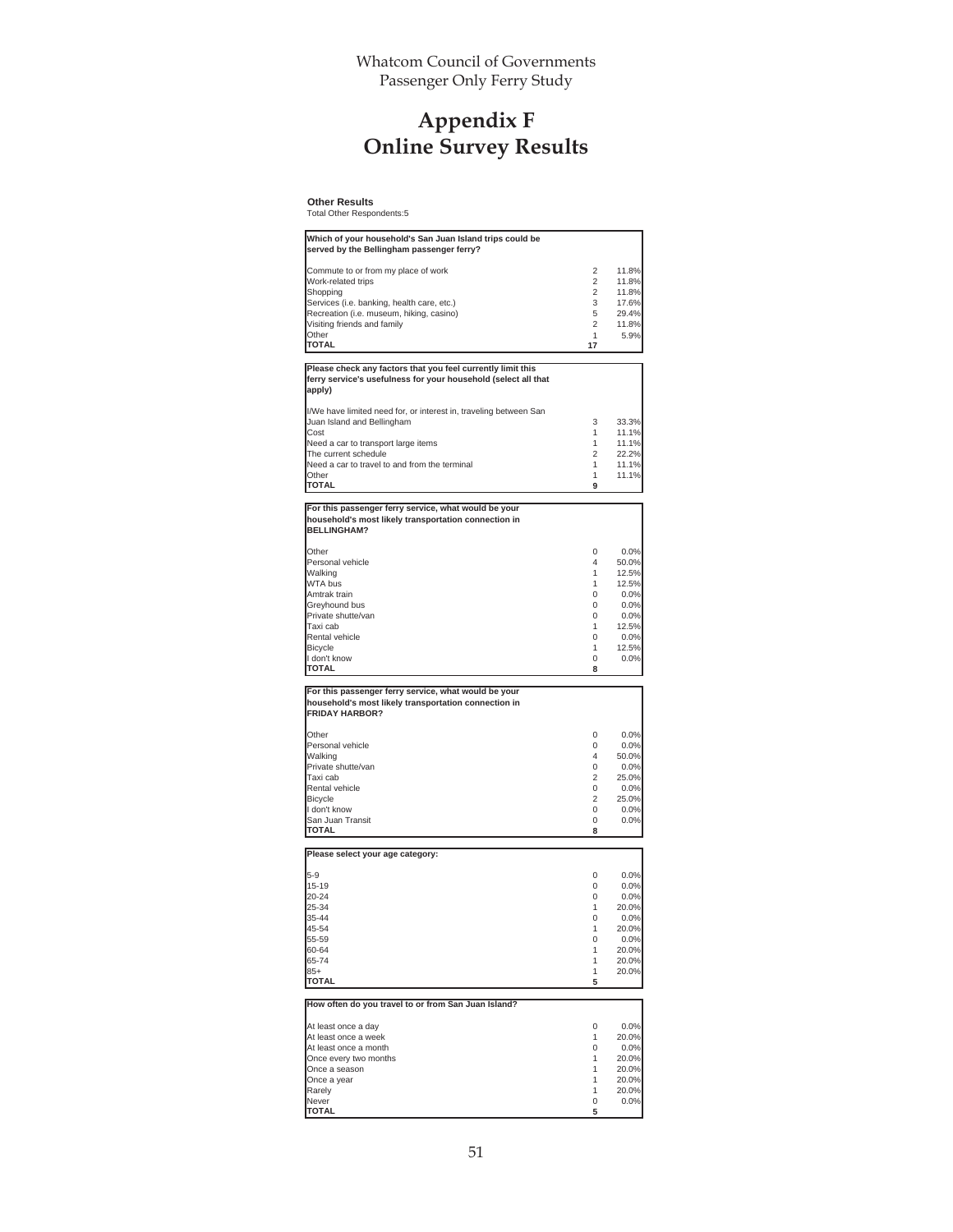Whatcom Council of Governments Passenger Only Ferry Study

## **Appendix F Online Survey Results**

**Other Results** Total Other Respondents:5

| Which of your household's San Juan Island trips could be                   |          |       |
|----------------------------------------------------------------------------|----------|-------|
| served by the Bellingham passenger ferry?                                  |          |       |
| Commute to or from my place of work                                        | 2        | 11.8% |
| Work-related trips                                                         | 2        | 11.8% |
| Shopping                                                                   | 2        | 11.8% |
|                                                                            |          |       |
| Services (i.e. banking, health care, etc.)                                 | 3        | 17.6% |
| Recreation (i.e. museum, hiking, casino)                                   | 5        | 29.4% |
| Visiting friends and family                                                | 2        | 11.8% |
| Other                                                                      | 1        | 5.9%  |
| <b>TOTAL</b>                                                               | 17       |       |
|                                                                            |          |       |
| Please check any factors that you feel currently limit this                |          |       |
| ferry service's usefulness for your household (select all that             |          |       |
| apply)                                                                     |          |       |
| I/We have limited need for, or interest in, traveling between San          |          |       |
|                                                                            |          | 33.3% |
| Juan Island and Bellingham                                                 | 3        |       |
| Cost                                                                       | 1        | 11.1% |
| Need a car to transport large items                                        | 1        | 11.1% |
| The current schedule                                                       | 2        | 22.2% |
| Need a car to travel to and from the terminal                              | 1        | 11.1% |
| Other                                                                      | 1        | 11.1% |
| TOTAL                                                                      | 9        |       |
|                                                                            |          |       |
| For this passenger ferry service, what would be your                       |          |       |
| household's most likely transportation connection in<br><b>BELLINGHAM?</b> |          |       |
|                                                                            |          |       |
| Other                                                                      | 0        | 0.0%  |
| Personal vehicle                                                           | $\Delta$ | 50.0% |
| Walking                                                                    | 1        | 12.5% |
| <b>WTA bus</b>                                                             | 1        | 12.5% |
|                                                                            |          |       |
| Amtrak train                                                               | 0        | 0.0%  |
| Greyhound bus                                                              | $\Omega$ | 0.0%  |
| Private shutte/van                                                         | 0        | 0.0%  |
| Taxi cab                                                                   | 1        | 12.5% |
| Rental vehicle                                                             | $\Omega$ | 0.0%  |
| <b>Bicycle</b>                                                             | 1        | 12.5% |
| I don't know                                                               | 0        | 0.0%  |
| <b>TOTAL</b>                                                               | 8        |       |
|                                                                            |          |       |
| For this passenger ferry service, what would be your                       |          |       |
| household's most likely transportation connection in                       |          |       |
| <b>FRIDAY HARBOR?</b>                                                      |          |       |
|                                                                            |          |       |
| Other                                                                      | 0        | 0.0%  |
|                                                                            |          | 0.0%  |
|                                                                            |          |       |
| Personal vehicle                                                           | 0        |       |
| Walking                                                                    | 4        | 50.0% |
| Private shutte/van                                                         | 0        | 0.0%  |
| Taxi cab                                                                   | 2        | 25.0% |
| Rental vehicle                                                             | 0        | 0.0%  |
| Bicycle                                                                    | 2        | 25.0% |
| I don't know                                                               | 0        | 0.0%  |
| San Juan Transit                                                           | 0        | 0.0%  |
| <b>TOTAL</b>                                                               | 8        |       |
|                                                                            |          |       |
|                                                                            |          |       |
|                                                                            |          |       |
| $5-9$                                                                      | 0        | 0.0%  |
| $15 - 19$                                                                  | 0        | 0.0%  |
| 20-24                                                                      | 0        | 0.0%  |
| 25-34                                                                      | 1        | 20.0% |
| 35-44                                                                      | 0        | 0.0%  |
| 45-54                                                                      | 1        | 20.0% |
| 55-59                                                                      | 0        | 0.0%  |
| 60-64                                                                      | 1        | 20.0% |
|                                                                            |          |       |
| 65-74                                                                      | 1        | 20.0% |
| Please select your age category:<br>$85+$<br><b>TOTAL</b>                  | 1<br>5   | 20.0% |
|                                                                            |          |       |
| How often do you travel to or from San Juan Island?                        |          |       |
|                                                                            |          |       |
| At least once a day                                                        | 0        | 0.0%  |
|                                                                            | 1        | 20.0% |
|                                                                            | 0        | 0.0%  |
|                                                                            |          |       |
| Once every two months                                                      | 1        | 20.0% |
| Once a season                                                              | 1        | 20.0% |
| Once a year                                                                | 1        | 20.0% |
| At least once a week<br>At least once a month<br>Rarely                    | 1        | 20.0% |
| Never<br><b>TOTAL</b>                                                      | 0<br>5   | 0.0%  |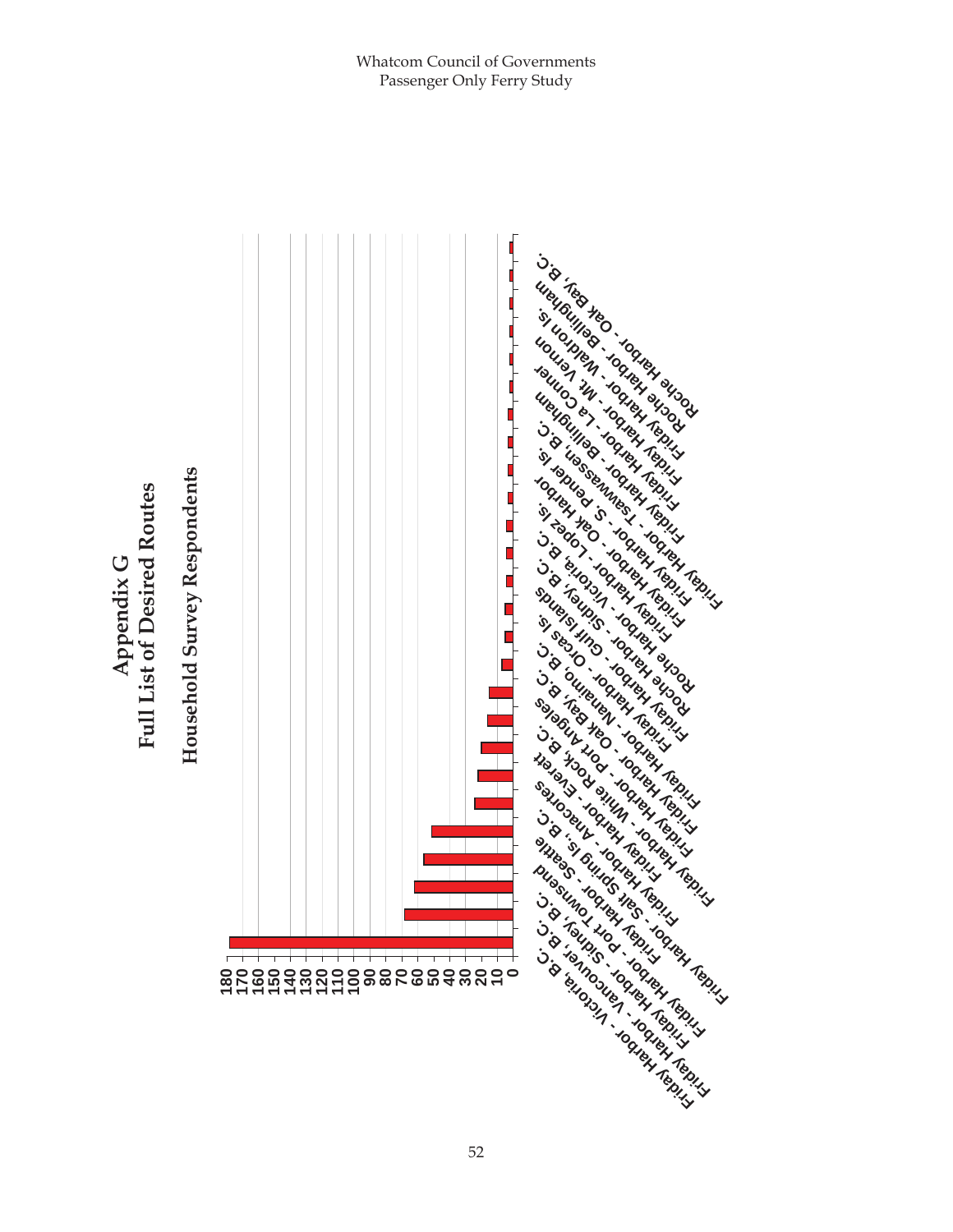